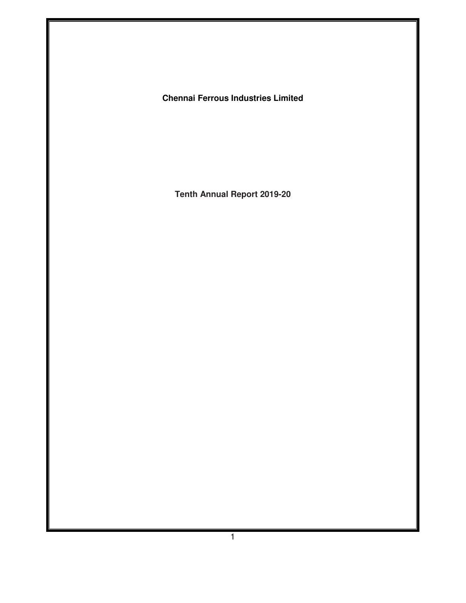**Chennai Ferrous Industries Limited** 

**Tenth Annual Report 2019-20**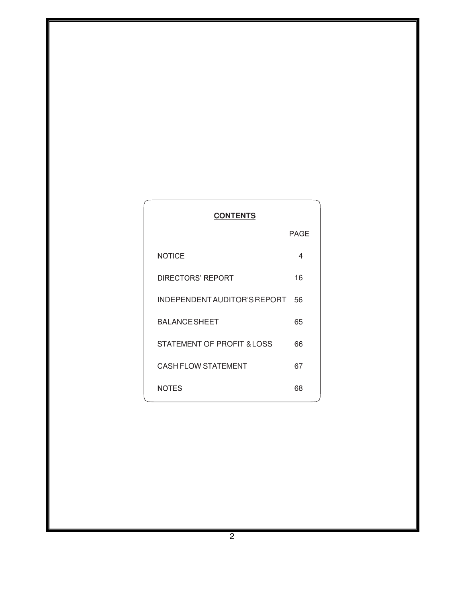# **CONTENTS** PAGE **NOTICE**  $\overline{4}$ DIRECTORS' REPORT 16 INDEPENDENT AUDITOR'S REPORT 56 BALANCE SHEET 65 STATEMENT OF PROFIT & LOSS 66 CASH FLOW STATEMENT 67

**NOTES**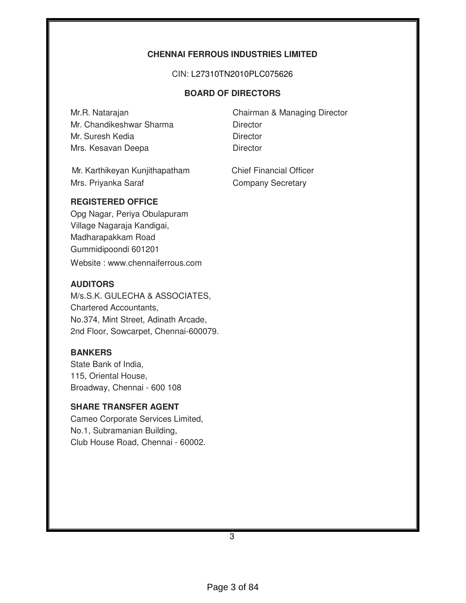### **CHENNAI FERROUS INDUSTRIES LIMITED**

CIN: L27310TN2010PLC075626

#### **BOARD OF DIRECTORS**

Mr. Chandikeshwar Sharma Director Mr. Suresh Kedia **Director** Mrs. Kesavan Deepa Director

 Mr. Karthikeyan Kunjithapatham Chief Financial Officer Mrs. Priyanka Saraf Company Secretary

Mr.R. Natarajan Chairman & Managing Director

### **REGISTERED OFFICE**

Opg Nagar, Periya Obulapuram Village Nagaraja Kandigai, Madharapakkam Road Gummidipoondi 601201 Website : www.chennaiferrous.com

**AUDITORS**

M/s.S.K. GULECHA & ASSOCIATES, Chartered Accountants, No.374, Mint Street, Adinath Arcade, 2nd Floor, Sowcarpet, Chennai-600079.

### **BANKERS**

State Bank of India, 115, Oriental House, Broadway, Chennai - 600 108

### **SHARE TRANSFER AGENT**

Cameo Corporate Services Limited, No.1, Subramanian Building, Club House Road, Chennai - 60002.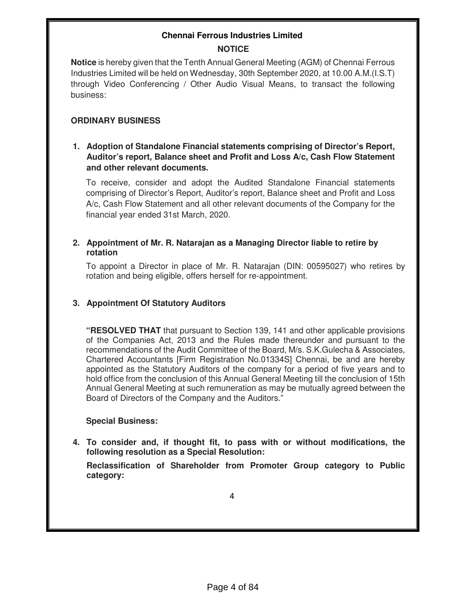### **Chennai Ferrous Industries Limited NOTICE**

**Notice** is hereby given that the Tenth Annual General Meeting (AGM) of Chennai Ferrous Industries Limited will be held on Wednesday, 30th September 2020, at 10.00 A.M.(I.S.T) through Video Conferencing / Other Audio Visual Means, to transact the following business:

### **ORDINARY BUSINESS**

### **1. Adoption of Standalone Financial statements comprising of Director's Report, Auditor's report, Balance sheet and Profit and Loss A/c, Cash Flow Statement and other relevant documents.**

To receive, consider and adopt the Audited Standalone Financial statements comprising of Director's Report, Auditor's report, Balance sheet and Profit and Loss A/c, Cash Flow Statement and all other relevant documents of the Company for the financial year ended 31st March, 2020.

#### **2. Appointment of Mr. R. Natarajan as a Managing Director liable to retire by rotation**

To appoint a Director in place of Mr. R. Natarajan (DIN: 00595027) who retires by rotation and being eligible, offers herself for re-appointment.

### **3. Appointment Of Statutory Auditors**

**"RESOLVED THAT** that pursuant to Section 139, 141 and other applicable provisions of the Companies Act, 2013 and the Rules made thereunder and pursuant to the recommendations of the Audit Committee of the Board, M/s. S.K.Gulecha & Associates, Chartered Accountants [Firm Registration No.01334S] Chennai, be and are hereby appointed as the Statutory Auditors of the company for a period of five years and to hold office from the conclusion of this Annual General Meeting till the conclusion of 15th Annual General Meeting at such remuneration as may be mutually agreed between the Board of Directors of the Company and the Auditors."

### **Special Business:**

**4. To consider and, if thought fit, to pass with or without modifications, the following resolution as a Special Resolution:** 

**Reclassification of Shareholder from Promoter Group category to Public category:**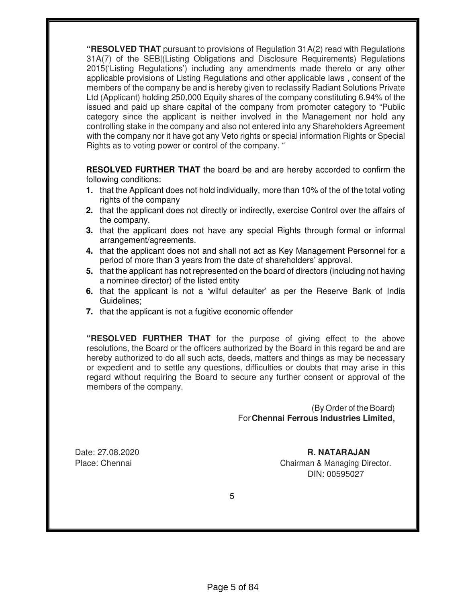**"RESOLVED THAT** pursuant to provisions of Regulation 31A(2) read with Regulations 31A(7) of the SEB|(Listing Obligations and Disclosure Requirements) Regulations 2015('Listing Regulations') including any amendments made thereto or any other applicable provisions of Listing Regulations and other applicable laws , consent of the members of the company be and is hereby given to reclassify Radiant Solutions Private Ltd (Applicant) holding 250,000 Equity shares of the company constituting 6.94% of the issued and paid up share capital of the company from promoter category to "Public category since the applicant is neither involved in the Management nor hold any controlling stake in the company and also not entered into any Shareholders Agreement with the company nor it have got any Veto rights or special information Rights or Special Rights as to voting power or control of the company. "

**RESOLVED FURTHER THAT** the board be and are hereby accorded to confirm the following conditions:

- **1.** that the Applicant does not hold individually, more than 10% of the of the total voting rights of the company
- **2.** that the applicant does not directly or indirectly, exercise Control over the affairs of the company.
- **3.** that the applicant does not have any special Rights through formal or informal arrangement/agreements.
- **4.** that the applicant does not and shall not act as Key Management Personnel for a period of more than 3 years from the date of shareholders' approval.
- **5.** that the applicant has not represented on the board of directors (including not having a nominee director) of the listed entity
- **6.** that the applicant is not a 'wilful defaulter' as per the Reserve Bank of India Guidelines;
- **7.** that the applicant is not a fugitive economic offender

**"RESOLVED FURTHER THAT** for the purpose of giving effect to the above resolutions, the Board or the officers authorized by the Board in this regard be and are hereby authorized to do all such acts, deeds, matters and things as may be necessary or expedient and to settle any questions, difficulties or doubts that may arise in this regard without requiring the Board to secure any further consent or approval of the members of the company.

> (By Order of the Board) For **Chennai Ferrous Industries Limited,**

Date: 27.08.2020 **R. NATARAJAN** Place: Chennai Chairman & Managing Director. DIN: 00595027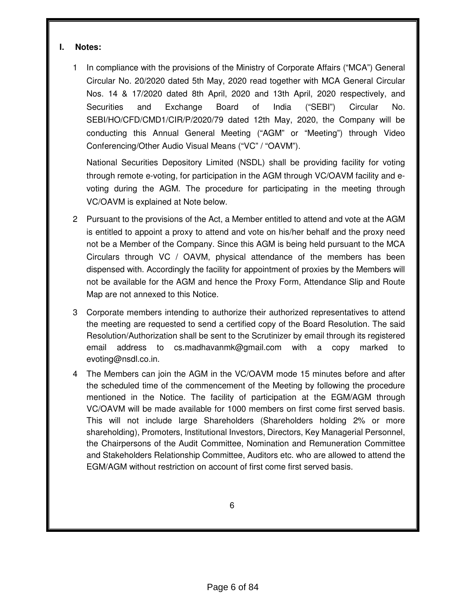**I. Notes:** 

1 In compliance with the provisions of the Ministry of Corporate Affairs ("MCA") General Circular No. 20/2020 dated 5th May, 2020 read together with MCA General Circular Nos. 14 & 17/2020 dated 8th April, 2020 and 13th April, 2020 respectively, and Securities and Exchange Board of India ("SEBI") Circular No. SEBI/HO/CFD/CMD1/CIR/P/2020/79 dated 12th May, 2020, the Company will be conducting this Annual General Meeting ("AGM" or "Meeting") through Video Conferencing/Other Audio Visual Means ("VC" / "OAVM").

 National Securities Depository Limited (NSDL) shall be providing facility for voting through remote e-voting, for participation in the AGM through VC/OAVM facility and evoting during the AGM. The procedure for participating in the meeting through VC/OAVM is explained at Note below.

- 2 Pursuant to the provisions of the Act, a Member entitled to attend and vote at the AGM is entitled to appoint a proxy to attend and vote on his/her behalf and the proxy need not be a Member of the Company. Since this AGM is being held pursuant to the MCA Circulars through VC / OAVM, physical attendance of the members has been dispensed with. Accordingly the facility for appointment of proxies by the Members will not be available for the AGM and hence the Proxy Form, Attendance Slip and Route Map are not annexed to this Notice.
- 3 Corporate members intending to authorize their authorized representatives to attend the meeting are requested to send a certified copy of the Board Resolution. The said Resolution/Authorization shall be sent to the Scrutinizer by email through its registered email address to cs.madhavanmk@gmail.com with a copy marked to evoting@nsdl.co.in.
- 4 The Members can join the AGM in the VC/OAVM mode 15 minutes before and after the scheduled time of the commencement of the Meeting by following the procedure mentioned in the Notice. The facility of participation at the EGM/AGM through VC/OAVM will be made available for 1000 members on first come first served basis. This will not include large Shareholders (Shareholders holding 2% or more shareholding), Promoters, Institutional Investors, Directors, Key Managerial Personnel, the Chairpersons of the Audit Committee, Nomination and Remuneration Committee and Stakeholders Relationship Committee, Auditors etc. who are allowed to attend the EGM/AGM without restriction on account of first come first served basis.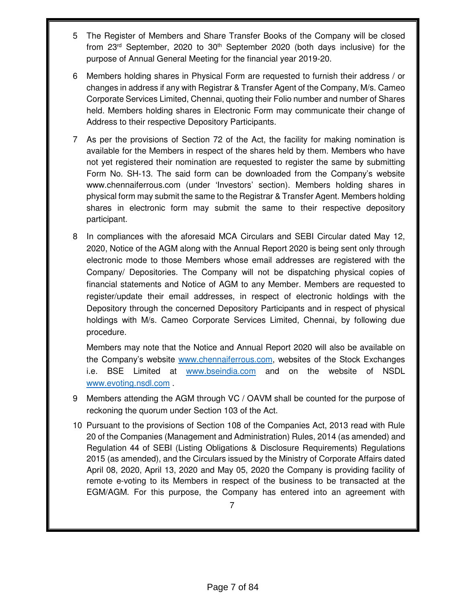- 5 The Register of Members and Share Transfer Books of the Company will be closed from  $23<sup>rd</sup>$  September, 2020 to  $30<sup>th</sup>$  September 2020 (both days inclusive) for the purpose of Annual General Meeting for the financial year 2019-20.
- 6 Members holding shares in Physical Form are requested to furnish their address / or changes in address if any with Registrar & Transfer Agent of the Company, M/s. Cameo Corporate Services Limited, Chennai, quoting their Folio number and number of Shares held. Members holding shares in Electronic Form may communicate their change of Address to their respective Depository Participants.
- 7 As per the provisions of Section 72 of the Act, the facility for making nomination is available for the Members in respect of the shares held by them. Members who have not yet registered their nomination are requested to register the same by submitting Form No. SH-13. The said form can be downloaded from the Company's website www.chennaiferrous.com (under 'Investors' section). Members holding shares in physical form may submit the same to the Registrar & Transfer Agent. Members holding shares in electronic form may submit the same to their respective depository participant.
- 8 In compliances with the aforesaid MCA Circulars and SEBI Circular dated May 12, 2020, Notice of the AGM along with the Annual Report 2020 is being sent only through electronic mode to those Members whose email addresses are registered with the Company/ Depositories. The Company will not be dispatching physical copies of financial statements and Notice of AGM to any Member. Members are requested to register/update their email addresses, in respect of electronic holdings with the Depository through the concerned Depository Participants and in respect of physical holdings with M/s. Cameo Corporate Services Limited, Chennai, by following due procedure.

Members may note that the Notice and Annual Report 2020 will also be available on the Company's website www.chennaiferrous.com, websites of the Stock Exchanges i.e. BSE Limited at www.bseindia.com and on the website of NSDL www.evoting.nsdl.com .

- 9 Members attending the AGM through VC / OAVM shall be counted for the purpose of reckoning the quorum under Section 103 of the Act.
- 10 Pursuant to the provisions of Section 108 of the Companies Act, 2013 read with Rule 20 of the Companies (Management and Administration) Rules, 2014 (as amended) and Regulation 44 of SEBI (Listing Obligations & Disclosure Requirements) Regulations 2015 (as amended), and the Circulars issued by the Ministry of Corporate Affairs dated April 08, 2020, April 13, 2020 and May 05, 2020 the Company is providing facility of remote e-voting to its Members in respect of the business to be transacted at the EGM/AGM. For this purpose, the Company has entered into an agreement with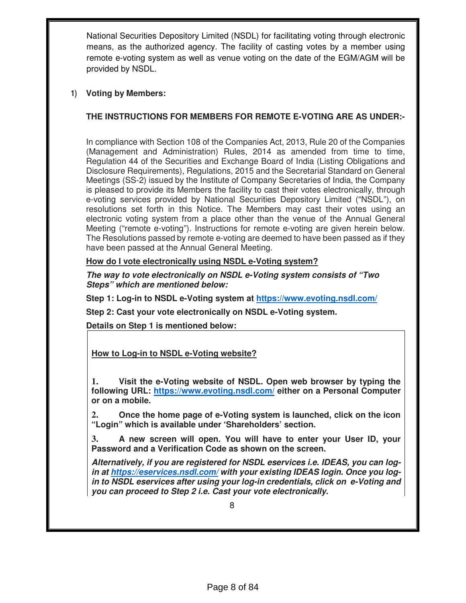National Securities Depository Limited (NSDL) for facilitating voting through electronic means, as the authorized agency. The facility of casting votes by a member using remote e-voting system as well as venue voting on the date of the EGM/AGM will be provided by NSDL.

### **1) Voting by Members:**

### **THE INSTRUCTIONS FOR MEMBERS FOR REMOTE E-VOTING ARE AS UNDER:-**

In compliance with Section 108 of the Companies Act, 2013, Rule 20 of the Companies (Management and Administration) Rules, 2014 as amended from time to time, Regulation 44 of the Securities and Exchange Board of India (Listing Obligations and Disclosure Requirements), Regulations, 2015 and the Secretarial Standard on General Meetings (SS-2) issued by the Institute of Company Secretaries of India, the Company is pleased to provide its Members the facility to cast their votes electronically, through e-voting services provided by National Securities Depository Limited ("NSDL"), on resolutions set forth in this Notice. The Members may cast their votes using an electronic voting system from a place other than the venue of the Annual General Meeting ("remote e-voting"). Instructions for remote e-voting are given herein below. The Resolutions passed by remote e-voting are deemed to have been passed as if they have been passed at the Annual General Meeting.

#### **How do I vote electronically using NSDL e-Voting system?**

*The way to vote electronically on NSDL e-Voting system consists of "Two Steps" which are mentioned below:* 

**Step 1: Log-in to NSDL e-Voting system at https://www.evoting.nsdl.com/**

**Step 2: Cast your vote electronically on NSDL e-Voting system.** 

**Details on Step 1 is mentioned below:** 

**How to Log-in to NSDL e-Voting website?** 

**1. Visit the e-Voting website of NSDL. Open web browser by typing the following URL: https://www.evoting.nsdl.com/ either on a Personal Computer or on a mobile.** 

**2. Once the home page of e-Voting system is launched, click on the icon "Login" which is available under 'Shareholders' section.** 

**3. A new screen will open. You will have to enter your User ID, your Password and a Verification Code as shown on the screen.** 

*Alternatively, if you are registered for NSDL eservices i.e. IDEAS, you can login at https://eservices.nsdl.com/ with your existing IDEAS login. Once you login to NSDL eservices after using your log-in credentials, click on e-Voting and you can proceed to Step 2 i.e. Cast your vote electronically.*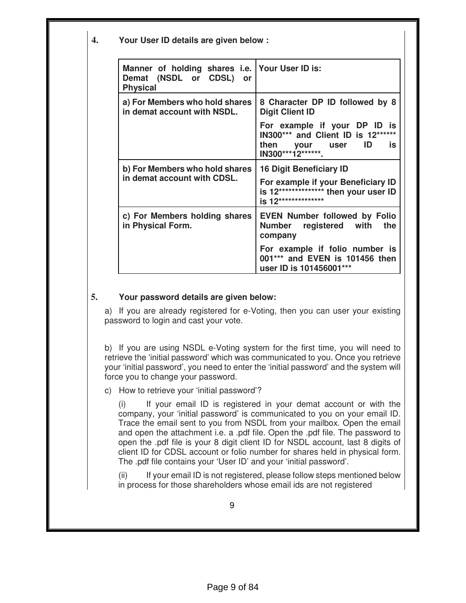**4. Your User ID details are given below :** 

| Manner of holding shares i.e.   Your User ID is:<br>Demat (NSDL or CDSL)<br><b>or</b><br><b>Physical</b> |                                                                                                                                       |
|----------------------------------------------------------------------------------------------------------|---------------------------------------------------------------------------------------------------------------------------------------|
| a) For Members who hold shares<br>in demat account with NSDL.                                            | 8 Character DP ID followed by 8<br><b>Digit Client ID</b>                                                                             |
|                                                                                                          | For example if your DP ID<br><b>IS</b><br>IN300*** and Client ID is 12******<br>ID<br>then your user<br>İS<br>IN300***12******.       |
| b) For Members who hold shares<br>in demat account with CDSL.                                            | <b>16 Digit Beneficiary ID</b><br>For example if your Beneficiary ID<br>is 12*************** then your user ID<br>is 12************** |
| c) For Members holding shares<br>in Physical Form.                                                       | <b>EVEN Number followed by Folio</b><br>Number registered with<br>the<br>company                                                      |
|                                                                                                          | For example if folio number is<br>001*** and EVEN is 101456 then<br>user ID is 101456001***                                           |

### **5. Your password details are given below:**

a) If you are already registered for e-Voting, then you can user your existing password to login and cast your vote.

b) If you are using NSDL e-Voting system for the first time, you will need to retrieve the 'initial password' which was communicated to you. Once you retrieve your 'initial password', you need to enter the 'initial password' and the system will force you to change your password.

c) How to retrieve your 'initial password'?

(i) If your email ID is registered in your demat account or with the company, your 'initial password' is communicated to you on your email ID. Trace the email sent to you from NSDL from your mailbox. Open the email and open the attachment i.e. a .pdf file. Open the .pdf file. The password to open the .pdf file is your 8 digit client ID for NSDL account, last 8 digits of client ID for CDSL account or folio number for shares held in physical form. The .pdf file contains your 'User ID' and your 'initial password'.

(ii) If your email ID is not registered, please follow steps mentioned below in process for those shareholders whose email ids are not registered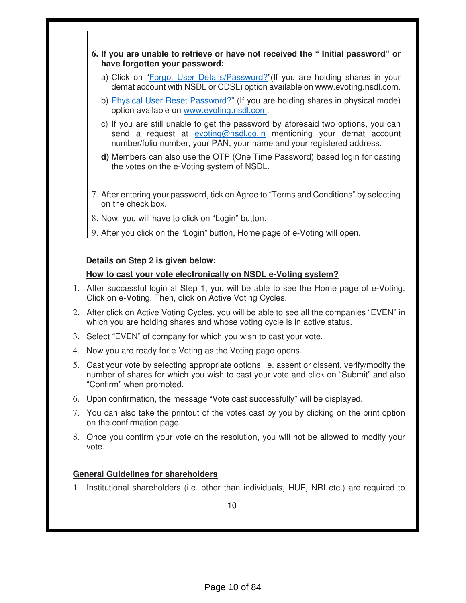- **6. If you are unable to retrieve or have not received the " Initial password" or have forgotten your password:** 
	- a) Click on "Forgot User Details/Password?"(If you are holding shares in your demat account with NSDL or CDSL) option available on www.evoting.nsdl.com.
	- b) Physical User Reset Password?" (If you are holding shares in physical mode) option available on www.evoting.nsdl.com.
	- c) If you are still unable to get the password by aforesaid two options, you can send a request at evoting@nsdl.co.in mentioning your demat account number/folio number, your PAN, your name and your registered address.
	- **d)** Members can also use the OTP (One Time Password) based login for casting the votes on the e-Voting system of NSDL.
- 7. After entering your password, tick on Agree to "Terms and Conditions" by selecting on the check box.
- 8. Now, you will have to click on "Login" button.
- 9. After you click on the "Login" button, Home page of e-Voting will open.

### **Details on Step 2 is given below:**

### **How to cast your vote electronically on NSDL e-Voting system?**

- 1. After successful login at Step 1, you will be able to see the Home page of e-Voting. Click on e-Voting. Then, click on Active Voting Cycles.
- 2. After click on Active Voting Cycles, you will be able to see all the companies "EVEN" in which you are holding shares and whose voting cycle is in active status.
- 3. Select "EVEN" of company for which you wish to cast your vote.
- 4. Now you are ready for e-Voting as the Voting page opens.
- 5. Cast your vote by selecting appropriate options i.e. assent or dissent, verify/modify the number of shares for which you wish to cast your vote and click on "Submit" and also "Confirm" when prompted.
- 6. Upon confirmation, the message "Vote cast successfully" will be displayed.
- 7. You can also take the printout of the votes cast by you by clicking on the print option on the confirmation page.
- 8. Once you confirm your vote on the resolution, you will not be allowed to modify your vote.

#### **General Guidelines for shareholders**

1 Institutional shareholders (i.e. other than individuals, HUF, NRI etc.) are required to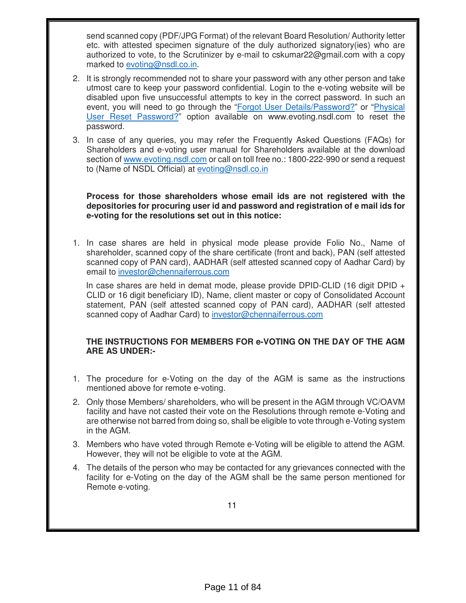send scanned copy (PDF/JPG Format) of the relevant Board Resolution/ Authority letter etc. with attested specimen signature of the duly authorized signatory(ies) who are authorized to vote, to the Scrutinizer by e-mail to cskumar22@gmail.com with a copy marked to evoting@nsdl.co.in.

- 2. It is strongly recommended not to share your password with any other person and take utmost care to keep your password confidential. Login to the e-voting website will be disabled upon five unsuccessful attempts to key in the correct password. In such an event, you will need to go through the "Forgot User Details/Password?" or "Physical User Reset Password?" option available on www.evoting.nsdl.com to reset the password.
- 3. In case of any queries, you may refer the Frequently Asked Questions (FAQs) for Shareholders and e-voting user manual for Shareholders available at the download section of www.evoting.nsdl.com or call on toll free no.: 1800-222-990 or send a request to (Name of NSDL Official) at evoting@nsdl.co.in

#### **Process for those shareholders whose email ids are not registered with the depositories for procuring user id and password and registration of e mail ids for e-voting for the resolutions set out in this notice:**

1. In case shares are held in physical mode please provide Folio No., Name of shareholder, scanned copy of the share certificate (front and back), PAN (self attested scanned copy of PAN card), AADHAR (self attested scanned copy of Aadhar Card) by email to investor@chennaiferrous.com

In case shares are held in demat mode, please provide DPID-CLID (16 digit DPID  $+$ CLID or 16 digit beneficiary ID), Name, client master or copy of Consolidated Account statement, PAN (self attested scanned copy of PAN card), AADHAR (self attested scanned copy of Aadhar Card) to investor@chennaiferrous.com

### **THE INSTRUCTIONS FOR MEMBERS FOR e-VOTING ON THE DAY OF THE AGM ARE AS UNDER:-**

- 1. The procedure for e-Voting on the day of the AGM is same as the instructions mentioned above for remote e-voting.
- 2. Only those Members/ shareholders, who will be present in the AGM through VC/OAVM facility and have not casted their vote on the Resolutions through remote e-Voting and are otherwise not barred from doing so, shall be eligible to vote through e-Voting system in the AGM.
- 3. Members who have voted through Remote e-Voting will be eligible to attend the AGM. However, they will not be eligible to vote at the AGM.
- 4. The details of the person who may be contacted for any grievances connected with the facility for e-Voting on the day of the AGM shall be the same person mentioned for Remote e-voting.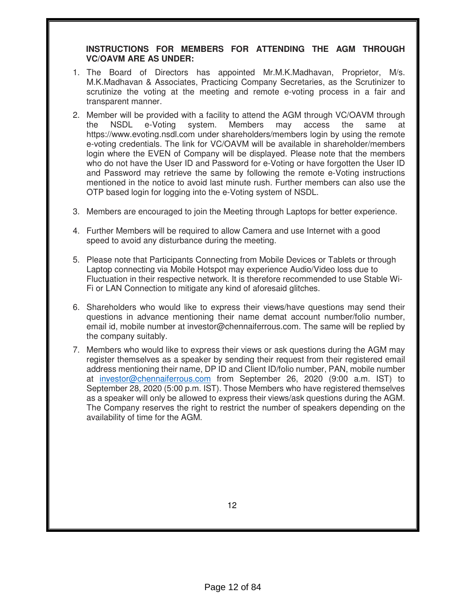### **INSTRUCTIONS FOR MEMBERS FOR ATTENDING THE AGM THROUGH VC/OAVM ARE AS UNDER:**

- 1. The Board of Directors has appointed Mr.M.K.Madhavan, Proprietor, M/s. M.K.Madhavan & Associates, Practicing Company Secretaries, as the Scrutinizer to scrutinize the voting at the meeting and remote e-voting process in a fair and transparent manner.
- 2. Member will be provided with a facility to attend the AGM through VC/OAVM through the NSDL e-Voting system. Members may access the same at https://www.evoting.nsdl.com under shareholders/members login by using the remote e-voting credentials. The link for VC/OAVM will be available in shareholder/members login where the EVEN of Company will be displayed. Please note that the members who do not have the User ID and Password for e-Voting or have forgotten the User ID and Password may retrieve the same by following the remote e-Voting instructions mentioned in the notice to avoid last minute rush. Further members can also use the OTP based login for logging into the e-Voting system of NSDL.
- 3. Members are encouraged to join the Meeting through Laptops for better experience.
- 4. Further Members will be required to allow Camera and use Internet with a good speed to avoid any disturbance during the meeting.
- 5. Please note that Participants Connecting from Mobile Devices or Tablets or through Laptop connecting via Mobile Hotspot may experience Audio/Video loss due to Fluctuation in their respective network. It is therefore recommended to use Stable Wi-Fi or LAN Connection to mitigate any kind of aforesaid glitches.
- 6. Shareholders who would like to express their views/have questions may send their questions in advance mentioning their name demat account number/folio number, email id, mobile number at investor@chennaiferrous.com. The same will be replied by the company suitably.
- 7. Members who would like to express their views or ask questions during the AGM may register themselves as a speaker by sending their request from their registered email address mentioning their name, DP ID and Client ID/folio number, PAN, mobile number at investor@chennaiferrous.com from September 26, 2020 (9:00 a.m. IST) to September 28, 2020 (5:00 p.m. IST). Those Members who have registered themselves as a speaker will only be allowed to express their views/ask questions during the AGM. The Company reserves the right to restrict the number of speakers depending on the availability of time for the AGM.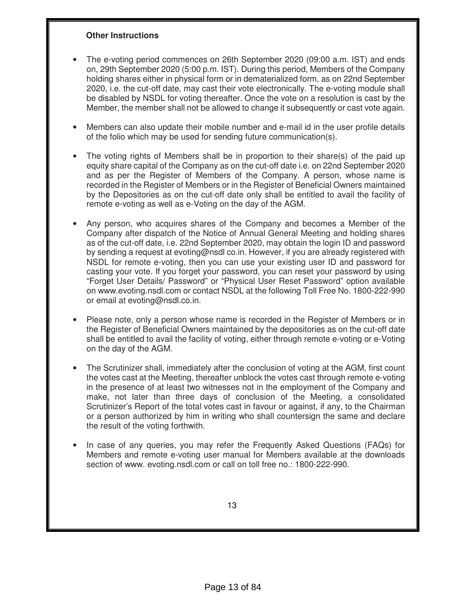### **Other Instructions**

- The e-voting period commences on 26th September 2020 (09:00 a.m. IST) and ends on, 29th September 2020 (5:00 p.m. IST). During this period, Members of the Company holding shares either in physical form or in dematerialized form, as on 22nd September 2020, i.e. the cut-off date, may cast their vote electronically. The e-voting module shall be disabled by NSDL for voting thereafter. Once the vote on a resolution is cast by the Member, the member shall not be allowed to change it subsequently or cast vote again.
- Members can also update their mobile number and e-mail id in the user profile details of the folio which may be used for sending future communication(s).
- The voting rights of Members shall be in proportion to their share(s) of the paid up equity share capital of the Company as on the cut-off date i.e. on 22nd September 2020 and as per the Register of Members of the Company. A person, whose name is recorded in the Register of Members or in the Register of Beneficial Owners maintained by the Depositories as on the cut-off date only shall be entitled to avail the facility of remote e-voting as well as e-Voting on the day of the AGM.
- Any person, who acquires shares of the Company and becomes a Member of the Company after dispatch of the Notice of Annual General Meeting and holding shares as of the cut-off date, i.e. 22nd September 2020, may obtain the login ID and password by sending a request at evoting@nsdl co.in. However, if you are already registered with NSDL for remote e-voting, then you can use your existing user ID and password for casting your vote. If you forget your password, you can reset your password by using "Forget User Details/ Password" or "Physical User Reset Password" option available on www.evoting.nsdl.com or contact NSDL at the following Toll Free No. 1800-222-990 or email at evoting@nsdl.co.in.
- Please note, only a person whose name is recorded in the Register of Members or in the Register of Beneficial Owners maintained by the depositories as on the cut-off date shall be entitled to avail the facility of voting, either through remote e-voting or e-Voting on the day of the AGM.
- The Scrutinizer shall, immediately after the conclusion of voting at the AGM, first count the votes cast at the Meeting, thereafter unblock the votes cast through remote e-voting in the presence of at least two witnesses not in the employment of the Company and make, not later than three days of conclusion of the Meeting, a consolidated Scrutinizer's Report of the total votes cast in favour or against, if any, to the Chairman or a person authorized by him in writing who shall countersign the same and declare the result of the voting forthwith.
- In case of any queries, you may refer the Frequently Asked Questions (FAQs) for Members and remote e-voting user manual for Members available at the downloads section of www. evoting.nsdl.com or call on toll free no.: 1800-222-990.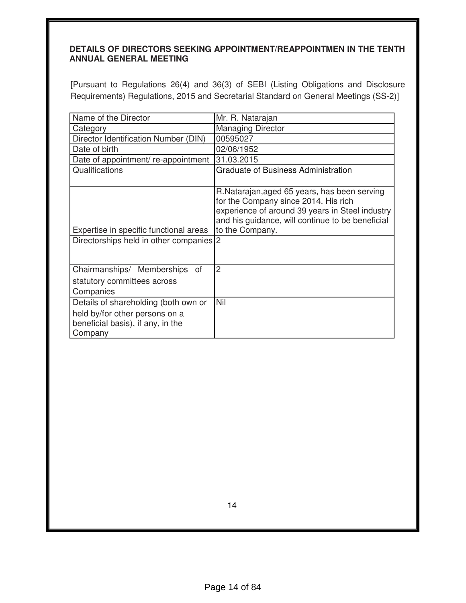### **DETAILS OF DIRECTORS SEEKING APPOINTMENT/REAPPOINTMEN IN THE TENTH ANNUAL GENERAL MEETING**

[Pursuant to Regulations 26(4) and 36(3) of SEBI (Listing Obligations and Disclosure Requirements) Regulations, 2015 and Secretarial Standard on General Meetings (SS-2)]

| Name of the Director                                                              | Mr. R. Natarajan                                                                                                                                                                                                |
|-----------------------------------------------------------------------------------|-----------------------------------------------------------------------------------------------------------------------------------------------------------------------------------------------------------------|
| Category                                                                          | <b>Managing Director</b>                                                                                                                                                                                        |
| Director Identification Number (DIN)                                              | 00595027                                                                                                                                                                                                        |
| Date of birth                                                                     | 02/06/1952                                                                                                                                                                                                      |
| Date of appointment/re-appointment                                                | 31.03.2015                                                                                                                                                                                                      |
| Qualifications                                                                    | Graduate of Business Administration                                                                                                                                                                             |
| Expertise in specific functional areas<br>Directorships held in other companies 2 | R. Natarajan, aged 65 years, has been serving<br>for the Company since 2014. His rich<br>experience of around 39 years in Steel industry<br>and his guidance, will continue to be beneficial<br>to the Company. |
| Chairmanships/ Memberships<br>0f                                                  | 2                                                                                                                                                                                                               |
| statutory committees across                                                       |                                                                                                                                                                                                                 |
| Companies                                                                         |                                                                                                                                                                                                                 |
| Details of shareholding (both own or                                              | Nil                                                                                                                                                                                                             |
| held by/for other persons on a                                                    |                                                                                                                                                                                                                 |
| beneficial basis), if any, in the                                                 |                                                                                                                                                                                                                 |
| Company                                                                           |                                                                                                                                                                                                                 |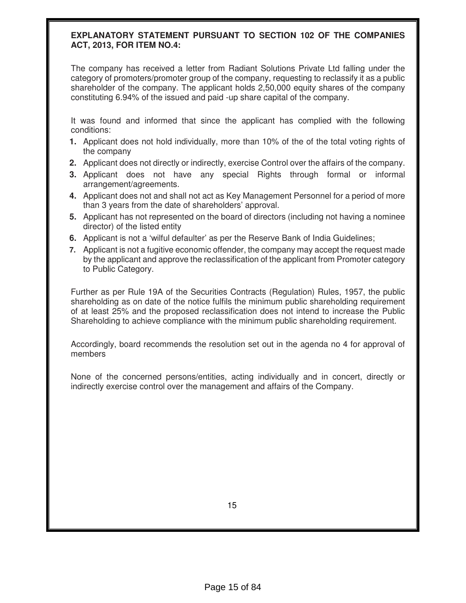### **EXPLANATORY STATEMENT PURSUANT TO SECTION 102 OF THE COMPANIES ACT, 2013, FOR ITEM NO.4:**

The company has received a letter from Radiant Solutions Private Ltd falling under the category of promoters/promoter group of the company, requesting to reclassify it as a public shareholder of the company. The applicant holds 2,50,000 equity shares of the company constituting 6.94% of the issued and paid -up share capital of the company.

It was found and informed that since the applicant has complied with the following conditions:

- **1.** Applicant does not hold individually, more than 10% of the of the total voting rights of the company
- **2.** Applicant does not directly or indirectly, exercise Control over the affairs of the company.
- **3.** Applicant does not have any special Rights through formal or informal arrangement/agreements.
- **4.** Applicant does not and shall not act as Key Management Personnel for a period of more than 3 years from the date of shareholders' approval.
- **5.** Applicant has not represented on the board of directors (including not having a nominee director) of the listed entity
- **6.** Applicant is not a 'wilful defaulter' as per the Reserve Bank of India Guidelines;
- **7.** Applicant is not a fugitive economic offender, the company may accept the request made by the applicant and approve the reclassification of the applicant from Promoter category to Public Category.

Further as per Rule 19A of the Securities Contracts (Regulation) Rules, 1957, the public shareholding as on date of the notice fulfils the minimum public shareholding requirement of at least 25% and the proposed reclassification does not intend to increase the Public Shareholding to achieve compliance with the minimum public shareholding requirement.

Accordingly, board recommends the resolution set out in the agenda no 4 for approval of members

None of the concerned persons/entities, acting individually and in concert, directly or indirectly exercise control over the management and affairs of the Company.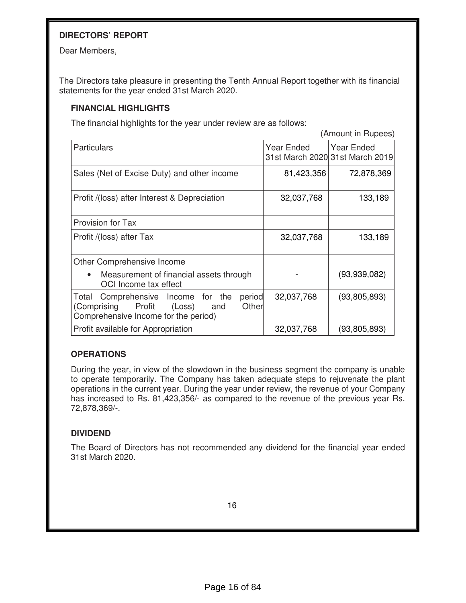### **DIRECTORS' REPORT**

Dear Members,

The Directors take pleasure in presenting the Tenth Annual Report together with its financial statements for the year ended 31st March 2020.

### **FINANCIAL HIGHLIGHTS**

The financial highlights for the year under review are as follows:

(Amount in Rupees)

| <b>Particulars</b>                                                                                                                | Year Ended | <b>Year Ended</b><br>31st March 2020 31st March 2019 |
|-----------------------------------------------------------------------------------------------------------------------------------|------------|------------------------------------------------------|
| Sales (Net of Excise Duty) and other income                                                                                       | 81,423,356 | 72,878,369                                           |
| Profit /(loss) after Interest & Depreciation                                                                                      | 32,037,768 | 133,189                                              |
| Provision for Tax                                                                                                                 |            |                                                      |
| Profit /(loss) after Tax                                                                                                          | 32,037,768 | 133,189                                              |
| Other Comprehensive Income                                                                                                        |            |                                                      |
| Measurement of financial assets through<br>$\bullet$<br>OCI Income tax effect                                                     |            | (93,939,082)                                         |
| Total Comprehensive Income for the<br>period<br>(Comprising Profit (Loss)<br>Other<br>and<br>Comprehensive Income for the period) | 32,037,768 | (93,805,893)                                         |
| Profit available for Appropriation                                                                                                | 32,037,768 | (93,805,893)                                         |

### **OPERATIONS**

During the year, in view of the slowdown in the business segment the company is unable to operate temporarily. The Company has taken adequate steps to rejuvenate the plant operations in the current year. During the year under review, the revenue of your Company has increased to Rs. 81,423,356/- as compared to the revenue of the previous year Rs. 72,878,369/-.

### **DIVIDEND**

The Board of Directors has not recommended any dividend for the financial year ended 31st March 2020.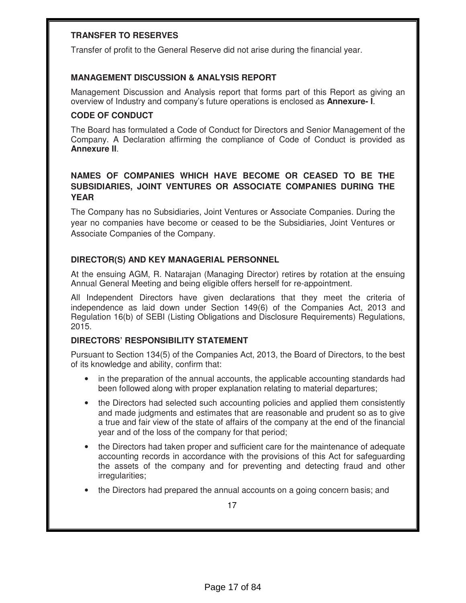### **TRANSFER TO RESERVES**

Transfer of profit to the General Reserve did not arise during the financial year.

### **MANAGEMENT DISCUSSION & ANALYSIS REPORT**

Management Discussion and Analysis report that forms part of this Report as giving an overview of Industry and company's future operations is enclosed as **Annexure- I**.

### **CODE OF CONDUCT**

The Board has formulated a Code of Conduct for Directors and Senior Management of the Company. A Declaration affirming the compliance of Code of Conduct is provided as **Annexure II**.

### **NAMES OF COMPANIES WHICH HAVE BECOME OR CEASED TO BE THE SUBSIDIARIES, JOINT VENTURES OR ASSOCIATE COMPANIES DURING THE YEAR**

The Company has no Subsidiaries, Joint Ventures or Associate Companies. During the year no companies have become or ceased to be the Subsidiaries, Joint Ventures or Associate Companies of the Company.

### **DIRECTOR(S) AND KEY MANAGERIAL PERSONNEL**

At the ensuing AGM, R. Natarajan (Managing Director) retires by rotation at the ensuing Annual General Meeting and being eligible offers herself for re-appointment.

All Independent Directors have given declarations that they meet the criteria of independence as laid down under Section 149(6) of the Companies Act, 2013 and Regulation 16(b) of SEBI (Listing Obligations and Disclosure Requirements) Regulations, 2015.

### **DIRECTORS' RESPONSIBILITY STATEMENT**

Pursuant to Section 134(5) of the Companies Act, 2013, the Board of Directors, to the best of its knowledge and ability, confirm that:

- in the preparation of the annual accounts, the applicable accounting standards had been followed along with proper explanation relating to material departures;
- the Directors had selected such accounting policies and applied them consistently and made judgments and estimates that are reasonable and prudent so as to give a true and fair view of the state of affairs of the company at the end of the financial year and of the loss of the company for that period;
- the Directors had taken proper and sufficient care for the maintenance of adequate accounting records in accordance with the provisions of this Act for safeguarding the assets of the company and for preventing and detecting fraud and other irregularities;
- the Directors had prepared the annual accounts on a going concern basis; and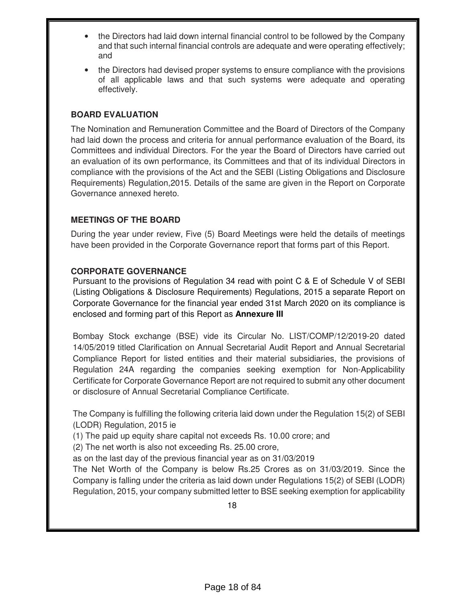- the Directors had laid down internal financial control to be followed by the Company and that such internal financial controls are adequate and were operating effectively; and
- the Directors had devised proper systems to ensure compliance with the provisions of all applicable laws and that such systems were adequate and operating effectively.

### **BOARD EVALUATION**

The Nomination and Remuneration Committee and the Board of Directors of the Company had laid down the process and criteria for annual performance evaluation of the Board, its Committees and individual Directors. For the year the Board of Directors have carried out an evaluation of its own performance, its Committees and that of its individual Directors in compliance with the provisions of the Act and the SEBI (Listing Obligations and Disclosure Requirements) Regulation,2015. Details of the same are given in the Report on Corporate Governance annexed hereto.

### **MEETINGS OF THE BOARD**

During the year under review, Five (5) Board Meetings were held the details of meetings have been provided in the Corporate Governance report that forms part of this Report.

### **CORPORATE GOVERNANCE**

Pursuant to the provisions of Regulation 34 read with point C & E of Schedule V of SEBI (Listing Obligations & Disclosure Requirements) Regulations, 2015 a separate Report on Corporate Governance for the financial year ended 31st March 2020 on its compliance is enclosed and forming part of this Report as **Annexure III** 

Bombay Stock exchange (BSE) vide its Circular No. LIST/COMP/12/2019-20 dated 14/05/2019 titled Clarification on Annual Secretarial Audit Report and Annual Secretarial Compliance Report for listed entities and their material subsidiaries, the provisions of Regulation 24A regarding the companies seeking exemption for Non-Applicability Certificate for Corporate Governance Report are not required to submit any other document or disclosure of Annual Secretarial Compliance Certificate.

The Company is fulfilling the following criteria laid down under the Regulation 15(2) of SEBI (LODR) Regulation, 2015 ie

(1) The paid up equity share capital not exceeds Rs. 10.00 crore; and

(2) The net worth is also not exceeding Rs. 25.00 crore,

as on the last day of the previous financial year as on 31/03/2019

The Net Worth of the Company is below Rs.25 Crores as on 31/03/2019. Since the Company is falling under the criteria as laid down under Regulations 15(2) of SEBI (LODR) Regulation, 2015, your company submitted letter to BSE seeking exemption for applicability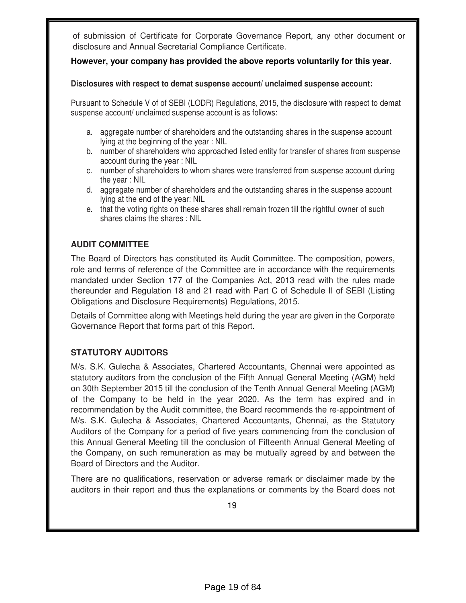of submission of Certificate for Corporate Governance Report, any other document or disclosure and Annual Secretarial Compliance Certificate.

### **However, your company has provided the above reports voluntarily for this year.**

#### **Disclosures with respect to demat suspense account/ unclaimed suspense account:**

Pursuant to Schedule V of of SEBI (LODR) Regulations, 2015, the disclosure with respect to demat suspense account/ unclaimed suspense account is as follows:

- a. aggregate number of shareholders and the outstanding shares in the suspense account lying at the beginning of the year : NIL
- b. number of shareholders who approached listed entity for transfer of shares from suspense account during the year : NIL
- c. number of shareholders to whom shares were transferred from suspense account during the year : NIL
- d. aggregate number of shareholders and the outstanding shares in the suspense account lying at the end of the year: NIL
- e. that the voting rights on these shares shall remain frozen till the rightful owner of such shares claims the shares : NIL

#### **AUDIT COMMITTEE**

The Board of Directors has constituted its Audit Committee. The composition, powers, role and terms of reference of the Committee are in accordance with the requirements mandated under Section 177 of the Companies Act, 2013 read with the rules made thereunder and Regulation 18 and 21 read with Part C of Schedule II of SEBI (Listing Obligations and Disclosure Requirements) Regulations, 2015.

Details of Committee along with Meetings held during the year are given in the Corporate Governance Report that forms part of this Report.

### **STATUTORY AUDITORS**

M/s. S.K. Gulecha & Associates, Chartered Accountants, Chennai were appointed as statutory auditors from the conclusion of the Fifth Annual General Meeting (AGM) held on 30th September 2015 till the conclusion of the Tenth Annual General Meeting (AGM) of the Company to be held in the year 2020. As the term has expired and in recommendation by the Audit committee, the Board recommends the re-appointment of M/s. S.K. Gulecha & Associates, Chartered Accountants, Chennai, as the Statutory Auditors of the Company for a period of five years commencing from the conclusion of this Annual General Meeting till the conclusion of Fifteenth Annual General Meeting of the Company, on such remuneration as may be mutually agreed by and between the Board of Directors and the Auditor.

There are no qualifications, reservation or adverse remark or disclaimer made by the auditors in their report and thus the explanations or comments by the Board does not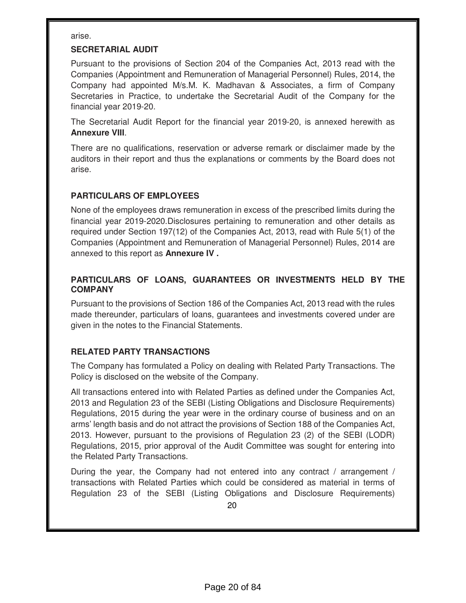arise.

### **SECRETARIAL AUDIT**

Pursuant to the provisions of Section 204 of the Companies Act, 2013 read with the Companies (Appointment and Remuneration of Managerial Personnel) Rules, 2014, the Company had appointed M/s.M. K. Madhavan & Associates, a firm of Company Secretaries in Practice, to undertake the Secretarial Audit of the Company for the financial year 2019-20.

The Secretarial Audit Report for the financial year 2019-20, is annexed herewith as **Annexure VIII**.

There are no qualifications, reservation or adverse remark or disclaimer made by the auditors in their report and thus the explanations or comments by the Board does not arise.

### **PARTICULARS OF EMPLOYEES**

None of the employees draws remuneration in excess of the prescribed limits during the financial year 2019-2020.Disclosures pertaining to remuneration and other details as required under Section 197(12) of the Companies Act, 2013, read with Rule 5(1) of the Companies (Appointment and Remuneration of Managerial Personnel) Rules, 2014 are annexed to this report as **Annexure IV .**

### **PARTICULARS OF LOANS, GUARANTEES OR INVESTMENTS HELD BY THE COMPANY**

Pursuant to the provisions of Section 186 of the Companies Act, 2013 read with the rules made thereunder, particulars of loans, guarantees and investments covered under are given in the notes to the Financial Statements.

### **RELATED PARTY TRANSACTIONS**

The Company has formulated a Policy on dealing with Related Party Transactions. The Policy is disclosed on the website of the Company.

All transactions entered into with Related Parties as defined under the Companies Act, 2013 and Regulation 23 of the SEBI (Listing Obligations and Disclosure Requirements) Regulations, 2015 during the year were in the ordinary course of business and on an arms' length basis and do not attract the provisions of Section 188 of the Companies Act, 2013. However, pursuant to the provisions of Regulation 23 (2) of the SEBI (LODR) Regulations, 2015, prior approval of the Audit Committee was sought for entering into the Related Party Transactions.

During the year, the Company had not entered into any contract / arrangement / transactions with Related Parties which could be considered as material in terms of Regulation 23 of the SEBI (Listing Obligations and Disclosure Requirements)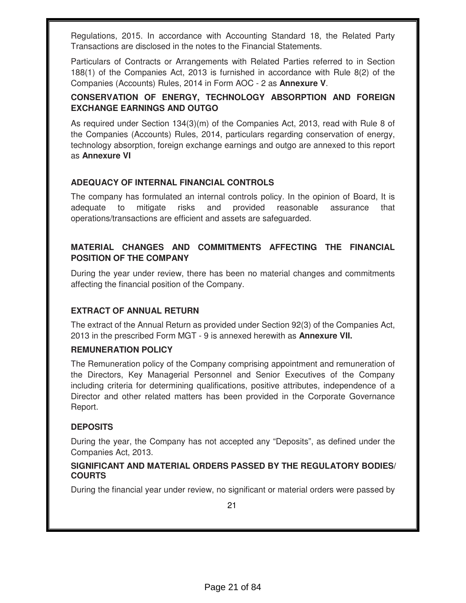Regulations, 2015. In accordance with Accounting Standard 18, the Related Party Transactions are disclosed in the notes to the Financial Statements.

Particulars of Contracts or Arrangements with Related Parties referred to in Section 188(1) of the Companies Act, 2013 is furnished in accordance with Rule 8(2) of the Companies (Accounts) Rules, 2014 in Form AOC - 2 as **Annexure V**.

### **CONSERVATION OF ENERGY, TECHNOLOGY ABSORPTION AND FOREIGN EXCHANGE EARNINGS AND OUTGO**

As required under Section 134(3)(m) of the Companies Act, 2013, read with Rule 8 of the Companies (Accounts) Rules, 2014, particulars regarding conservation of energy, technology absorption, foreign exchange earnings and outgo are annexed to this report as **Annexure VI**

### **ADEQUACY OF INTERNAL FINANCIAL CONTROLS**

The company has formulated an internal controls policy. In the opinion of Board, It is adequate to mitigate risks and provided reasonable assurance that operations/transactions are efficient and assets are safeguarded.

### **MATERIAL CHANGES AND COMMITMENTS AFFECTING THE FINANCIAL POSITION OF THE COMPANY**

During the year under review, there has been no material changes and commitments affecting the financial position of the Company.

### **EXTRACT OF ANNUAL RETURN**

The extract of the Annual Return as provided under Section 92(3) of the Companies Act, 2013 in the prescribed Form MGT - 9 is annexed herewith as **Annexure VII.** 

### **REMUNERATION POLICY**

The Remuneration policy of the Company comprising appointment and remuneration of the Directors, Key Managerial Personnel and Senior Executives of the Company including criteria for determining qualifications, positive attributes, independence of a Director and other related matters has been provided in the Corporate Governance Report.

### **DEPOSITS**

During the year, the Company has not accepted any "Deposits", as defined under the Companies Act, 2013.

### **SIGNIFICANT AND MATERIAL ORDERS PASSED BY THE REGULATORY BODIES/ COURTS**

During the financial year under review, no significant or material orders were passed by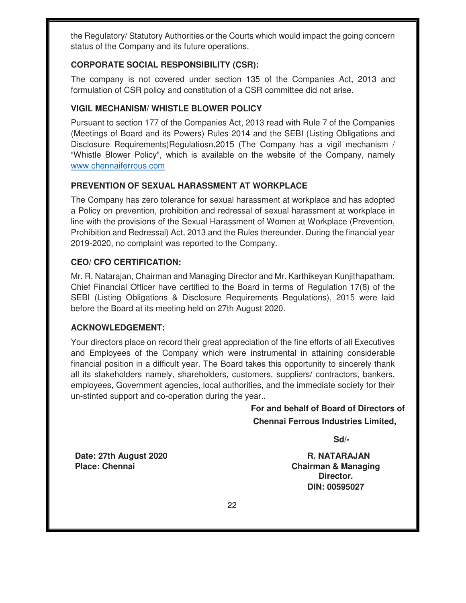the Regulatory/ Statutory Authorities or the Courts which would impact the going concern status of the Company and its future operations.

### **CORPORATE SOCIAL RESPONSIBILITY (CSR):**

The company is not covered under section 135 of the Companies Act, 2013 and formulation of CSR policy and constitution of a CSR committee did not arise.

### **VIGIL MECHANISM/ WHISTLE BLOWER POLICY**

Pursuant to section 177 of the Companies Act, 2013 read with Rule 7 of the Companies (Meetings of Board and its Powers) Rules 2014 and the SEBI (Listing Obligations and Disclosure Requirements)Regulatiosn,2015 (The Company has a vigil mechanism / "Whistle Blower Policy", which is available on the website of the Company, namely www.chennaiferrous.com

### **PREVENTION OF SEXUAL HARASSMENT AT WORKPLACE**

The Company has zero tolerance for sexual harassment at workplace and has adopted a Policy on prevention, prohibition and redressal of sexual harassment at workplace in line with the provisions of the Sexual Harassment of Women at Workplace (Prevention, Prohibition and Redressal) Act, 2013 and the Rules thereunder. During the financial year 2019-2020, no complaint was reported to the Company.

### **CEO/ CFO CERTIFICATION:**

Mr. R. Natarajan, Chairman and Managing Director and Mr. Karthikeyan Kunjithapatham, Chief Financial Officer have certified to the Board in terms of Regulation 17(8) of the SEBI (Listing Obligations & Disclosure Requirements Regulations), 2015 were laid before the Board at its meeting held on 27th August 2020.

### **ACKNOWLEDGEMENT:**

Your directors place on record their great appreciation of the fine efforts of all Executives and Employees of the Company which were instrumental in attaining considerable financial position in a difficult year. The Board takes this opportunity to sincerely thank all its stakeholders namely, shareholders, customers, suppliers/ contractors, bankers, employees, Government agencies, local authorities, and the immediate society for their un-stinted support and co-operation during the year..

> **For and behalf of Board of Directors of Chennai Ferrous Industries Limited,**

> > **Sd/-**

**Director. DIN: 00595027**

**Date: 27th August 2020 R. NATARAJAN Place: Chennai Chairman & Managing** *Place:* **Chennai Chairman & Managing <b>Chairman & Managing**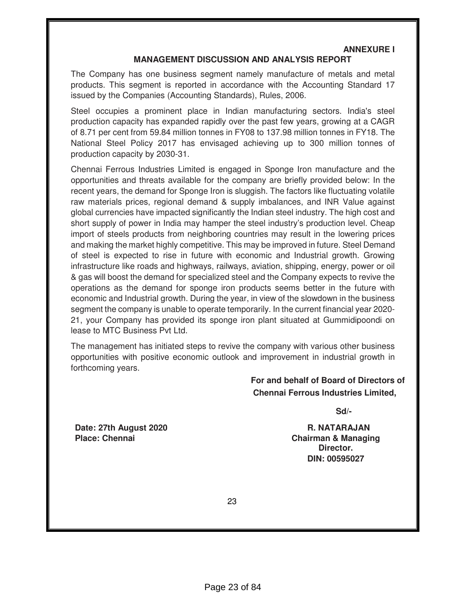### **ANNEXURE I**

#### **MANAGEMENT DISCUSSION AND ANALYSIS REPORT**

The Company has one business segment namely manufacture of metals and metal products. This segment is reported in accordance with the Accounting Standard 17 issued by the Companies (Accounting Standards), Rules, 2006.

Steel occupies a prominent place in Indian manufacturing sectors. India's steel production capacity has expanded rapidly over the past few years, growing at a CAGR of 8.71 per cent from 59.84 million tonnes in FY08 to 137.98 million tonnes in FY18. The National Steel Policy 2017 has envisaged achieving up to 300 million tonnes of production capacity by 2030-31.

Chennai Ferrous Industries Limited is engaged in Sponge Iron manufacture and the opportunities and threats available for the company are briefly provided below: In the recent years, the demand for Sponge Iron is sluggish. The factors like fluctuating volatile raw materials prices, regional demand & supply imbalances, and INR Value against global currencies have impacted significantly the Indian steel industry. The high cost and short supply of power in India may hamper the steel industry's production level. Cheap import of steels products from neighboring countries may result in the lowering prices and making the market highly competitive. This may be improved in future. Steel Demand of steel is expected to rise in future with economic and Industrial growth. Growing infrastructure like roads and highways, railways, aviation, shipping, energy, power or oil & gas will boost the demand for specialized steel and the Company expects to revive the operations as the demand for sponge iron products seems better in the future with economic and Industrial growth. During the year, in view of the slowdown in the business segment the company is unable to operate temporarily. In the current financial year 2020- 21, your Company has provided its sponge iron plant situated at Gummidipoondi on lease to MTC Business Pvt Ltd.

The management has initiated steps to revive the company with various other business opportunities with positive economic outlook and improvement in industrial growth in forthcoming years.

> **For and behalf of Board of Directors of Chennai Ferrous Industries Limited,**

> > **Sd/-**

**Date: 27th August 2020 R. NATARAJAN Place: Chennai Chairman & Managing 2018 Director. DIN: 00595027**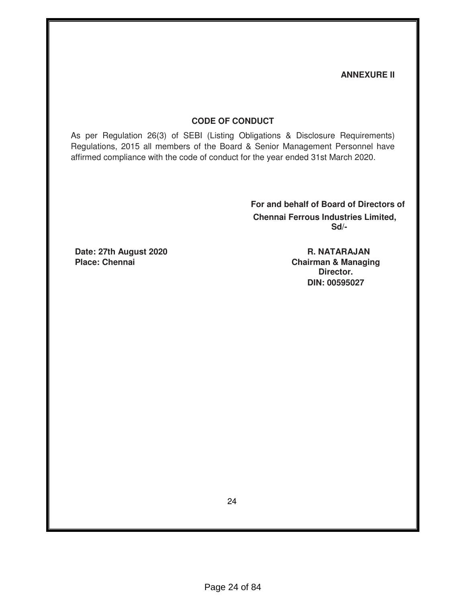#### **ANNEXURE II**

#### **CODE OF CONDUCT**

As per Regulation 26(3) of SEBI (Listing Obligations & Disclosure Requirements) Regulations, 2015 all members of the Board & Senior Management Personnel have affirmed compliance with the code of conduct for the year ended 31st March 2020.

> **For and behalf of Board of Directors of Chennai Ferrous Industries Limited, Sd/-**

Date: 27th August 2020 **R. NATARAJAN Place: Chennai Chairman & Managing Chairman & Managing** 

**Director. DIN: 00595027**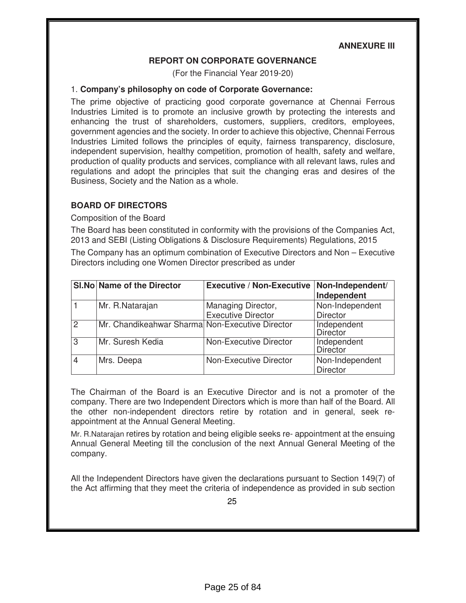#### **ANNEXURE III**

#### **REPORT ON CORPORATE GOVERNANCE**

(For the Financial Year 2019-20)

#### 1. **Company's philosophy on code of Corporate Governance:**

The prime objective of practicing good corporate governance at Chennai Ferrous Industries Limited is to promote an inclusive growth by protecting the interests and enhancing the trust of shareholders, customers, suppliers, creditors, employees, government agencies and the society. In order to achieve this objective, Chennai Ferrous Industries Limited follows the principles of equity, fairness transparency, disclosure, independent supervision, healthy competition, promotion of health, safety and welfare, production of quality products and services, compliance with all relevant laws, rules and regulations and adopt the principles that suit the changing eras and desires of the Business, Society and the Nation as a whole.

#### **BOARD OF DIRECTORS**

Composition of the Board

The Board has been constituted in conformity with the provisions of the Companies Act, 2013 and SEBI (Listing Obligations & Disclosure Requirements) Regulations, 2015

The Company has an optimum combination of Executive Directors and Non – Executive Directors including one Women Director prescribed as under

|                | SI.No Name of the Director                      | <b>Executive / Non-Executive</b>                | Non-Independent/<br>Independent    |
|----------------|-------------------------------------------------|-------------------------------------------------|------------------------------------|
|                | Mr. R.Natarajan                                 | Managing Director,<br><b>Executive Director</b> | Non-Independent<br><b>Director</b> |
| $\overline{2}$ | Mr. Chandikeahwar Sharma Non-Executive Director |                                                 | Independent<br>Director            |
| 3              | Mr. Suresh Kedia                                | Non-Executive Director                          | Independent<br><b>Director</b>     |
|                | Mrs. Deepa                                      | Non-Executive Director                          | Non-Independent<br><b>Director</b> |

The Chairman of the Board is an Executive Director and is not a promoter of the company. There are two Independent Directors which is more than half of the Board. All the other non-independent directors retire by rotation and in general, seek reappointment at the Annual General Meeting.

Mr. R.Natarajan retires by rotation and being eligible seeks re- appointment at the ensuing Annual General Meeting till the conclusion of the next Annual General Meeting of the company.

All the Independent Directors have given the declarations pursuant to Section 149(7) of the Act affirming that they meet the criteria of independence as provided in sub section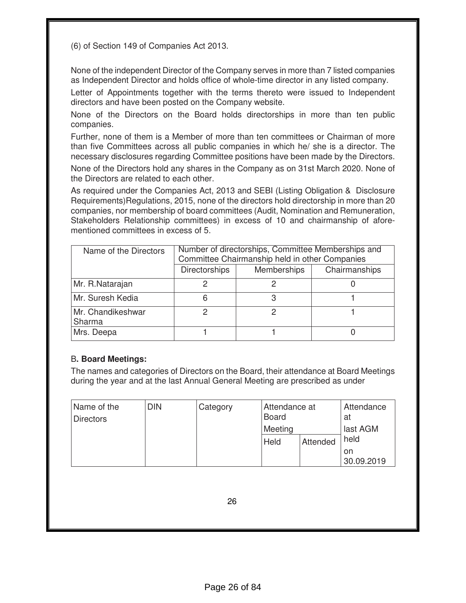(6) of Section 149 of Companies Act 2013.

None of the independent Director of the Company serves in more than 7 listed companies as Independent Director and holds office of whole-time director in any listed company.

Letter of Appointments together with the terms thereto were issued to Independent directors and have been posted on the Company website.

None of the Directors on the Board holds directorships in more than ten public companies.

Further, none of them is a Member of more than ten committees or Chairman of more than five Committees across all public companies in which he/ she is a director. The necessary disclosures regarding Committee positions have been made by the Directors. None of the Directors hold any shares in the Company as on 31st March 2020. None of the Directors are related to each other.

As required under the Companies Act, 2013 and SEBI (Listing Obligation & Disclosure Requirements)Regulations, 2015, none of the directors hold directorship in more than 20 companies, nor membership of board committees (Audit, Nomination and Remuneration, Stakeholders Relationship committees) in excess of 10 and chairmanship of aforementioned committees in excess of 5.

| Name of the Directors       | Number of directorships, Committee Memberships and<br>Committee Chairmanship held in other Companies |                    |               |  |
|-----------------------------|------------------------------------------------------------------------------------------------------|--------------------|---------------|--|
|                             | <b>Directorships</b>                                                                                 | <b>Memberships</b> | Chairmanships |  |
| Mr. R.Natarajan             |                                                                                                      |                    |               |  |
| Mr. Suresh Kedia            |                                                                                                      | З                  |               |  |
| Mr. Chandikeshwar<br>Sharma | ◠                                                                                                    | 2                  |               |  |
| Mrs. Deepa                  |                                                                                                      |                    |               |  |

### B**. Board Meetings:**

The names and categories of Directors on the Board, their attendance at Board Meetings during the year and at the last Annual General Meeting are prescribed as under

| Name of the<br><b>Directors</b> | <b>DIN</b> | Category | Attendance at<br><b>Board</b><br>Meeting |          | Attendance<br>at<br>last AGM |
|---------------------------------|------------|----------|------------------------------------------|----------|------------------------------|
|                                 |            |          | Held                                     | Attended | held                         |
|                                 |            |          |                                          |          | on<br>30.09.2019             |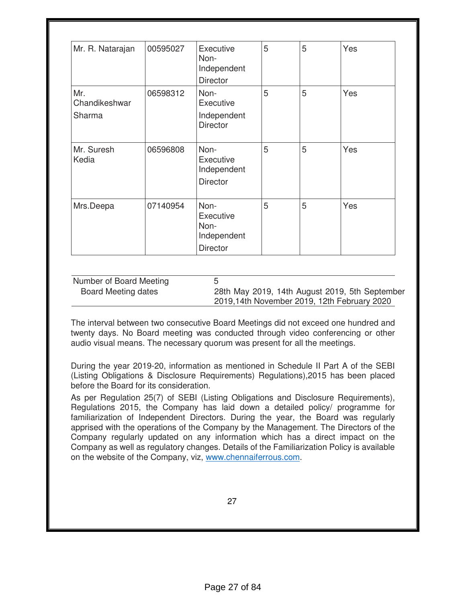| Mr. R. Natarajan               | 00595027 | Executive<br>Non-<br>Independent<br><b>Director</b>         | 5 | 5 | Yes |
|--------------------------------|----------|-------------------------------------------------------------|---|---|-----|
| Mr.<br>Chandikeshwar<br>Sharma | 06598312 | Non-<br>Executive<br>Independent<br><b>Director</b>         | 5 | 5 | Yes |
| Mr. Suresh<br>Kedia            | 06596808 | Non-<br>Executive<br>Independent<br><b>Director</b>         | 5 | 5 | Yes |
| Mrs.Deepa                      | 07140954 | Non-<br>Executive<br>Non-<br>Independent<br><b>Director</b> | 5 | 5 | Yes |

| Number of Board Meeting    |                                                |
|----------------------------|------------------------------------------------|
| <b>Board Meeting dates</b> | 28th May 2019, 14th August 2019, 5th September |
|                            | 2019,14th November 2019, 12th February 2020    |

The interval between two consecutive Board Meetings did not exceed one hundred and twenty days. No Board meeting was conducted through video conferencing or other audio visual means. The necessary quorum was present for all the meetings.

During the year 2019-20, information as mentioned in Schedule II Part A of the SEBI (Listing Obligations & Disclosure Requirements) Regulations),2015 has been placed before the Board for its consideration.

As per Regulation 25(7) of SEBI (Listing Obligations and Disclosure Requirements), Regulations 2015, the Company has laid down a detailed policy/ programme for familiarization of Independent Directors. During the year, the Board was regularly apprised with the operations of the Company by the Management. The Directors of the Company regularly updated on any information which has a direct impact on the Company as well as regulatory changes. Details of the Familiarization Policy is available on the website of the Company, viz, www.chennaiferrous.com.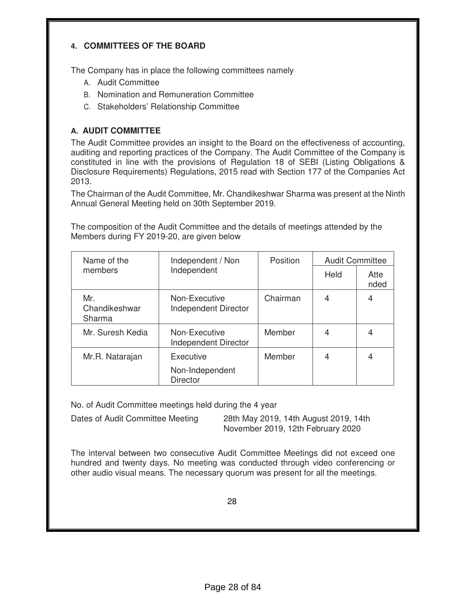### **4. COMMITTEES OF THE BOARD**

The Company has in place the following committees namely

- A. Audit Committee
- B. Nomination and Remuneration Committee
- C. Stakeholders' Relationship Committee

### **A. AUDIT COMMITTEE**

The Audit Committee provides an insight to the Board on the effectiveness of accounting, auditing and reporting practices of the Company. The Audit Committee of the Company is constituted in line with the provisions of Regulation 18 of SEBI (Listing Obligations & Disclosure Requirements) Regulations, 2015 read with Section 177 of the Companies Act 2013.

The Chairman of the Audit Committee, Mr. Chandikeshwar Sharma was present at the Ninth Annual General Meeting held on 30th September 2019.

The composition of the Audit Committee and the details of meetings attended by the Members during FY 2019-20, are given below

| Name of the                    | Independent / Non                               | Position | <b>Audit Committee</b> |              |
|--------------------------------|-------------------------------------------------|----------|------------------------|--------------|
| members                        | Independent                                     |          | <b>Held</b>            | Atte<br>nded |
| Mr.<br>Chandikeshwar<br>Sharma | Non-Executive<br><b>Independent Director</b>    | Chairman | 4                      | 4            |
| Mr. Suresh Kedia               | Non-Executive<br><b>Independent Director</b>    | Member   | 4                      | 4            |
| Mr.R. Natarajan                | Executive<br>Non-Independent<br><b>Director</b> | Member   | 4                      | 4            |

No. of Audit Committee meetings held during the 4 year

Dates of Audit Committee Meeting 28th May 2019, 14th August 2019, 14th November 2019, 12th February 2020

The interval between two consecutive Audit Committee Meetings did not exceed one hundred and twenty days. No meeting was conducted through video conferencing or other audio visual means. The necessary quorum was present for all the meetings.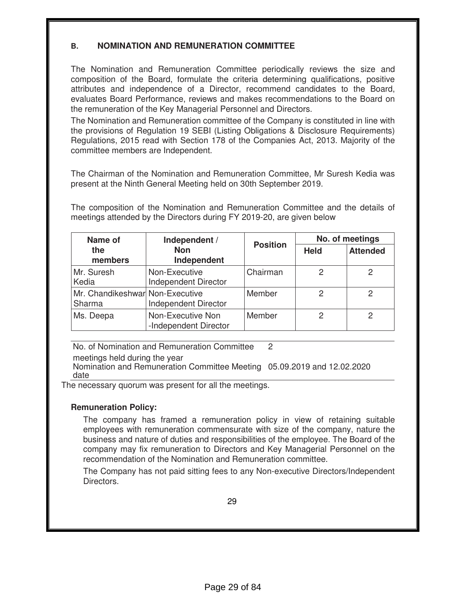### **B. NOMINATION AND REMUNERATION COMMITTEE**

The Nomination and Remuneration Committee periodically reviews the size and composition of the Board, formulate the criteria determining qualifications, positive attributes and independence of a Director, recommend candidates to the Board, evaluates Board Performance, reviews and makes recommendations to the Board on the remuneration of the Key Managerial Personnel and Directors.

The Nomination and Remuneration committee of the Company is constituted in line with the provisions of Regulation 19 SEBI (Listing Obligations & Disclosure Requirements) Regulations, 2015 read with Section 178 of the Companies Act, 2013. Majority of the committee members are Independent.

The Chairman of the Nomination and Remuneration Committee, Mr Suresh Kedia was present at the Ninth General Meeting held on 30th September 2019.

The composition of the Nomination and Remuneration Committee and the details of meetings attended by the Directors during FY 2019-20, are given below

| Name of                                   | Independent /                                | <b>Position</b> | No. of meetings |                 |
|-------------------------------------------|----------------------------------------------|-----------------|-----------------|-----------------|
| the<br>members                            | <b>Non</b><br>Independent                    |                 | <b>Held</b>     | <b>Attended</b> |
| Mr. Suresh<br>Kedia                       | Non-Executive<br><b>Independent Director</b> | Chairman        | 2               | 2               |
| Mr. Chandikeshwar Non-Executive<br>Sharma | <b>Independent Director</b>                  | Member          | 2               | 2               |
| Ms. Deepa                                 | Non-Executive Non<br>-Independent Director   | Member          | 2               | 2               |

No. of Nomination and Remuneration Committee 2

meetings held during the year

Nomination and Remuneration Committee Meeting 05.09.2019 and 12.02.2020 date

The necessary quorum was present for all the meetings.

#### **Remuneration Policy:**

The company has framed a remuneration policy in view of retaining suitable employees with remuneration commensurate with size of the company, nature the business and nature of duties and responsibilities of the employee. The Board of the company may fix remuneration to Directors and Key Managerial Personnel on the recommendation of the Nomination and Remuneration committee.

The Company has not paid sitting fees to any Non-executive Directors/Independent Directors.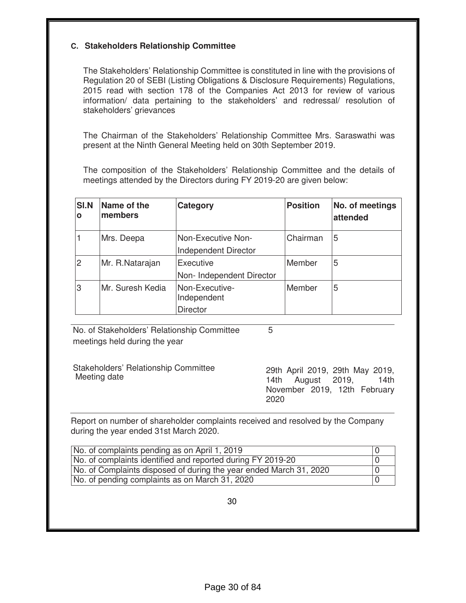### **C. Stakeholders Relationship Committee**

The Stakeholders' Relationship Committee is constituted in line with the provisions of Regulation 20 of SEBI (Listing Obligations & Disclosure Requirements) Regulations, 2015 read with section 178 of the Companies Act 2013 for review of various information/ data pertaining to the stakeholders' and redressal/ resolution of stakeholders' grievances

The Chairman of the Stakeholders' Relationship Committee Mrs. Saraswathi was present at the Ninth General Meeting held on 30th September 2019.

The composition of the Stakeholders' Relationship Committee and the details of meetings attended by the Directors during FY 2019-20 are given below:

| <b>SI.N</b><br>O | Name of the<br>members | Category                                          | <b>Position</b> | No. of meetings<br>attended |
|------------------|------------------------|---------------------------------------------------|-----------------|-----------------------------|
|                  | Mrs. Deepa             | Non-Executive Non-<br><b>Independent Director</b> | Chairman        | 5                           |
| 2                | Mr. R.Natarajan        | Executive<br>Non- Independent Director            | Member          | 5                           |
| 3                | lMr. Suresh Kedia      | Non-Executive-<br>Independent<br><b>Director</b>  | Member          | 5                           |

5

No. of Stakeholders' Relationship Committee meetings held during the year

Stakeholders' Relationship Committee Meeting date

29th April 2019, 29th May 2019, 14th August 2019, 14th November 2019, 12th February 2020

Report on number of shareholder complaints received and resolved by the Company during the year ended 31st March 2020.

| No. of complaints pending as on April 1, 2019                      |  |
|--------------------------------------------------------------------|--|
| No. of complaints identified and reported during FY 2019-20        |  |
| No. of Complaints disposed of during the year ended March 31, 2020 |  |
| No. of pending complaints as on March 31, 2020                     |  |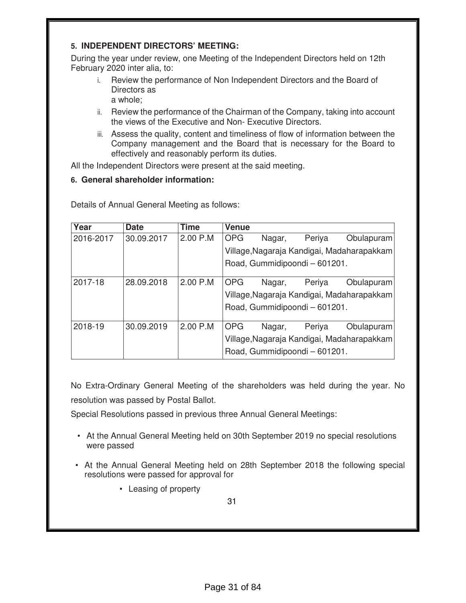### **5. INDEPENDENT DIRECTORS' MEETING:**

During the year under review, one Meeting of the Independent Directors held on 12th February 2020 inter alia, to:

- i. Review the performance of Non Independent Directors and the Board of Directors as a whole;
- ii. Review the performance of the Chairman of the Company, taking into account the views of the Executive and Non- Executive Directors.
- iii. Assess the quality, content and timeliness of flow of information between the Company management and the Board that is necessary for the Board to effectively and reasonably perform its duties.

All the Independent Directors were present at the said meeting.

### **6. General shareholder information:**

| Year      | <b>Date</b> | <b>Time</b> | Venue                                      |        |                               |                                            |
|-----------|-------------|-------------|--------------------------------------------|--------|-------------------------------|--------------------------------------------|
| 2016-2017 | 30.09.2017  | 2.00 P.M    | <b>OPG</b>                                 | Nagar, | Periya                        | Obulapuram                                 |
|           |             |             |                                            |        |                               | Village, Nagaraja Kandigai, Madaharapakkam |
|           |             |             |                                            |        | Road, Gummidipoondi - 601201. |                                            |
| 2017-18   | 28.09.2018  | 2.00 P.M    | <b>OPG</b>                                 | Nagar, | Periya                        | Obulapuram                                 |
|           |             |             | Village, Nagaraja Kandigai, Madaharapakkam |        |                               |                                            |
|           |             |             |                                            |        | Road, Gummidipoondi - 601201. |                                            |
| 2018-19   | 30.09.2019  | 2.00 P.M    | <b>OPG</b>                                 | Nagar, | Periya                        | Obulapuram                                 |
|           |             |             |                                            |        |                               | Village, Nagaraja Kandigai, Madaharapakkam |
|           |             |             | Road, Gummidipoondi - 601201.              |        |                               |                                            |

Details of Annual General Meeting as follows:

No Extra-Ordinary General Meeting of the shareholders was held during the year. No resolution was passed by Postal Ballot.

Special Resolutions passed in previous three Annual General Meetings:

- At the Annual General Meeting held on 30th September 2019 no special resolutions were passed
- At the Annual General Meeting held on 28th September 2018 the following special resolutions were passed for approval for
	- Leasing of property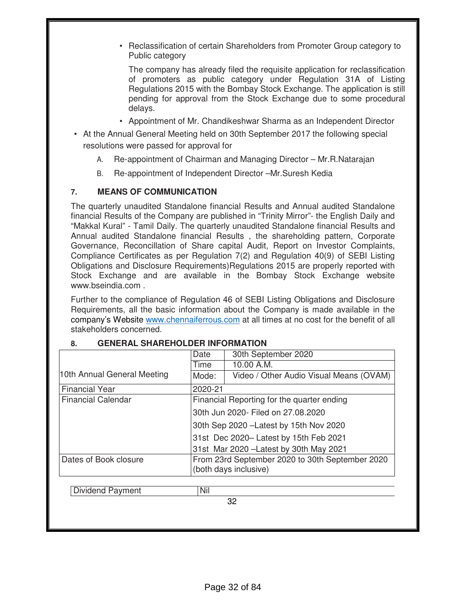• Reclassification of certain Shareholders from Promoter Group category to Public category

The company has already filed the requisite application for reclassification of promoters as public category under Regulation 31A of Listing Regulations 2015 with the Bombay Stock Exchange. The application is still pending for approval from the Stock Exchange due to some procedural delays.

- Appointment of Mr. Chandikeshwar Sharma as an Independent Director
- At the Annual General Meeting held on 30th September 2017 the following special resolutions were passed for approval for
	- A. Re-appointment of Chairman and Managing Director Mr.R.Natarajan
	- B. Re-appointment of Independent Director –Mr.Suresh Kedia

### **7. MEANS OF COMMUNICATION**

The quarterly unaudited Standalone financial Results and Annual audited Standalone financial Results of the Company are published in "Trinity Mirror"- the English Daily and "Makkal Kural" - Tamil Daily. The quarterly unaudited Standalone financial Results and Annual audited Standalone financial Results , the shareholding pattern, Corporate Governance, Reconcillation of Share capital Audit, Report on Investor Complaints, Compliance Certificates as per Regulation 7(2) and Regulation 40(9) of SEBI Listing Obligations and Disclosure Requirements)Regulations 2015 are properly reported with Stock Exchange and are available in the Bombay Stock Exchange website www.bseindia.com .

Further to the compliance of Regulation 46 of SEBI Listing Obligations and Disclosure Requirements, all the basic information about the Company is made available in the company's Website www.chennaiferrous.com at all times at no cost for the benefit of all stakeholders concerned.

|                                                                                                   | Date                                    | 30th September 2020                        |  |  |  |
|---------------------------------------------------------------------------------------------------|-----------------------------------------|--------------------------------------------|--|--|--|
|                                                                                                   | Time                                    | 10.00 A.M.                                 |  |  |  |
| 10th Annual General Meeting                                                                       | Mode:                                   | Video / Other Audio Visual Means (OVAM)    |  |  |  |
| <b>Financial Year</b>                                                                             | 2020-21                                 |                                            |  |  |  |
| <b>Financial Calendar</b>                                                                         |                                         | Financial Reporting for the quarter ending |  |  |  |
|                                                                                                   |                                         | 30th Jun 2020- Filed on 27,08,2020         |  |  |  |
|                                                                                                   | 30th Sep 2020 – Latest by 15th Nov 2020 |                                            |  |  |  |
|                                                                                                   | 31st Dec 2020- Latest by 15th Feb 2021  |                                            |  |  |  |
|                                                                                                   |                                         | 31st Mar 2020 - Latest by 30th May 2021    |  |  |  |
| From 23rd September 2020 to 30th September 2020<br>Dates of Book closure<br>(both days inclusive) |                                         |                                            |  |  |  |
|                                                                                                   |                                         |                                            |  |  |  |
| Dividend Payment                                                                                  | Nil                                     |                                            |  |  |  |
|                                                                                                   |                                         | 32                                         |  |  |  |

### **8. GENERAL SHAREHOLDER INFORMATION**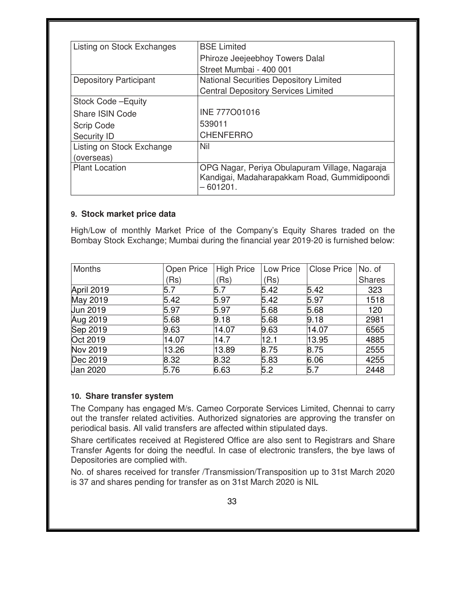| Listing on Stock Exchanges    | <b>BSE Limited</b>                                                                                           |
|-------------------------------|--------------------------------------------------------------------------------------------------------------|
|                               | Phiroze Jeejeebhoy Towers Dalal                                                                              |
|                               | Street Mumbai - 400 001                                                                                      |
| <b>Depository Participant</b> | <b>National Securities Depository Limited</b>                                                                |
|                               | <b>Central Depository Services Limited</b>                                                                   |
| Stock Code - Equity           |                                                                                                              |
| <b>Share ISIN Code</b>        | INE 777001016                                                                                                |
| <b>Scrip Code</b>             | 539011                                                                                                       |
| <b>Security ID</b>            | <b>CHENFERRO</b>                                                                                             |
| Listing on Stock Exchange     | Nil                                                                                                          |
| (overseas)                    |                                                                                                              |
| <b>Plant Location</b>         | OPG Nagar, Periya Obulapuram Village, Nagaraja<br>Kandigai, Madaharapakkam Road, Gummidipoondi<br>$-601201.$ |

#### **9. Stock market price data**

High/Low of monthly Market Price of the Company's Equity Shares traded on the Bombay Stock Exchange; Mumbai during the financial year 2019-20 is furnished below:

| <b>Months</b>   | Open Price | <b>High Price</b> | Low Price | <b>Close Price</b> | No. of |
|-----------------|------------|-------------------|-----------|--------------------|--------|
|                 | (Rs)       | (Rs)              | (Rs)      |                    | Shares |
| April 2019      | 5.7        | 5.7               | 5.42      | 5.42               | 323    |
| May 2019        | 5.42       | 5.97              | 5.42      | 5.97               | 1518   |
| <b>Jun 2019</b> | 5.97       | 5.97              | 5.68      | 5.68               | 120    |
| Aug 2019        | 5.68       | 9.18              | 5.68      | 9.18               | 2981   |
| Sep 2019        | 9.63       | 14.07             | 9.63      | 14.07              | 6565   |
| Oct 2019        | 14.07      | 14.7              | 12.1      | 13.95              | 4885   |
| Nov 2019        | 13.26      | 13.89             | 8.75      | 8.75               | 2555   |
| Dec 2019        | 8.32       | 8.32              | 5.83      | 6.06               | 4255   |
| <b>Jan 2020</b> | 5.76       | 6.63              | 5.2       | 5.7                | 2448   |

#### **10. Share transfer system**

The Company has engaged M/s. Cameo Corporate Services Limited, Chennai to carry out the transfer related activities. Authorized signatories are approving the transfer on periodical basis. All valid transfers are affected within stipulated days.

Share certificates received at Registered Office are also sent to Registrars and Share Transfer Agents for doing the needful. In case of electronic transfers, the bye laws of Depositories are complied with.

No. of shares received for transfer /Transmission/Transposition up to 31st March 2020 is 37 and shares pending for transfer as on 31st March 2020 is NIL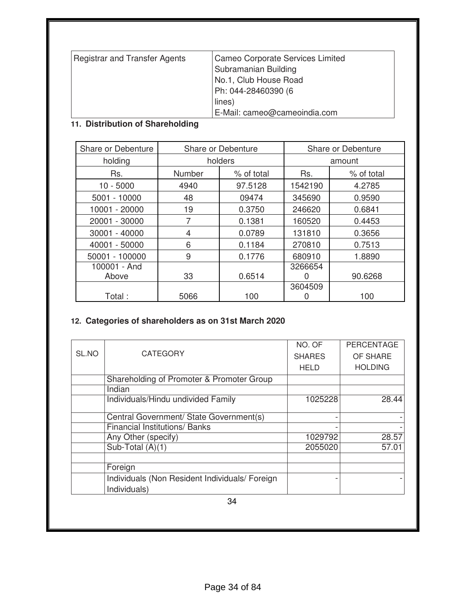| <b>Registrar and Transfer Agents</b> | <b>Cameo Corporate Services Limited</b> |
|--------------------------------------|-----------------------------------------|
|                                      | Subramanian Building                    |
|                                      | No.1, Club House Road                   |
|                                      | Ph: 044-28460390 (6                     |
|                                      | lines)                                  |
|                                      | E-Mail: cameo@cameoindia.com            |

# **11. Distribution of Shareholding**

| Share or Debenture | Share or Debenture |            | Share or Debenture |            |
|--------------------|--------------------|------------|--------------------|------------|
| holding            |                    | holders    |                    | amount     |
| Rs.                | Number             | % of total | Rs.                | % of total |
| $10 - 5000$        | 4940               | 97.5128    | 1542190            | 4.2785     |
| 5001 - 10000       | 48                 | 09474      | 345690             | 0.9590     |
| 10001 - 20000      | 19                 | 0.3750     | 246620             | 0.6841     |
| 20001 - 30000      |                    | 0.1381     | 160520             | 0.4453     |
| 30001 - 40000      | 4                  | 0.0789     | 131810             | 0.3656     |
| 40001 - 50000      | 6                  | 0.1184     | 270810             | 0.7513     |
| 50001 - 100000     | 9                  | 0.1776     | 680910             | 1.8890     |
| 100001 - And       |                    |            | 3266654            |            |
| Above              | 33                 | 0.6514     |                    | 90.6268    |
|                    |                    |            | 3604509            |            |
| Total:             | 5066               | 100        |                    | 100        |

# **12. Categories of shareholders as on 31st March 2020**

|       | <b>CATEGORY</b>                                | NO. OF        | PERCENTAGE     |
|-------|------------------------------------------------|---------------|----------------|
| SL.NO |                                                | <b>SHARES</b> | OF SHARE       |
|       |                                                | <b>HELD</b>   | <b>HOLDING</b> |
|       | Shareholding of Promoter & Promoter Group      |               |                |
|       | Indian                                         |               |                |
|       | Individuals/Hindu undivided Family             | 1025228       | 28.44          |
|       | Central Government/ State Government(s)        |               |                |
|       | <b>Financial Institutions/ Banks</b>           |               |                |
|       | Any Other (specify)                            | 1029792       | 28.57          |
|       | Sub-Total $(A)(1)$                             | 2055020       | 57.01          |
|       | Foreign                                        |               |                |
|       | Individuals (Non Resident Individuals/Foreign) |               |                |
|       | Individuals)                                   |               |                |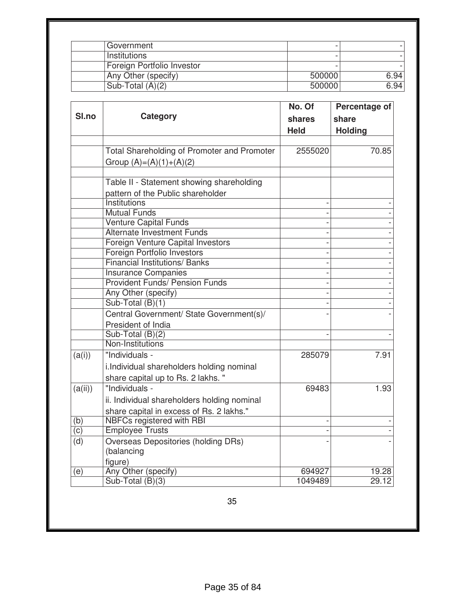| Government                 |        |      |
|----------------------------|--------|------|
| Institutions               |        |      |
| Foreign Portfolio Investor |        |      |
| Any Other (specify)        | 500000 | 6.94 |
| Sub-Total $(A)(2)$         | 500000 | 6.94 |

|         |                                                                                | No. Of                | Percentage of           |
|---------|--------------------------------------------------------------------------------|-----------------------|-------------------------|
| SI.no   | Category                                                                       | shares<br><b>Held</b> | share<br><b>Holding</b> |
|         |                                                                                |                       |                         |
|         | Total Shareholding of Promoter and Promoter<br>Group $(A)=(A)(1)+(A)(2)$       | 2555020               | 70.85                   |
|         |                                                                                |                       |                         |
|         | Table II - Statement showing shareholding<br>pattern of the Public shareholder |                       |                         |
|         | Institutions                                                                   |                       |                         |
|         | <b>Mutual Funds</b>                                                            |                       |                         |
|         | Venture Capital Funds                                                          |                       |                         |
|         | <b>Alternate Investment Funds</b>                                              |                       |                         |
|         | Foreign Venture Capital Investors                                              |                       |                         |
|         | <b>Foreign Portfolio Investors</b>                                             |                       |                         |
|         | <b>Financial Institutions/ Banks</b>                                           |                       |                         |
|         | <b>Insurance Companies</b>                                                     |                       |                         |
|         | <b>Provident Funds/ Pension Funds</b>                                          |                       |                         |
|         | Any Other (specify)                                                            |                       |                         |
|         | Sub-Total (B)(1)                                                               |                       |                         |
|         | Central Government/ State Government(s)/                                       |                       |                         |
|         | President of India                                                             |                       |                         |
|         | Sub-Total (B)(2)                                                               |                       |                         |
|         | Non-Institutions                                                               |                       |                         |
| (a(i))  | "Individuals -                                                                 | 285079                | 7.91                    |
|         | i.Individual shareholders holding nominal                                      |                       |                         |
|         | share capital up to Rs. 2 lakhs."                                              |                       |                         |
| (a(ii)) | "Individuals -                                                                 | 69483                 | 1.93                    |
|         | ii. Individual shareholders holding nominal                                    |                       |                         |
|         | share capital in excess of Rs. 2 lakhs."                                       |                       |                         |
| (b)     | <b>NBFCs registered with RBI</b>                                               |                       |                         |
| (c)     | <b>Employee Trusts</b>                                                         |                       |                         |
| (d)     | Overseas Depositories (holding DRs)                                            |                       |                         |
|         | (balancing                                                                     |                       |                         |
|         | figure)                                                                        |                       |                         |
| (e)     | Any Other (specify)                                                            | 694927                | 19.28                   |
|         | Sub-Total $(B)(3)$                                                             | 1049489               | 29.12                   |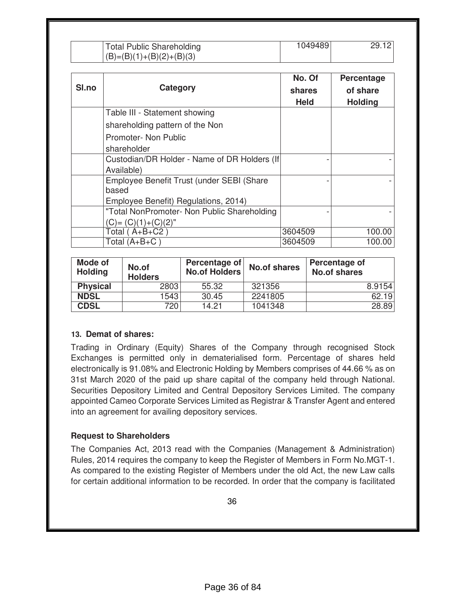| Total Public Shareholding  | 1049489 | 29.12 |
|----------------------------|---------|-------|
| $(B)=(B)(1)+(B)(2)+(B)(3)$ |         |       |

| Sl.no | Category                                           | No. Of<br>shares | Percentage<br>of share |
|-------|----------------------------------------------------|------------------|------------------------|
|       |                                                    | <b>Held</b>      | <b>Holding</b>         |
|       | Table III - Statement showing                      |                  |                        |
|       | shareholding pattern of the Non                    |                  |                        |
|       | Promoter- Non Public                               |                  |                        |
|       | shareholder                                        |                  |                        |
|       | Custodian/DR Holder - Name of DR Holders (If       |                  |                        |
|       | Available)                                         |                  |                        |
|       | Employee Benefit Trust (under SEBI (Share<br>based |                  |                        |
|       | Employee Benefit) Regulations, 2014)               |                  |                        |
|       | "Total NonPromoter- Non Public Shareholding        |                  |                        |
|       | $(C) = (C)(1)+(C)(2)$ "                            |                  |                        |
|       | Total ( $A+B+C2$ )                                 | 3604509          | 100.00                 |
|       | Total (A+B+C                                       | 3604509          | 100.00                 |

| Mode of<br><b>Holding</b> | No.of<br><b>Holders</b> | Percentage of<br><b>No.of Holders</b> | <b>No.of shares</b> | Percentage of<br><b>No.of shares</b> |
|---------------------------|-------------------------|---------------------------------------|---------------------|--------------------------------------|
| <b>Physical</b>           | 2803                    | 55.32                                 | 321356              | 8.9154                               |
| <b>NDSL</b>               | 1543                    | 30.45                                 | 2241805             | 62.19                                |
| <b>CDSL</b>               | 7201                    | 14.21                                 | 1041348             | 28.89                                |

#### **13. Demat of shares:**

Trading in Ordinary (Equity) Shares of the Company through recognised Stock Exchanges is permitted only in dematerialised form. Percentage of shares held electronically is 91.08% and Electronic Holding by Members comprises of 44.66 % as on 31st March 2020 of the paid up share capital of the company held through National. Securities Depository Limited and Central Depository Services Limited. The company appointed Cameo Corporate Services Limited as Registrar & Transfer Agent and entered into an agreement for availing depository services.

### **Request to Shareholders**

The Companies Act, 2013 read with the Companies (Management & Administration) Rules, 2014 requires the company to keep the Register of Members in Form No.MGT-1. As compared to the existing Register of Members under the old Act, the new Law calls for certain additional information to be recorded. In order that the company is facilitated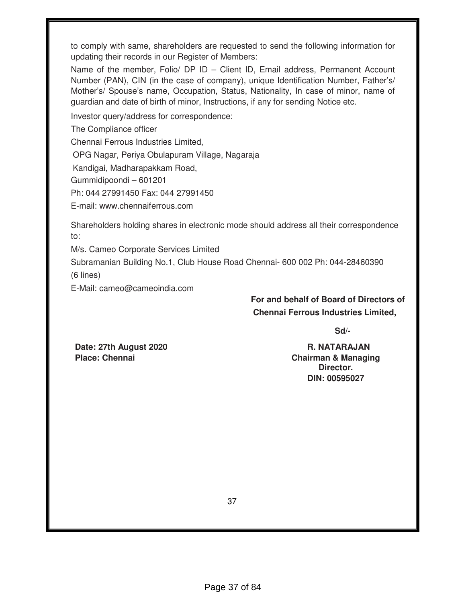to comply with same, shareholders are requested to send the following information for updating their records in our Register of Members:

Name of the member, Folio/ DP ID – Client ID, Email address, Permanent Account Number (PAN), CIN (in the case of company), unique Identification Number, Father's/ Mother's/ Spouse's name, Occupation, Status, Nationality, In case of minor, name of guardian and date of birth of minor, Instructions, if any for sending Notice etc.

Investor query/address for correspondence:

The Compliance officer

Chennai Ferrous Industries Limited,

OPG Nagar, Periya Obulapuram Village, Nagaraja

Kandigai, Madharapakkam Road,

Gummidipoondi – 601201

Ph: 044 27991450 Fax: 044 27991450

E-mail: www.chennaiferrous.com

Shareholders holding shares in electronic mode should address all their correspondence to:

M/s. Cameo Corporate Services Limited

Subramanian Building No.1, Club House Road Chennai- 600 002 Ph: 044-28460390 (6 lines)

E-Mail: cameo@cameoindia.com

# **For and behalf of Board of Directors of Chennai Ferrous Industries Limited,**

**Sd/-** 

**Date: 27th August 2020 R. NATARAJAN Place: Chennai Chairman & Managing 2018** 

**Director. DIN: 00595027**

37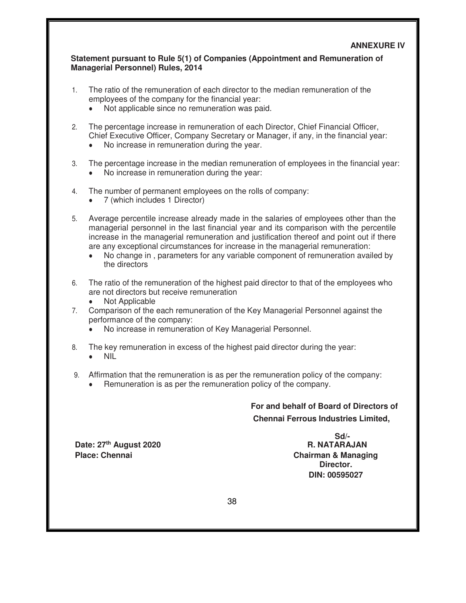#### **ANNEXURE IV**

#### **Statement pursuant to Rule 5(1) of Companies (Appointment and Remuneration of Managerial Personnel) Rules, 2014**

- 1. The ratio of the remuneration of each director to the median remuneration of the employees of the company for the financial year:
	- **●** Not applicable since no remuneration was paid.
- 2. The percentage increase in remuneration of each Director, Chief Financial Officer, Chief Executive Officer, Company Secretary or Manager, if any, in the financial year:
	- **●** No increase in remuneration during the year.
- 3. The percentage increase in the median remuneration of employees in the financial year: **●** No increase in remuneration during the year:
- 4. The number of permanent employees on the rolls of company:
	- **●** 7 (which includes 1 Director)
- 5. Average percentile increase already made in the salaries of employees other than the managerial personnel in the last financial year and its comparison with the percentile increase in the managerial remuneration and justification thereof and point out if there are any exceptional circumstances for increase in the managerial remuneration:
	- **●** No change in , parameters for any variable component of remuneration availed by the directors
- 6. The ratio of the remuneration of the highest paid director to that of the employees who are not directors but receive remuneration
	- **Not Applicable**
- 7. Comparison of the each remuneration of the Key Managerial Personnel against the performance of the company:
	- **●** No increase in remuneration of Key Managerial Personnel.
- 8. The key remuneration in excess of the highest paid director during the year:
	- **●** NIL
- 9. Affirmation that the remuneration is as per the remuneration policy of the company:
	- Remuneration is as per the remuneration policy of the company.

# **For and behalf of Board of Directors of Chennai Ferrous Industries Limited,**

**Date: 27<sup>th</sup> August 2020 Place: Chennai Chairman & Managing** 

**Sd/-**<br>**R. NATARAJAN Director. DIN: 00595027**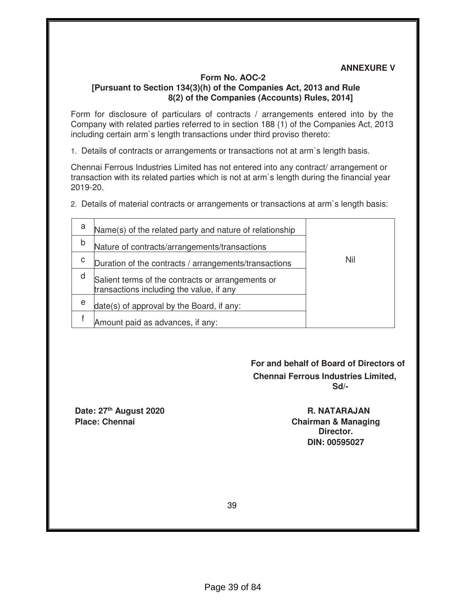# **ANNEXURE V**

# **Form No. AOC-2 [Pursuant to Section 134(3)(h) of the Companies Act, 2013 and Rule 8(2) of the Companies (Accounts) Rules, 2014]**

Form for disclosure of particulars of contracts / arrangements entered into by the Company with related parties referred to in section 188 (1) of the Companies Act, 2013 including certain arm`s length transactions under third proviso thereto:

1. Details of contracts or arrangements or transactions not at arm`s length basis.

Chennai Ferrous Industries Limited has not entered into any contract/ arrangement or transaction with its related parties which is not at arm`s length during the financial year 2019-20.

2. Details of material contracts or arrangements or transactions at arm`s length basis:

| a | Name(s) of the related party and nature of relationship                                       |     |
|---|-----------------------------------------------------------------------------------------------|-----|
| b | Nature of contracts/arrangements/transactions                                                 |     |
| C | Duration of the contracts / arrangements/transactions                                         | Nil |
| d | Salient terms of the contracts or arrangements or<br>transactions including the value, if any |     |
| e | date(s) of approval by the Board, if any:                                                     |     |
|   | Amount paid as advances, if any:                                                              |     |

**For and behalf of Board of Directors of Chennai Ferrous Industries Limited, Sd/-** 

**Date: 27th August 2020 R. NATARAJAN**

**Place: Chennai Chairman & Managing 2018 Director. DIN: 00595027**

39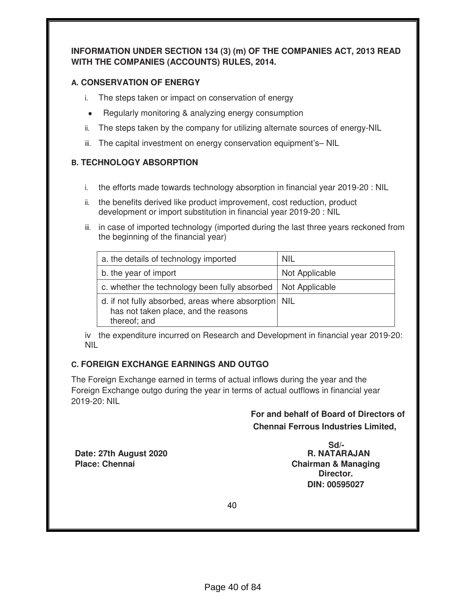# **INFORMATION UNDER SECTION 134 (3) (m) OF THE COMPANIES ACT, 2013 READ WITH THE COMPANIES (ACCOUNTS) RULES, 2014.**

# **A. CONSERVATION OF ENERGY**

- i. The steps taken or impact on conservation of energy
- **●** Regularly monitoring & analyzing energy consumption
- ii. The steps taken by the company for utilizing alternate sources of energy-NIL
- iii. The capital investment on energy conservation equipment's– NIL

# **B. TECHNOLOGY ABSORPTION**

- i. the efforts made towards technology absorption in financial year 2019-20 : NIL
- ii. the benefits derived like product improvement, cost reduction, product development or import substitution in financial year 2019-20 : NIL
- iii. in case of imported technology (imported during the last three years reckoned from the beginning of the financial year)

| a. the details of technology imported                                                                        | <b>NIL</b>     |
|--------------------------------------------------------------------------------------------------------------|----------------|
| b. the year of import                                                                                        | Not Applicable |
| c. whether the technology been fully absorbed   Not Applicable                                               |                |
| d. if not fully absorbed, areas where absorption NIL<br>has not taken place, and the reasons<br>thereof; and |                |

iv the expenditure incurred on Research and Development in financial year 2019-20: NIL

# **C. FOREIGN EXCHANGE EARNINGS AND OUTGO**

The Foreign Exchange earned in terms of actual inflows during the year and the Foreign Exchange outgo during the year in terms of actual outflows in financial year 2019-20: NIL

# **For and behalf of Board of Directors of Chennai Ferrous Industries Limited,**

**Date: 27th August 2020 Place: Chennai Chairman & Managing** *Place:* **Chennai Chairman & Managing <b>Chairman & Managing** 

**Sd/-**<br>**R. NATARAJAN Director. DIN: 00595027**

40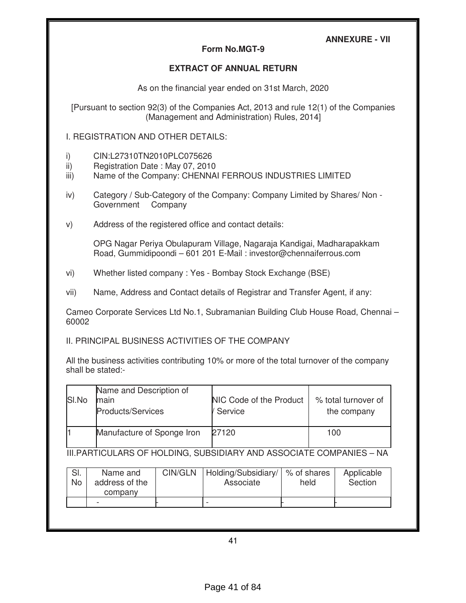# **ANNEXURE - VII**

# **Form No.MGT-9**

# **EXTRACT OF ANNUAL RETURN**

As on the financial year ended on 31st March, 2020

[Pursuant to section 92(3) of the Companies Act, 2013 and rule 12(1) of the Companies (Management and Administration) Rules, 2014]

I. REGISTRATION AND OTHER DETAILS:

- i) CIN:L27310TN2010PLC075626
- ii) Registration Date : May 07, 2010
- iii) Name of the Company: CHENNAI FERROUS INDUSTRIES LIMITED
- iv) Category / Sub-Category of the Company: Company Limited by Shares/ Non Government Company
- v) Address of the registered office and contact details:

OPG Nagar Periya Obulapuram Village, Nagaraja Kandigai, Madharapakkam Road, Gummidipoondi – 601 201 E-Mail : investor@chennaiferrous.com

- vi) Whether listed company : Yes Bombay Stock Exchange (BSE)
- vii) Name, Address and Contact details of Registrar and Transfer Agent, if any:

Cameo Corporate Services Ltd No.1, Subramanian Building Club House Road, Chennai – 60002

II. PRINCIPAL BUSINESS ACTIVITIES OF THE COMPANY

All the business activities contributing 10% or more of the total turnover of the company shall be stated:-

| SI.No | Name and Description of<br>main<br><b>Products/Services</b> | NIC Code of the Product<br>/ Service | % total turnover of<br>the company |
|-------|-------------------------------------------------------------|--------------------------------------|------------------------------------|
|       | Manufacture of Sponge Iron                                  | 27120                                | 100                                |

III.PARTICULARS OF HOLDING, SUBSIDIARY AND ASSOCIATE COMPANIES – NA

| SI.<br><b>No</b> | Name and<br>address of the<br>company | CIN/GLN   Holding/Subsidiary/<br>Associate | % of shares<br>held | Applicable<br>Section |
|------------------|---------------------------------------|--------------------------------------------|---------------------|-----------------------|
|                  |                                       |                                            |                     |                       |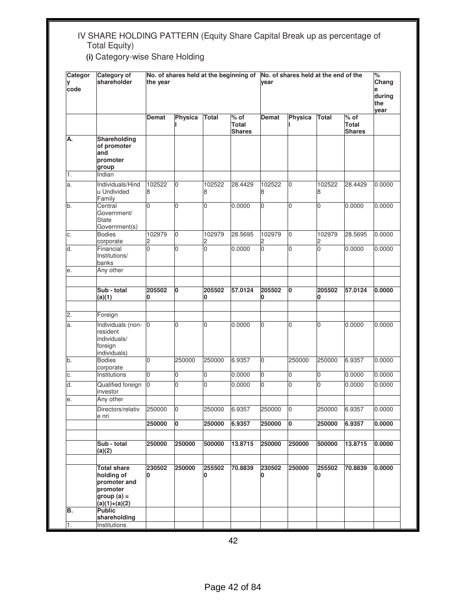# IV SHARE HOLDING PATTERN (Equity Share Capital Break up as percentage of Total Equity)

**(i)** Category-wise Share Holding

| Categor<br>code | No. of shares held at the beginning of<br><b>Category of</b><br>shareholder<br>the year          |                |                |                |                                  | No. of shares held at the end of the<br>vear |                |              |                                  | $\%$<br>Chang<br>е<br>during<br>the |
|-----------------|--------------------------------------------------------------------------------------------------|----------------|----------------|----------------|----------------------------------|----------------------------------------------|----------------|--------------|----------------------------------|-------------------------------------|
|                 |                                                                                                  | <b>Demat</b>   | Physica        | <b>Total</b>   | $%$ of<br>Total<br><b>Shares</b> | <b>Demat</b>                                 | <b>Physica</b> | <b>Total</b> | $%$ of<br>Total<br><b>Shares</b> | year                                |
| А.              | <b>Shareholding</b><br>of promoter<br>and<br>promoter<br>group                                   |                |                |                |                                  |                                              |                |              |                                  |                                     |
| 1.              | Indian                                                                                           |                |                |                |                                  |                                              |                |              |                                  |                                     |
| a.              | Individuals/Hind<br>u Undivided<br>Family                                                        | 102522<br>8    | 0              | 102522<br>8    | 28.4429                          | 102522<br>8                                  | 0              | 102522<br>8  | 28.4429                          | 0.0000                              |
| b.              | Central<br>Government/<br><b>State</b><br>Government(s)                                          | 0              | 0              | 0              | 0.0000                           | 0                                            | 0              | 0            | 0.0000                           | 0.0000                              |
| c.              | <b>Bodies</b><br>corporate                                                                       | 102979<br>2    | 0              | 102979<br>2    | 28.5695                          | 102979                                       | $\Omega$       | 102979<br>2  | 28.5695                          | 0.0000                              |
| d.              | Financial<br>Institutions/<br>banks                                                              | $\overline{0}$ | $\overline{0}$ | $\overline{0}$ | 0.0000                           | 0                                            | 0              | 0            | 0.0000                           | 0.0000                              |
| e.              | Any other                                                                                        |                |                |                |                                  |                                              |                |              |                                  |                                     |
|                 | Sub - total<br>(a)(1)                                                                            | 205502<br>0    | 0              | 205502<br>0    | 57.0124                          | 205502<br>0                                  | 0              | 205502<br>0  | 57.0124                          | 0.0000                              |
| 2.              | Foreign                                                                                          |                |                |                |                                  |                                              |                |              |                                  |                                     |
| a.              | Individuals (non-<br>resident<br>individuals/<br>foreign<br>individuals)                         | $\overline{0}$ | 0              | $\overline{0}$ | 0.0000                           | 0                                            | $\overline{0}$ | 0            | 0.0000                           | 0.0000                              |
| b.              | <b>Bodies</b><br>corporate                                                                       | $\overline{0}$ | 250000         | 250000         | 6.9357                           | $\overline{0}$                               | 250000         | 250000       | 6.9357                           | 0.0000                              |
| c.              | Institutions                                                                                     | 0              | 0              | 0              | 0.0000                           | 0                                            | 0              | 0            | 0.0000                           | 0.0000                              |
| d.              | Qualified foreign<br>investor                                                                    | $\overline{0}$ | $\overline{0}$ | $\overline{0}$ | 0.0000                           | 0                                            | 0              | 0            | 0.0000                           | 0.0000                              |
| е.              | Any other<br>Directors/relativ                                                                   | 250000         | 0              | 250000         | 6.9357                           | 250000                                       | $\overline{0}$ | 250000       | 6.9357                           | 0.0000                              |
|                 | e nri                                                                                            |                |                |                |                                  |                                              |                |              |                                  |                                     |
|                 |                                                                                                  | 250000         | Ō              | 250000         | 6.9357                           | 250000                                       | Ō              | 250000       | 6.9357                           | 0.0000                              |
|                 | Sub - total<br>(a)(2)                                                                            | 250000         | 250000         | 500000         | 13.8715                          | 250000                                       | 250000         | 500000       | 13.8715                          | 0.0000                              |
|                 | <b>Total share</b><br>holding of<br>promoter and<br>promoter<br>group $(a) =$<br>$(a)(1)+(a)(2)$ | 230502<br>0    | 250000         | 255502<br>0    | 70.8839                          | 230502<br>0                                  | 250000         | 255502<br>0  | 70.8839                          | 0.0000                              |
| В.              | <b>Public</b><br>shareholding                                                                    |                |                |                |                                  |                                              |                |              |                                  |                                     |
| 1.              | Institutions                                                                                     |                |                |                |                                  |                                              |                |              |                                  |                                     |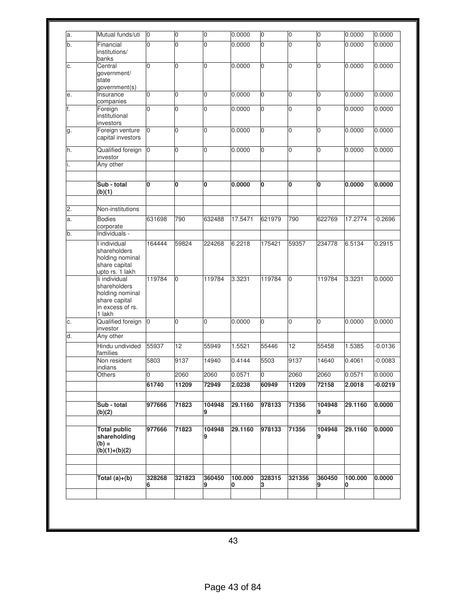| Total $(a)+(b)$                                                | 328268                                                                                                                                                                                                                                                          |                                                                                           |                                         |                                                                           |                                                                     |                                                                                                        |                                                                             |                                                                                      |                                                                     |
|----------------------------------------------------------------|-----------------------------------------------------------------------------------------------------------------------------------------------------------------------------------------------------------------------------------------------------------------|-------------------------------------------------------------------------------------------|-----------------------------------------|---------------------------------------------------------------------------|---------------------------------------------------------------------|--------------------------------------------------------------------------------------------------------|-----------------------------------------------------------------------------|--------------------------------------------------------------------------------------|---------------------------------------------------------------------|
|                                                                |                                                                                                                                                                                                                                                                 | 321823                                                                                    | 360450                                  | 100.000                                                                   | 328315                                                              | 321356                                                                                                 | 360450                                                                      | 100.000                                                                              | 0.0000                                                              |
| $(b) =$<br>$(b)(1)+(b)(2)$                                     |                                                                                                                                                                                                                                                                 |                                                                                           |                                         |                                                                           |                                                                     |                                                                                                        |                                                                             |                                                                                      |                                                                     |
| <b>Total public</b>                                            | 977666                                                                                                                                                                                                                                                          | 71823                                                                                     | 104948                                  | 29.1160                                                                   | 978133                                                              | 71356                                                                                                  | 104948                                                                      | 29.1160                                                                              | 0.0000                                                              |
| Sub - total<br>(b)(2)                                          | 977666                                                                                                                                                                                                                                                          | 71823                                                                                     | 104948<br>9                             | 29.1160                                                                   | 978133                                                              | 71356                                                                                                  | 104948<br>9                                                                 | 29.1160                                                                              | 0.0000                                                              |
|                                                                |                                                                                                                                                                                                                                                                 |                                                                                           |                                         |                                                                           |                                                                     |                                                                                                        |                                                                             |                                                                                      | $-0.0219$                                                           |
|                                                                |                                                                                                                                                                                                                                                                 |                                                                                           |                                         |                                                                           |                                                                     |                                                                                                        |                                                                             |                                                                                      | 0.0000                                                              |
| indians                                                        |                                                                                                                                                                                                                                                                 |                                                                                           |                                         |                                                                           |                                                                     |                                                                                                        |                                                                             |                                                                                      |                                                                     |
| Non resident                                                   | 5803                                                                                                                                                                                                                                                            | 9137                                                                                      | 14940                                   | 0.4144                                                                    | 5503                                                                | 9137                                                                                                   | 14640                                                                       | 0.4061                                                                               | $-0.0083$                                                           |
| Hindu undivided                                                | 55937                                                                                                                                                                                                                                                           | 12                                                                                        | 55949                                   | 1.5521                                                                    | 55446                                                               | 12                                                                                                     | 55458                                                                       | 1.5385                                                                               | $-0.0136$                                                           |
| Any other                                                      |                                                                                                                                                                                                                                                                 |                                                                                           |                                         |                                                                           |                                                                     |                                                                                                        |                                                                             |                                                                                      |                                                                     |
| investor                                                       |                                                                                                                                                                                                                                                                 | 0                                                                                         | $\Omega$                                | 0.0000                                                                    | $\Omega$                                                            | $\Omega$                                                                                               | 0                                                                           | 0.0000                                                                               | 0.0000                                                              |
| holding nominal<br>share capital<br>in excess of rs.<br>1 lakh |                                                                                                                                                                                                                                                                 |                                                                                           |                                         |                                                                           |                                                                     |                                                                                                        |                                                                             |                                                                                      |                                                                     |
| li individual<br>shareholders                                  | 119784                                                                                                                                                                                                                                                          | O                                                                                         | 119784                                  | 3.3231                                                                    | 119784                                                              | $\Omega$                                                                                               | 119784                                                                      | 3.3231                                                                               | 0.0000                                                              |
| shareholders<br>holding nominal<br>share capital               |                                                                                                                                                                                                                                                                 |                                                                                           |                                         |                                                                           |                                                                     |                                                                                                        |                                                                             |                                                                                      |                                                                     |
|                                                                |                                                                                                                                                                                                                                                                 |                                                                                           |                                         |                                                                           |                                                                     |                                                                                                        |                                                                             |                                                                                      | 0.2915                                                              |
| corporate                                                      |                                                                                                                                                                                                                                                                 |                                                                                           |                                         |                                                                           |                                                                     |                                                                                                        |                                                                             |                                                                                      |                                                                     |
|                                                                |                                                                                                                                                                                                                                                                 |                                                                                           |                                         |                                                                           |                                                                     |                                                                                                        |                                                                             |                                                                                      | $-0.2696$                                                           |
|                                                                |                                                                                                                                                                                                                                                                 |                                                                                           |                                         |                                                                           |                                                                     |                                                                                                        |                                                                             |                                                                                      |                                                                     |
| Sub - total                                                    | O                                                                                                                                                                                                                                                               | 0                                                                                         | O                                       | 0.0000                                                                    | O                                                                   | 0                                                                                                      | 0                                                                           | 0.0000                                                                               | 0.0000                                                              |
|                                                                |                                                                                                                                                                                                                                                                 |                                                                                           |                                         |                                                                           |                                                                     |                                                                                                        |                                                                             |                                                                                      |                                                                     |
| investor                                                       |                                                                                                                                                                                                                                                                 | 0                                                                                         |                                         |                                                                           |                                                                     |                                                                                                        |                                                                             |                                                                                      | 0.0000                                                              |
| capital investors                                              |                                                                                                                                                                                                                                                                 |                                                                                           |                                         |                                                                           |                                                                     |                                                                                                        |                                                                             |                                                                                      |                                                                     |
| institutional<br>investors                                     |                                                                                                                                                                                                                                                                 |                                                                                           |                                         |                                                                           |                                                                     |                                                                                                        |                                                                             |                                                                                      | 0.0000                                                              |
| companies<br>Foreign                                           | 0                                                                                                                                                                                                                                                               | 0                                                                                         | $\overline{0}$                          | 0.0000                                                                    | $\overline{0}$                                                      | $\overline{0}$                                                                                         | $\overline{0}$                                                              | 0.0000                                                                               | 0.0000                                                              |
| state<br>government(s)                                         |                                                                                                                                                                                                                                                                 |                                                                                           |                                         |                                                                           |                                                                     |                                                                                                        |                                                                             |                                                                                      | 0.0000                                                              |
| banks<br>Central                                               | $\overline{0}$                                                                                                                                                                                                                                                  | 0                                                                                         | $\Omega$                                | 0.0000                                                                    | 0                                                                   | $\Omega$                                                                                               | 0                                                                           | 0.0000                                                                               | 0.0000                                                              |
| Financial<br>institutions/                                     | $\overline{0}$                                                                                                                                                                                                                                                  | $\overline{0}$                                                                            | $\overline{0}$                          | 0.0000                                                                    | $\overline{0}$                                                      | $\overline{0}$                                                                                         | $\overline{0}$                                                              | 0.0000                                                                               | 0.0000                                                              |
|                                                                | Mutual funds/uti<br>government/<br>Insurance<br>Foreign venture<br>Qualified foreign<br>Any other<br>(b)(1)<br>Non-institutions<br><b>Bodies</b><br>Individuals -<br>I individual<br>upto rs. 1 lakh<br>Qualified foreign<br>families<br>Others<br>shareholding | 0<br>$\overline{0}$<br>$\overline{0}$<br>631698<br>164444<br>$\overline{0}$<br>0<br>61740 | 0<br>0<br>790<br>59824<br>2060<br>11209 | 0<br>0<br>$\overline{0}$<br>$\Omega$<br>632488<br>224268<br>2060<br>72949 | 0.0000<br>0.0000<br>0.0000<br>17.5471<br>6.2218<br>0.0571<br>2.0238 | 0<br>$\overline{0}$<br>$\overline{0}$<br>$\overline{0}$<br>621979<br>175421<br>$\overline{0}$<br>60949 | 0<br>0<br>$\overline{0}$<br>$\overline{0}$<br>790<br>59357<br>2060<br>11209 | 0<br>0<br>$\overline{0}$<br>$\overline{0}$<br>622769<br>234778<br>2060<br>72158<br>9 | 0.0000<br>0.0000<br>0.0000<br>17.2774<br>6.5134<br>0.0571<br>2.0018 |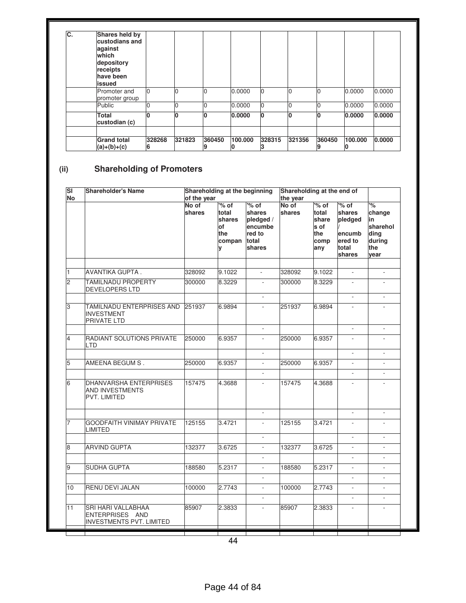# **(ii) Shareholding of Promoters**

| the year<br>No of<br>$\%$ of<br>shares<br>total<br>share<br>s of<br>the<br>comp<br>any<br>328092<br>9.1022<br>300000<br>8.3229<br>251937<br>6.9894 | % of<br>shares<br>pledged<br>encumb<br>ered to<br>total<br>shares<br>÷.<br>L. | $\frac{1}{6}$<br>change<br>in<br>sharehol<br>dina<br>during<br>the<br>year<br>a. |
|----------------------------------------------------------------------------------------------------------------------------------------------------|-------------------------------------------------------------------------------|----------------------------------------------------------------------------------|
|                                                                                                                                                    |                                                                               |                                                                                  |
|                                                                                                                                                    |                                                                               |                                                                                  |
|                                                                                                                                                    |                                                                               |                                                                                  |
|                                                                                                                                                    |                                                                               |                                                                                  |
|                                                                                                                                                    |                                                                               |                                                                                  |
|                                                                                                                                                    | ÷.                                                                            | $\mathcal{L}^{\mathcal{A}}$                                                      |
| 6.9357<br>250000                                                                                                                                   |                                                                               |                                                                                  |
|                                                                                                                                                    |                                                                               |                                                                                  |
| 250000<br>6.9357                                                                                                                                   |                                                                               |                                                                                  |
| 157475<br>4.3688                                                                                                                                   | $\overline{\phantom{a}}$<br>$\overline{\phantom{a}}$                          | $\overline{\phantom{0}}$                                                         |
|                                                                                                                                                    | ÷.                                                                            | $\overline{\phantom{a}}$                                                         |
| 3.4721<br>125155                                                                                                                                   | $\mathbf{r}$                                                                  |                                                                                  |
|                                                                                                                                                    |                                                                               |                                                                                  |
| 132377<br>3.6725                                                                                                                                   | $\mathcal{L}$                                                                 | ÷.                                                                               |
|                                                                                                                                                    | $\mathcal{L}$                                                                 | ÷.                                                                               |
| 188580<br>5.2317                                                                                                                                   | $\mathcal{L}$                                                                 | ÷                                                                                |
|                                                                                                                                                    | $\mathcal{L}^{\mathcal{A}}$                                                   | ÷.                                                                               |
| 100000<br>2.7743                                                                                                                                   | ÷.                                                                            |                                                                                  |
|                                                                                                                                                    |                                                                               |                                                                                  |
| 85907                                                                                                                                              |                                                                               |                                                                                  |
|                                                                                                                                                    | 2.3833                                                                        |                                                                                  |

44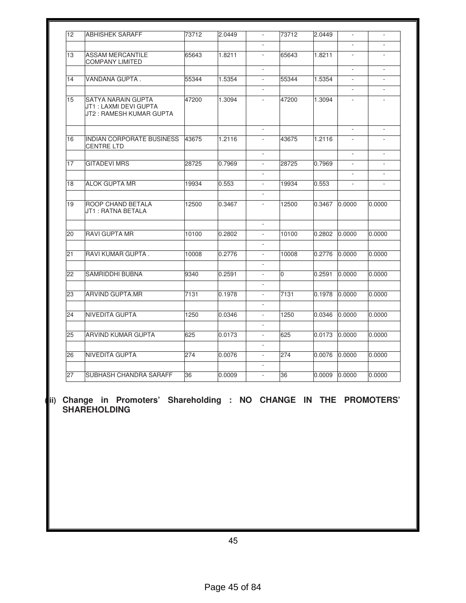| 12 | <b>ABHISHEK SARAFF</b>                                                          | 73712 | 2.0449 | $\overline{a}$                                       | 73712 | 2.0449 | $\sim$                   | $\overline{\phantom{a}}$ |
|----|---------------------------------------------------------------------------------|-------|--------|------------------------------------------------------|-------|--------|--------------------------|--------------------------|
|    |                                                                                 |       |        | ÷                                                    |       |        |                          | ٠                        |
| 13 | <b>ASSAM MERCANTILE</b><br><b>COMPANY LIMITED</b>                               | 65643 | 1.8211 | $\overline{\phantom{a}}$                             | 65643 | 1.8211 | $\mathcal{L}$            | ÷                        |
|    |                                                                                 |       |        | $\overline{\phantom{a}}$                             |       |        | $\overline{\phantom{a}}$ | ÷.                       |
| 14 | VANDANA GUPTA .                                                                 | 55344 | 1.5354 | $\mathcal{L}_{\mathcal{A}}$                          | 55344 | 1.5354 | $\mathcal{L}$            | $\mathcal{L}$            |
|    |                                                                                 |       |        | ÷.                                                   |       |        | $\bar{a}$                | $\overline{\phantom{a}}$ |
| 15 | <b>SATYA NARAIN GUPTA</b><br>JT1 : LAXMI DEVI GUPTA<br>JT2 : RAMESH KUMAR GUPTA | 47200 | 1.3094 | $\overline{\phantom{a}}$                             | 47200 | 1.3094 | $\overline{\phantom{a}}$ | $\sim$                   |
|    |                                                                                 |       |        | $\mathcal{L}$                                        |       |        | ÷.                       | $\omega$                 |
| 16 | <b>INDIAN CORPORATE BUSINESS</b><br><b>CENTRE LTD</b>                           | 43675 | 1.2116 | ÷.                                                   | 43675 | 1.2116 | $\mathcal{L}$            |                          |
|    |                                                                                 |       |        | ×.                                                   |       |        | $\mathbf{r}$             | $\sim$                   |
| 17 | <b>GITADEVI MRS</b>                                                             | 28725 | 0.7969 |                                                      | 28725 | 0.7969 |                          |                          |
|    |                                                                                 |       |        |                                                      |       |        |                          |                          |
| 18 | <b>ALOK GUPTA MR</b>                                                            | 19934 | 0.553  | ÷.<br>$\sim$                                         | 19934 | 0.553  |                          | ÷.                       |
|    | ROOP CHAND BETALA                                                               |       |        |                                                      |       |        |                          |                          |
| 19 | JT1 : RATNA BETALA                                                              | 12500 | 0.3467 | $\overline{\phantom{a}}$                             | 12500 | 0.3467 | 0.0000                   | 0.0000                   |
| 20 | <b>RAVI GUPTA MR</b>                                                            | 10100 | 0.2802 | $\overline{\phantom{a}}$<br>$\sim$                   | 10100 | 0.2802 | 0.0000                   | 0.0000                   |
|    |                                                                                 |       |        | $\sim$                                               |       |        |                          |                          |
| 21 | RAVI KUMAR GUPTA.                                                               | 10008 | 0.2776 | ÷.                                                   | 10008 | 0.2776 | 0.0000                   | 0.0000                   |
|    |                                                                                 |       |        |                                                      |       |        |                          |                          |
| 22 | <b>SAMRIDDHI BUBNA</b>                                                          | 9340  | 0.2591 |                                                      | 0     | 0.2591 | 0.0000                   | 0.0000                   |
|    |                                                                                 |       |        |                                                      |       |        |                          |                          |
| 23 | <b>ARVIND GUPTA.MR</b>                                                          | 7131  | 0.1978 | $\overline{\phantom{a}}$                             | 7131  | 0.1978 | 0.0000                   | 0.0000                   |
| 24 | <b>NIVEDITA GUPTA</b>                                                           | 1250  | 0.0346 | $\overline{\phantom{a}}$<br>$\overline{\phantom{a}}$ | 1250  | 0.0346 | 0.0000                   | 0.0000                   |
|    |                                                                                 |       |        | $\overline{\phantom{a}}$                             |       |        |                          |                          |
| 25 | <b>ARVIND KUMAR GUPTA</b>                                                       | 625   | 0.0173 | $\overline{\phantom{a}}$                             | 625   | 0.0173 | 0.0000                   | 0.0000                   |
| 26 | <b>NIVEDITA GUPTA</b>                                                           | 274   | 0.0076 | $\omega$<br>$\overline{\phantom{a}}$                 | 274   | 0.0076 | 0.0000                   | 0.0000                   |
|    |                                                                                 |       |        | $\sim$                                               |       |        |                          |                          |
| 27 | SUBHASH CHANDRA SARAFF                                                          | 36    | 0.0009 |                                                      | 36    | 0.0009 | 0.0000                   | 0.0000                   |

**(iii) Change in Promoters' Shareholding : NO CHANGE IN THE PROMOTERS' SHAREHOLDING**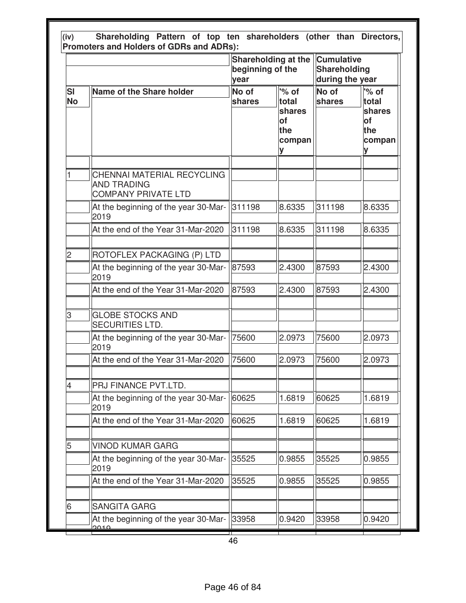|                        |                                                                                       | beginning of the<br>year | <b>Shareholding at the</b>                                  | <b>Cumulative</b><br>Shareholding<br>during the year |                                                      |  |
|------------------------|---------------------------------------------------------------------------------------|--------------------------|-------------------------------------------------------------|------------------------------------------------------|------------------------------------------------------|--|
| <b>SI</b><br><b>No</b> | Name of the Share holder                                                              | No of<br><b>shares</b>   | '% of<br>total<br>shares<br><b>of</b><br>the<br>compan<br>У | No of<br>shares                                      | '% of<br>total<br>shares<br>of<br>the<br>compan<br>у |  |
|                        | <b>CHENNAI MATERIAL RECYCLING</b><br><b>AND TRADING</b><br><b>COMPANY PRIVATE LTD</b> |                          |                                                             |                                                      |                                                      |  |
|                        | At the beginning of the year 30-Mar-<br>2019                                          | 311198                   | 8.6335                                                      | 311198                                               | 8.6335                                               |  |
|                        | At the end of the Year 31-Mar-2020                                                    | 311198                   | 8.6335                                                      | 311198                                               | 8.6335                                               |  |
| 2                      | ROTOFLEX PACKAGING (P) LTD                                                            |                          |                                                             |                                                      |                                                      |  |
|                        | At the beginning of the year 30-Mar-<br>2019                                          | 87593                    | 2.4300                                                      | 87593                                                | 2.4300                                               |  |
|                        | At the end of the Year 31-Mar-2020                                                    | 87593                    | 2.4300                                                      | 87593                                                | 2.4300                                               |  |
| 3                      | <b>GLOBE STOCKS AND</b><br><b>SECURITIES LTD.</b>                                     |                          |                                                             |                                                      |                                                      |  |
|                        | At the beginning of the year 30-Mar-<br>2019                                          | 75600                    | 2.0973                                                      | 75600                                                | 2.0973                                               |  |
|                        | At the end of the Year 31-Mar-2020                                                    | 75600                    | 2.0973                                                      | 75600                                                | 2.0973                                               |  |
| 4                      | PRJ FINANCE PVT.LTD.                                                                  |                          |                                                             |                                                      |                                                      |  |
|                        | At the beginning of the year 30-Mar-<br>2019                                          | 60625                    | 1.6819                                                      | 60625                                                | 1.6819                                               |  |
|                        | At the end of the Year 31-Mar-2020                                                    | 60625                    | 1.6819                                                      | 60625                                                | 1.6819                                               |  |
| 5                      | <b>VINOD KUMAR GARG</b>                                                               |                          |                                                             |                                                      |                                                      |  |
|                        | At the beginning of the year 30-Mar-<br>2019                                          | 35525                    | 0.9855                                                      | 35525                                                | 0.9855                                               |  |
|                        | At the end of the Year 31-Mar-2020                                                    | 35525                    | 0.9855                                                      | 35525                                                | 0.9855                                               |  |
| 6                      | <b>SANGITA GARG</b>                                                                   |                          |                                                             |                                                      |                                                      |  |
|                        | At the beginning of the year 30-Mar- 33958                                            |                          | 0.9420                                                      | 33958                                                | 0.9420                                               |  |

46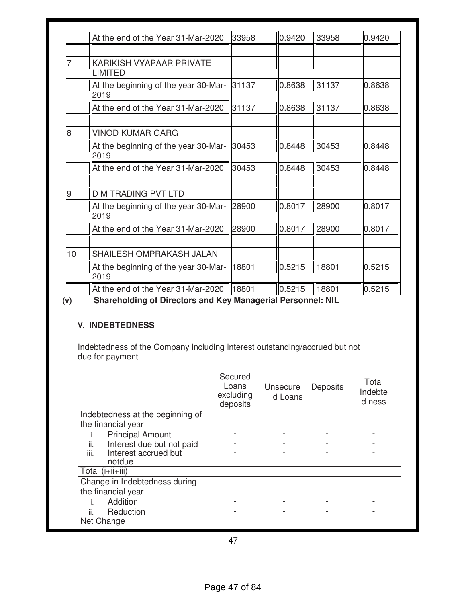|    | At the end of the Year 31-Mar-2020           | 33958 | 0.9420 | 33958 | 0.9420 |
|----|----------------------------------------------|-------|--------|-------|--------|
|    | KARIKISH VYAPAAR PRIVATE<br><b>LIMITED</b>   |       |        |       |        |
|    | At the beginning of the year 30-Mar-<br>2019 | 31137 | 0.8638 | 31137 | 0.8638 |
|    | At the end of the Year 31-Mar-2020           | 31137 | 0.8638 | 31137 | 0.8638 |
| 8  | <b>VINOD KUMAR GARG</b>                      |       |        |       |        |
|    | At the beginning of the year 30-Mar-<br>2019 | 30453 | 0.8448 | 30453 | 0.8448 |
|    | At the end of the Year 31-Mar-2020           | 30453 | 0.8448 | 30453 | 0.8448 |
| 9  | <b>D M TRADING PVT LTD</b>                   |       |        |       |        |
|    | At the beginning of the year 30-Mar-<br>2019 | 28900 | 0.8017 | 28900 | 0.8017 |
|    | At the end of the Year 31-Mar-2020           | 28900 | 0.8017 | 28900 | 0.8017 |
| 10 | <b>SHAILESH OMPRAKASH JALAN</b>              |       |        |       |        |
|    | At the beginning of the year 30-Mar-<br>2019 | 18801 | 0.5215 | 18801 | 0.5215 |
|    | At the end of the Year 31-Mar-2020           | 18801 | 0.5215 | 18801 | 0.5215 |

**(v) Shareholding of Directors and Key Managerial Personnel: NIL**

# **V. INDEBTEDNESS**

Indebtedness of the Company including interest outstanding/accrued but not due for payment

|                                  | Secured<br>Loans<br>excluding<br>deposits | Unsecure<br>d Loans | Deposits | Total<br>Indebte<br>d ness |
|----------------------------------|-------------------------------------------|---------------------|----------|----------------------------|
| Indebtedness at the beginning of |                                           |                     |          |                            |
| the financial year               |                                           |                     |          |                            |
| <b>Principal Amount</b><br>İ.    |                                           |                     |          |                            |
| Interest due but not paid<br>ii. |                                           |                     |          |                            |
| Interest accrued but<br>iii.     |                                           |                     |          |                            |
| notdue                           |                                           |                     |          |                            |
| Total (i+ii+iii)                 |                                           |                     |          |                            |
| Change in Indebtedness during    |                                           |                     |          |                            |
| the financial year               |                                           |                     |          |                            |
| Addition                         |                                           |                     |          |                            |
| ii.<br>Reduction                 |                                           |                     |          |                            |
| Net Change                       |                                           |                     |          |                            |

47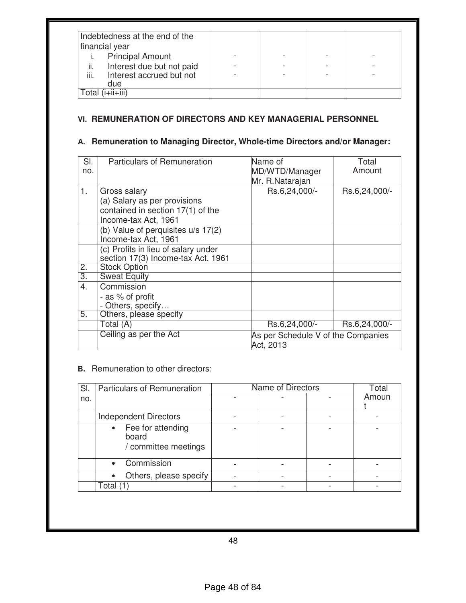| Indebtedness at the end of the<br>financial year |  |  |  |  |
|--------------------------------------------------|--|--|--|--|
| <b>Principal Amount</b>                          |  |  |  |  |
| Interest due but not paid<br>ii.                 |  |  |  |  |
| Interest accrued but not<br>iii.                 |  |  |  |  |
| due                                              |  |  |  |  |
|                                                  |  |  |  |  |

# **VI. REMUNERATION OF DIRECTORS AND KEY MANAGERIAL PERSONNEL**

# **A. Remuneration to Managing Director, Whole-time Directors and/or Manager:**

| SI.<br>no.       | <b>Particulars of Remuneration</b>                                                                        | Name of<br>MD/WTD/Manager<br>Mr. R.Natarajan    | Total<br>Amount |
|------------------|-----------------------------------------------------------------------------------------------------------|-------------------------------------------------|-----------------|
| 1.               | Gross salary<br>(a) Salary as per provisions<br>contained in section 17(1) of the<br>Income-tax Act, 1961 | Rs.6,24,000/-                                   | Rs.6,24,000/-   |
|                  | (b) Value of perquisites u/s 17(2)<br>Income-tax Act, 1961                                                |                                                 |                 |
|                  | (c) Profits in lieu of salary under<br>section 17(3) Income-tax Act, 1961                                 |                                                 |                 |
| $\overline{2}$ . | <b>Stock Option</b>                                                                                       |                                                 |                 |
| 3.               | <b>Sweat Equity</b>                                                                                       |                                                 |                 |
| 4.               | Commission<br>- as % of profit<br>- Others, specify                                                       |                                                 |                 |
| 5.               | Others, please specify                                                                                    |                                                 |                 |
|                  | Total (A)                                                                                                 | Rs.6,24,000/-                                   | Rs.6,24,000/-   |
|                  | Ceiling as per the Act                                                                                    | As per Schedule V of the Companies<br>Act, 2013 |                 |

**B.** Remuneration to other directors:

| SI. | Particulars of Remuneration                        | Name of Directors | Total |
|-----|----------------------------------------------------|-------------------|-------|
| no. |                                                    |                   | Amoun |
|     | <b>Independent Directors</b>                       |                   |       |
|     | Fee for attending<br>board<br>/ committee meetings |                   |       |
|     | Commission                                         |                   |       |
|     | Others, please specify                             |                   |       |
|     | Total                                              |                   |       |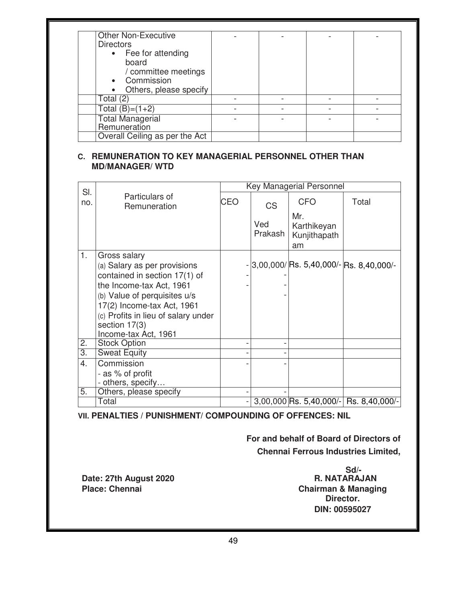| <b>Other Non-Executive</b><br><b>Directors</b><br>• Fee for attending<br>board<br>/ committee meetings<br>• Commission<br>Others, please specify<br>$\bullet$ |  |  |
|---------------------------------------------------------------------------------------------------------------------------------------------------------------|--|--|
| Total (2)                                                                                                                                                     |  |  |
| Total (B)=(1+2)                                                                                                                                               |  |  |
| <b>Total Managerial</b><br>Remuneration                                                                                                                       |  |  |
| Overall Ceiling as per the Act                                                                                                                                |  |  |

# **C. REMUNERATION TO KEY MANAGERIAL PERSONNEL OTHER THAN MD/MANAGER/ WTD**

|                  |                                                                                                                                                                                                                                                         | Key Managerial Personnel |                |                                           |                                        |
|------------------|---------------------------------------------------------------------------------------------------------------------------------------------------------------------------------------------------------------------------------------------------------|--------------------------|----------------|-------------------------------------------|----------------------------------------|
| SI.<br>no.       | Particulars of<br>Remuneration                                                                                                                                                                                                                          | CEO                      | <b>CS</b>      | <b>CFO</b>                                | Total                                  |
|                  |                                                                                                                                                                                                                                                         |                          | Ved<br>Prakash | Mr.<br>Karthikeyan<br>Kunjithapath<br>am  |                                        |
| 1.               | Gross salary<br>(a) Salary as per provisions<br>contained in section 17(1) of<br>the Income-tax Act, 1961<br>(b) Value of perquisites u/s<br>17(2) Income-tax Act, 1961<br>(c) Profits in lieu of salary under<br>section 17(3)<br>Income-tax Act, 1961 |                          |                | $-3,00,000$ /Rs. 5,40,000/-Rs. 8,40,000/- |                                        |
| 2.               | <b>Stock Option</b>                                                                                                                                                                                                                                     |                          |                |                                           |                                        |
| $\overline{3}$ . | <b>Sweat Equity</b>                                                                                                                                                                                                                                     |                          |                |                                           |                                        |
| 4.               | Commission<br>- as % of profit<br>- others, specify                                                                                                                                                                                                     |                          |                |                                           |                                        |
| 5.               | Others, please specify                                                                                                                                                                                                                                  |                          |                |                                           |                                        |
|                  | Total                                                                                                                                                                                                                                                   |                          |                |                                           | 3,00,000 Rs. 5,40,000/- Rs. 8,40,000/- |

**VII. PENALTIES / PUNISHMENT/ COMPOUNDING OF OFFENCES: NIL** 

**For and behalf of Board of Directors of Chennai Ferrous Industries Limited,** 

**Date: 27th August 2020**<br>**Place: Chennai** 

**Sd/-**<br>**R. NATARAJAN Chairman & Managing Director. DIN: 00595027**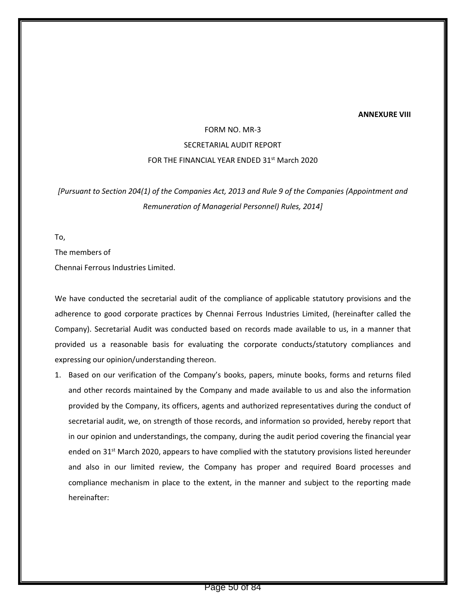#### **ANNEXURE VIII**

# FORM NO. MR-3 SECRETARIAL AUDIT REPORT FOR THE FINANCIAL YEAR ENDED 31<sup>st</sup> March 2020

*[Pursuant to Section 204(1) of the Companies Act, 2013 and Rule 9 of the Companies (Appointment and Remuneration of Managerial Personnel) Rules, 2014]* 

To,

The members of Chennai Ferrous Industries Limited.

We have conducted the secretarial audit of the compliance of applicable statutory provisions and the adherence to good corporate practices by Chennai Ferrous Industries Limited, (hereinafter called the Company). Secretarial Audit was conducted based on records made available to us, in a manner that provided us a reasonable basis for evaluating the corporate conducts/statutory compliances and expressing our opinion/understanding thereon.

1. Based on our verification of the Company's books, papers, minute books, forms and returns filed and other records maintained by the Company and made available to us and also the information provided by the Company, its officers, agents and authorized representatives during the conduct of secretarial audit, we, on strength of those records, and information so provided, hereby report that in our opinion and understandings, the company, during the audit period covering the financial year ended on  $31^{st}$  March 2020, appears to have complied with the statutory provisions listed hereunder and also in our limited review, the Company has proper and required Board processes and compliance mechanism in place to the extent, in the manner and subject to the reporting made hereinafter: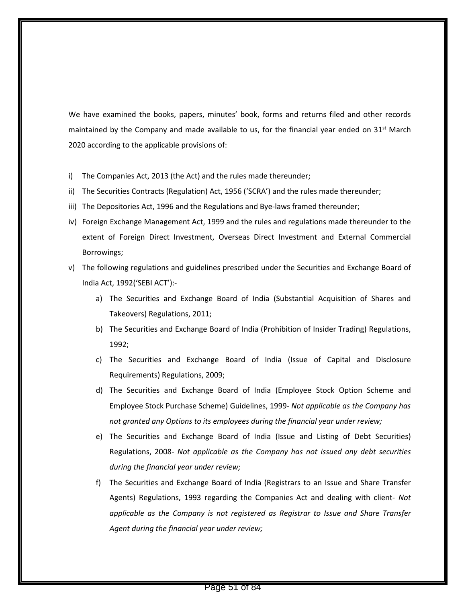We have examined the books, papers, minutes' book, forms and returns filed and other records maintained by the Company and made available to us, for the financial year ended on  $31<sup>st</sup>$  March 2020 according to the applicable provisions of:

- i) The Companies Act, 2013 (the Act) and the rules made thereunder;
- ii) The Securities Contracts (Regulation) Act, 1956 ('SCRA') and the rules made thereunder;
- iii) The Depositories Act, 1996 and the Regulations and Bye-laws framed thereunder;
- iv) Foreign Exchange Management Act, 1999 and the rules and regulations made thereunder to the extent of Foreign Direct Investment, Overseas Direct Investment and External Commercial Borrowings;
- v) The following regulations and guidelines prescribed under the Securities and Exchange Board of India Act, 1992('SEBI ACT'):
	- a) The Securities and Exchange Board of India (Substantial Acquisition of Shares and Takeovers) Regulations, 2011;
	- b) The Securities and Exchange Board of India (Prohibition of Insider Trading) Regulations, 1992;
	- c) The Securities and Exchange Board of India (Issue of Capital and Disclosure Requirements) Regulations, 2009;
	- d) The Securities and Exchange Board of India (Employee Stock Option Scheme and Employee Stock Purchase Scheme) Guidelines, 1999- *Not applicable as the Company has not granted any Options to its employees during the financial year under review;*
	- e) The Securities and Exchange Board of India (Issue and Listing of Debt Securities) Regulations, 2008- *Not applicable as the Company has not issued any debt securities during the financial year under review;*
	- f) The Securities and Exchange Board of India (Registrars to an Issue and Share Transfer Agents) Regulations, 1993 regarding the Companies Act and dealing with client- *Not applicable as the Company is not registered as Registrar to Issue and Share Transfer Agent during the financial year under review;*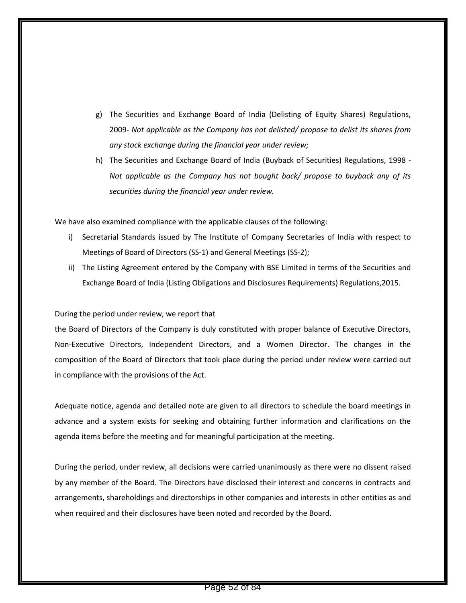- g) The Securities and Exchange Board of India (Delisting of Equity Shares) Regulations, 2009- *Not applicable as the Company has not delisted/ propose to delist its shares from any stock exchange during the financial year under review;*
- h) The Securities and Exchange Board of India (Buyback of Securities) Regulations, 1998 *Not applicable as the Company has not bought back/ propose to buyback any of its securities during the financial year under review.*

We have also examined compliance with the applicable clauses of the following:

- i) Secretarial Standards issued by The Institute of Company Secretaries of India with respect to Meetings of Board of Directors (SS-1) and General Meetings (SS-2);
- ii) The Listing Agreement entered by the Company with BSE Limited in terms of the Securities and Exchange Board of India (Listing Obligations and Disclosures Requirements) Regulations,2015.

#### During the period under review, we report that

the Board of Directors of the Company is duly constituted with proper balance of Executive Directors, Non-Executive Directors, Independent Directors, and a Women Director. The changes in the composition of the Board of Directors that took place during the period under review were carried out in compliance with the provisions of the Act.

Adequate notice, agenda and detailed note are given to all directors to schedule the board meetings in advance and a system exists for seeking and obtaining further information and clarifications on the agenda items before the meeting and for meaningful participation at the meeting.

During the period, under review, all decisions were carried unanimously as there were no dissent raised by any member of the Board. The Directors have disclosed their interest and concerns in contracts and arrangements, shareholdings and directorships in other companies and interests in other entities as and when required and their disclosures have been noted and recorded by the Board.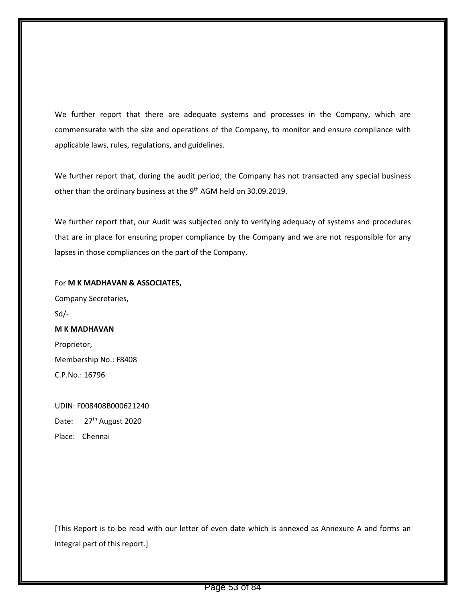We further report that there are adequate systems and processes in the Company, which are commensurate with the size and operations of the Company, to monitor and ensure compliance with applicable laws, rules, regulations, and guidelines.

We further report that, during the audit period, the Company has not transacted any special business other than the ordinary business at the 9<sup>th</sup> AGM held on 30.09.2019.

We further report that, our Audit was subjected only to verifying adequacy of systems and procedures that are in place for ensuring proper compliance by the Company and we are not responsible for any lapses in those compliances on the part of the Company.

#### For **M K MADHAVAN & ASSOCIATES,**

Company Secretaries, Sd/- **M K MADHAVAN**  Proprietor, Membership No.: F8408 C.P.No.: 16796

UDIN: F008408B000621240 Date: 27<sup>th</sup> August 2020 Place: Chennai

[This Report is to be read with our letter of even date which is annexed as Annexure A and forms an integral part of this report.]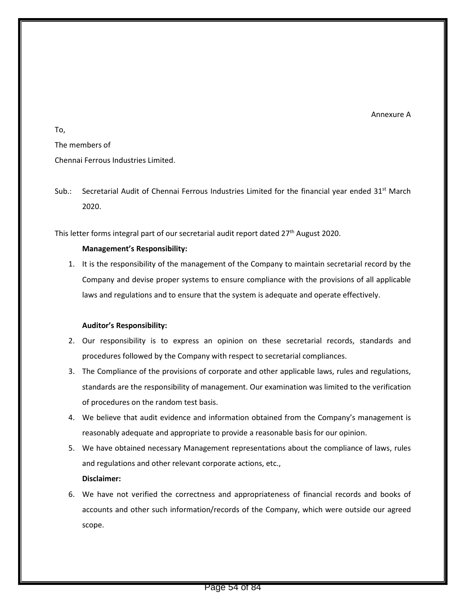To, The members of Chennai Ferrous Industries Limited.

Sub.: Secretarial Audit of Chennai Ferrous Industries Limited for the financial year ended  $31<sup>st</sup>$  March 2020.

This letter forms integral part of our secretarial audit report dated  $27<sup>th</sup>$  August 2020.

### **Management's Responsibility:**

1. It is the responsibility of the management of the Company to maintain secretarial record by the Company and devise proper systems to ensure compliance with the provisions of all applicable laws and regulations and to ensure that the system is adequate and operate effectively.

### **Auditor's Responsibility:**

- 2. Our responsibility is to express an opinion on these secretarial records, standards and procedures followed by the Company with respect to secretarial compliances.
- 3. The Compliance of the provisions of corporate and other applicable laws, rules and regulations, standards are the responsibility of management. Our examination was limited to the verification of procedures on the random test basis.
- 4. We believe that audit evidence and information obtained from the Company's management is reasonably adequate and appropriate to provide a reasonable basis for our opinion.
- 5. We have obtained necessary Management representations about the compliance of laws, rules and regulations and other relevant corporate actions, etc.,

### **Disclaimer:**

6. We have not verified the correctness and appropriateness of financial records and books of accounts and other such information/records of the Company, which were outside our agreed scope.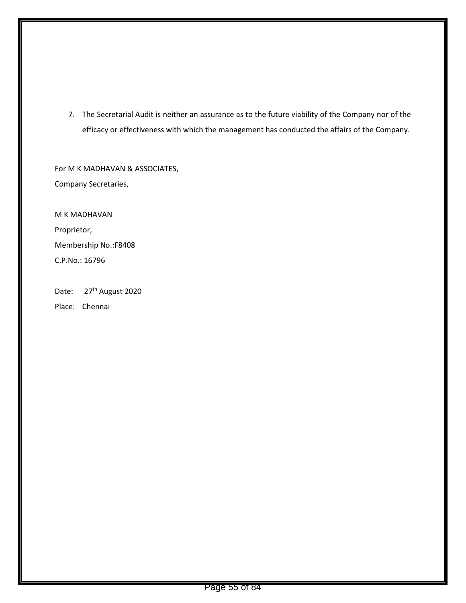7. The Secretarial Audit is neither an assurance as to the future viability of the Company nor of the efficacy or effectiveness with which the management has conducted the affairs of the Company.

For M K MADHAVAN & ASSOCIATES, Company Secretaries,

M K MADHAVAN Proprietor, Membership No.:F8408 C.P.No.: 16796

Date: 27<sup>th</sup> August 2020 Place: Chennai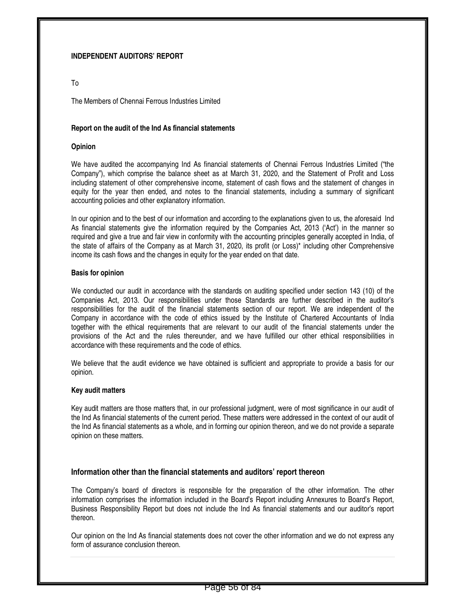#### **INDEPENDENT AUDITORS' REPORT**

#### To

The Members of Chennai Ferrous Industries Limited

#### **Report on the audit of the Ind As financial statements**

#### **Opinion**

We have audited the accompanying Ind As financial statements of Chennai Ferrous Industries Limited ("the Company"), which comprise the balance sheet as at March 31, 2020, and the Statement of Profit and Loss including statement of other comprehensive income, statement of cash flows and the statement of changes in equity for the year then ended, and notes to the financial statements, including a summary of significant accounting policies and other explanatory information.

In our opinion and to the best of our information and according to the explanations given to us, the aforesaid Ind As financial statements give the information required by the Companies Act, 2013 ('Act') in the manner so required and give a true and fair view in conformity with the accounting principles generally accepted in India, of the state of affairs of the Company as at March 31, 2020, its profit (or Loss)\* including other Comprehensive income its cash flows and the changes in equity for the year ended on that date.

#### **Basis for opinion**

We conducted our audit in accordance with the standards on auditing specified under section 143 (10) of the Companies Act, 2013. Our responsibilities under those Standards are further described in the auditor's responsibilities for the audit of the financial statements section of our report. We are independent of the Company in accordance with the code of ethics issued by the Institute of Chartered Accountants of India together with the ethical requirements that are relevant to our audit of the financial statements under the provisions of the Act and the rules thereunder, and we have fulfilled our other ethical responsibilities in accordance with these requirements and the code of ethics.

We believe that the audit evidence we have obtained is sufficient and appropriate to provide a basis for our opinion.

#### **Key audit matters**

Key audit matters are those matters that, in our professional judgment, were of most significance in our audit of the Ind As financial statements of the current period. These matters were addressed in the context of our audit of the Ind As financial statements as a whole, and in forming our opinion thereon, and we do not provide a separate opinion on these matters.

#### **Information other than the financial statements and auditors' report thereon**

The Company's board of directors is responsible for the preparation of the other information. The other information comprises the information included in the Board's Report including Annexures to Board's Report, Business Responsibility Report but does not include the Ind As financial statements and our auditor's report thereon.

Our opinion on the Ind As financial statements does not cover the other information and we do not express any form of assurance conclusion thereon.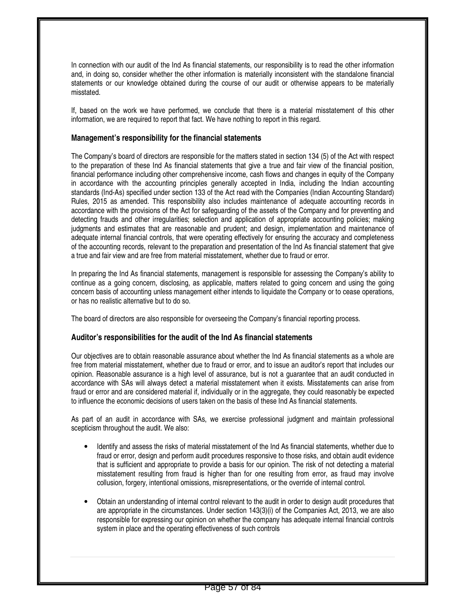In connection with our audit of the Ind As financial statements, our responsibility is to read the other information and, in doing so, consider whether the other information is materially inconsistent with the standalone financial statements or our knowledge obtained during the course of our audit or otherwise appears to be materially misstated.

If, based on the work we have performed, we conclude that there is a material misstatement of this other information, we are required to report that fact. We have nothing to report in this regard.

#### **Management's responsibility for the financial statements**

The Company's board of directors are responsible for the matters stated in section 134 (5) of the Act with respect to the preparation of these Ind As financial statements that give a true and fair view of the financial position, financial performance including other comprehensive income, cash flows and changes in equity of the Company in accordance with the accounting principles generally accepted in India, including the Indian accounting standards (Ind-As) specified under section 133 of the Act read with the Companies (Indian Accounting Standard) Rules, 2015 as amended. This responsibility also includes maintenance of adequate accounting records in accordance with the provisions of the Act for safeguarding of the assets of the Company and for preventing and detecting frauds and other irregularities; selection and application of appropriate accounting policies; making judgments and estimates that are reasonable and prudent; and design, implementation and maintenance of adequate internal financial controls, that were operating effectively for ensuring the accuracy and completeness of the accounting records, relevant to the preparation and presentation of the Ind As financial statement that give a true and fair view and are free from material misstatement, whether due to fraud or error.

In preparing the Ind As financial statements, management is responsible for assessing the Company's ability to continue as a going concern, disclosing, as applicable, matters related to going concern and using the going concern basis of accounting unless management either intends to liquidate the Company or to cease operations, or has no realistic alternative but to do so.

The board of directors are also responsible for overseeing the Company's financial reporting process.

#### **Auditor's responsibilities for the audit of the Ind As financial statements**

Our objectives are to obtain reasonable assurance about whether the Ind As financial statements as a whole are free from material misstatement, whether due to fraud or error, and to issue an auditor's report that includes our opinion. Reasonable assurance is a high level of assurance, but is not a guarantee that an audit conducted in accordance with SAs will always detect a material misstatement when it exists. Misstatements can arise from fraud or error and are considered material if, individually or in the aggregate, they could reasonably be expected to influence the economic decisions of users taken on the basis of these Ind As financial statements.

As part of an audit in accordance with SAs, we exercise professional judgment and maintain professional scepticism throughout the audit. We also:

- Identify and assess the risks of material misstatement of the Ind As financial statements, whether due to fraud or error, design and perform audit procedures responsive to those risks, and obtain audit evidence that is sufficient and appropriate to provide a basis for our opinion. The risk of not detecting a material misstatement resulting from fraud is higher than for one resulting from error, as fraud may involve collusion, forgery, intentional omissions, misrepresentations, or the override of internal control.
- Obtain an understanding of internal control relevant to the audit in order to design audit procedures that are appropriate in the circumstances. Under section 143(3)(i) of the Companies Act, 2013, we are also responsible for expressing our opinion on whether the company has adequate internal financial controls system in place and the operating effectiveness of such controls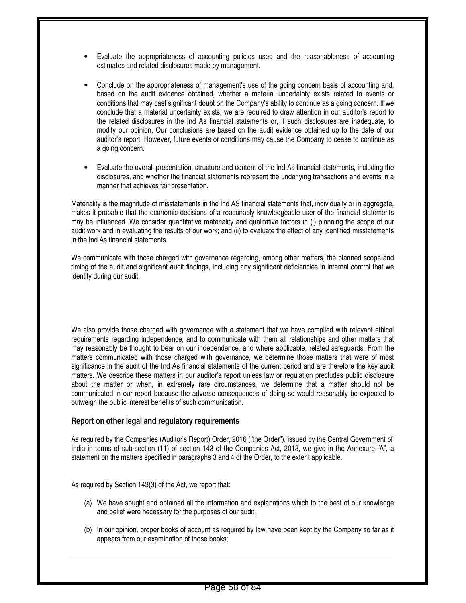- Evaluate the appropriateness of accounting policies used and the reasonableness of accounting estimates and related disclosures made by management.
- Conclude on the appropriateness of management's use of the going concern basis of accounting and, based on the audit evidence obtained, whether a material uncertainty exists related to events or conditions that may cast significant doubt on the Company's ability to continue as a going concern. If we conclude that a material uncertainty exists, we are required to draw attention in our auditor's report to the related disclosures in the Ind As financial statements or, if such disclosures are inadequate, to modify our opinion. Our conclusions are based on the audit evidence obtained up to the date of our auditor's report. However, future events or conditions may cause the Company to cease to continue as a going concern.
- Evaluate the overall presentation, structure and content of the Ind As financial statements, including the disclosures, and whether the financial statements represent the underlying transactions and events in a manner that achieves fair presentation.

Materiality is the magnitude of misstatements in the Ind AS financial statements that, individually or in aggregate, makes it probable that the economic decisions of a reasonably knowledgeable user of the financial statements may be influenced. We consider quantitative materiality and qualitative factors in (i) planning the scope of our audit work and in evaluating the results of our work; and (ii) to evaluate the effect of any identified misstatements in the Ind As financial statements.

We communicate with those charged with governance regarding, among other matters, the planned scope and timing of the audit and significant audit findings, including any significant deficiencies in internal control that we identify during our audit.

We also provide those charged with governance with a statement that we have complied with relevant ethical requirements regarding independence, and to communicate with them all relationships and other matters that may reasonably be thought to bear on our independence, and where applicable, related safeguards. From the matters communicated with those charged with governance, we determine those matters that were of most significance in the audit of the Ind As financial statements of the current period and are therefore the key audit matters. We describe these matters in our auditor's report unless law or regulation precludes public disclosure about the matter or when, in extremely rare circumstances, we determine that a matter should not be communicated in our report because the adverse consequences of doing so would reasonably be expected to outweigh the public interest benefits of such communication.

#### **Report on other legal and regulatory requirements**

As required by the Companies (Auditor's Report) Order, 2016 ("the Order"), issued by the Central Government of India in terms of sub-section (11) of section 143 of the Companies Act, 2013, we give in the Annexure "A", a statement on the matters specified in paragraphs 3 and 4 of the Order, to the extent applicable.

As required by Section 143(3) of the Act, we report that:

- (a) We have sought and obtained all the information and explanations which to the best of our knowledge and belief were necessary for the purposes of our audit;
- (b) In our opinion, proper books of account as required by law have been kept by the Company so far as it appears from our examination of those books;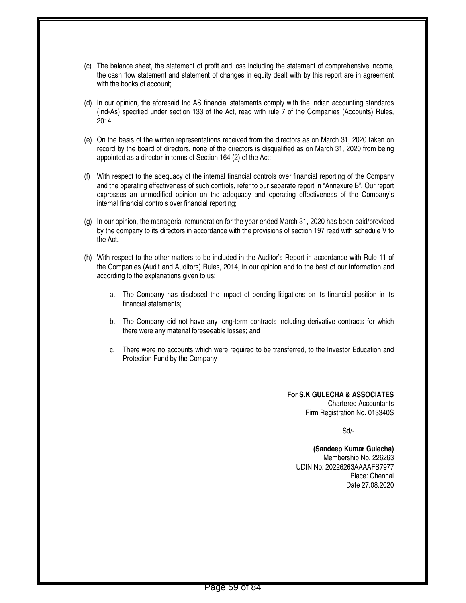- (c) The balance sheet, the statement of profit and loss including the statement of comprehensive income, the cash flow statement and statement of changes in equity dealt with by this report are in agreement with the books of account;
- (d) In our opinion, the aforesaid Ind AS financial statements comply with the Indian accounting standards (Ind-As) specified under section 133 of the Act, read with rule 7 of the Companies (Accounts) Rules, 2014;
- (e) On the basis of the written representations received from the directors as on March 31, 2020 taken on record by the board of directors, none of the directors is disqualified as on March 31, 2020 from being appointed as a director in terms of Section 164 (2) of the Act;
- (f) With respect to the adequacy of the internal financial controls over financial reporting of the Company and the operating effectiveness of such controls, refer to our separate report in "Annexure B". Our report expresses an unmodified opinion on the adequacy and operating effectiveness of the Company's internal financial controls over financial reporting;
- (g) In our opinion, the managerial remuneration for the year ended March 31, 2020 has been paid/provided by the company to its directors in accordance with the provisions of section 197 read with schedule V to the Act.
- (h) With respect to the other matters to be included in the Auditor's Report in accordance with Rule 11 of the Companies (Audit and Auditors) Rules, 2014, in our opinion and to the best of our information and according to the explanations given to us;
	- a. The Company has disclosed the impact of pending litigations on its financial position in its financial statements;
	- b. The Company did not have any long-term contracts including derivative contracts for which there were any material foreseeable losses; and
	- c. There were no accounts which were required to be transferred, to the Investor Education and Protection Fund by the Company

**For S.K GULECHA & ASSOCIATES**  Chartered Accountants Firm Registration No. 013340S

Sd/-

**(Sandeep Kumar Gulecha)**  Membership No. 226263 UDIN No: 20226263AAAAFS7977 Place: Chennai Date 27.08.2020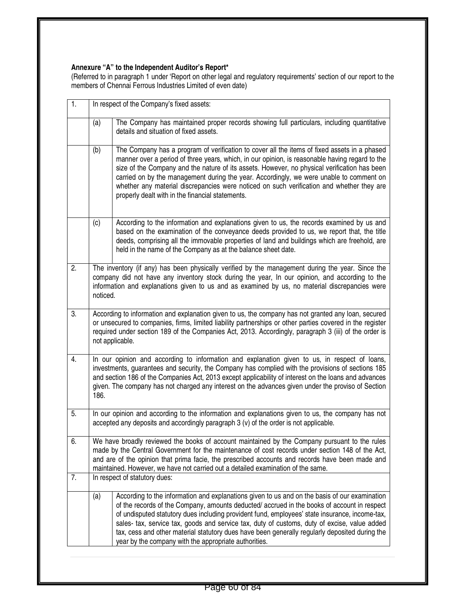### **Annexure "A" to the Independent Auditor's Report\***

(Referred to in paragraph 1 under 'Report on other legal and regulatory requirements' section of our report to the members of Chennai Ferrous Industries Limited of even date)

| 1. |                                                                                                                                                                                                                                                                                                                                                                                          | In respect of the Company's fixed assets:                                                                                                                                                                                                                                                                                                                                                                                                                                                                                                                |  |  |  |
|----|------------------------------------------------------------------------------------------------------------------------------------------------------------------------------------------------------------------------------------------------------------------------------------------------------------------------------------------------------------------------------------------|----------------------------------------------------------------------------------------------------------------------------------------------------------------------------------------------------------------------------------------------------------------------------------------------------------------------------------------------------------------------------------------------------------------------------------------------------------------------------------------------------------------------------------------------------------|--|--|--|
|    | (a)                                                                                                                                                                                                                                                                                                                                                                                      | The Company has maintained proper records showing full particulars, including quantitative<br>details and situation of fixed assets.                                                                                                                                                                                                                                                                                                                                                                                                                     |  |  |  |
|    | (b)                                                                                                                                                                                                                                                                                                                                                                                      | The Company has a program of verification to cover all the items of fixed assets in a phased<br>manner over a period of three years, which, in our opinion, is reasonable having regard to the<br>size of the Company and the nature of its assets. However, no physical verification has been<br>carried on by the management during the year. Accordingly, we were unable to comment on<br>whether any material discrepancies were noticed on such verification and whether they are<br>properly dealt with in the financial statements.               |  |  |  |
|    | (c)                                                                                                                                                                                                                                                                                                                                                                                      | According to the information and explanations given to us, the records examined by us and<br>based on the examination of the conveyance deeds provided to us, we report that, the title<br>deeds, comprising all the immovable properties of land and buildings which are freehold, are<br>held in the name of the Company as at the balance sheet date.                                                                                                                                                                                                 |  |  |  |
| 2. | The inventory (if any) has been physically verified by the management during the year. Since the<br>company did not have any inventory stock during the year, In our opinion, and according to the<br>information and explanations given to us and as examined by us, no material discrepancies were<br>noticed.                                                                         |                                                                                                                                                                                                                                                                                                                                                                                                                                                                                                                                                          |  |  |  |
| 3. |                                                                                                                                                                                                                                                                                                                                                                                          | According to information and explanation given to us, the company has not granted any loan, secured<br>or unsecured to companies, firms, limited liability partnerships or other parties covered in the register<br>required under section 189 of the Companies Act, 2013. Accordingly, paragraph 3 (iii) of the order is<br>not applicable.                                                                                                                                                                                                             |  |  |  |
| 4. | 186.                                                                                                                                                                                                                                                                                                                                                                                     | In our opinion and according to information and explanation given to us, in respect of loans,<br>investments, guarantees and security, the Company has complied with the provisions of sections 185<br>and section 186 of the Companies Act, 2013 except applicability of interest on the loans and advances<br>given. The company has not charged any interest on the advances given under the proviso of Section                                                                                                                                       |  |  |  |
| 5. | In our opinion and according to the information and explanations given to us, the company has not<br>accepted any deposits and accordingly paragraph 3 (v) of the order is not applicable.                                                                                                                                                                                               |                                                                                                                                                                                                                                                                                                                                                                                                                                                                                                                                                          |  |  |  |
| ნ. | We have broadly reviewed the books of account maintained by the Company pursuant to the rules<br>made by the Central Government for the maintenance of cost records under section 148 of the Act,<br>and are of the opinion that prima facie, the prescribed accounts and records have been made and<br>maintained. However, we have not carried out a detailed examination of the same. |                                                                                                                                                                                                                                                                                                                                                                                                                                                                                                                                                          |  |  |  |
| 7. | In respect of statutory dues:                                                                                                                                                                                                                                                                                                                                                            |                                                                                                                                                                                                                                                                                                                                                                                                                                                                                                                                                          |  |  |  |
|    | (a)                                                                                                                                                                                                                                                                                                                                                                                      | According to the information and explanations given to us and on the basis of our examination<br>of the records of the Company, amounts deducted/accrued in the books of account in respect<br>of undisputed statutory dues including provident fund, employees' state insurance, income-tax,<br>sales- tax, service tax, goods and service tax, duty of customs, duty of excise, value added<br>tax, cess and other material statutory dues have been generally regularly deposited during the<br>year by the company with the appropriate authorities. |  |  |  |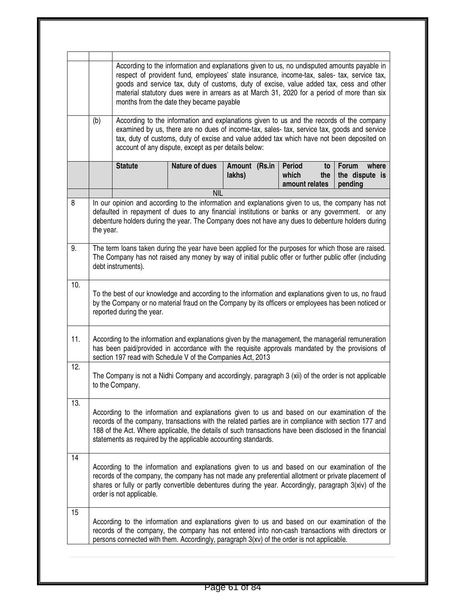|     |                                                                                                                                                                                                                                                                                                                                                                                    |                                                                                                                                                                                                                                                                                                           | months from the date they became payable             | According to the information and explanations given to us, no undisputed amounts payable in<br>respect of provident fund, employees' state insurance, income-tax, sales- tax, service tax,<br>goods and service tax, duty of customs, duty of excise, value added tax, cess and other<br>material statutory dues were in arrears as at March 31, 2020 for a period of more than six |                                                       |                                                    |
|-----|------------------------------------------------------------------------------------------------------------------------------------------------------------------------------------------------------------------------------------------------------------------------------------------------------------------------------------------------------------------------------------|-----------------------------------------------------------------------------------------------------------------------------------------------------------------------------------------------------------------------------------------------------------------------------------------------------------|------------------------------------------------------|-------------------------------------------------------------------------------------------------------------------------------------------------------------------------------------------------------------------------------------------------------------------------------------------------------------------------------------------------------------------------------------|-------------------------------------------------------|----------------------------------------------------|
|     | (b)                                                                                                                                                                                                                                                                                                                                                                                |                                                                                                                                                                                                                                                                                                           | account of any dispute, except as per details below: | According to the information and explanations given to us and the records of the company<br>examined by us, there are no dues of income-tax, sales- tax, service tax, goods and service<br>tax, duty of customs, duty of excise and value added tax which have not been deposited on                                                                                                |                                                       |                                                    |
|     |                                                                                                                                                                                                                                                                                                                                                                                    | <b>Statute</b>                                                                                                                                                                                                                                                                                            | <b>Nature of dues</b>                                | Amount (Rs.in<br>lakhs)                                                                                                                                                                                                                                                                                                                                                             | <b>Period</b><br>to<br>which<br>the<br>amount relates | <b>Forum</b><br>where<br>the dispute is<br>pending |
|     |                                                                                                                                                                                                                                                                                                                                                                                    |                                                                                                                                                                                                                                                                                                           | <b>NIL</b>                                           |                                                                                                                                                                                                                                                                                                                                                                                     |                                                       |                                                    |
| 8   | the year.                                                                                                                                                                                                                                                                                                                                                                          | In our opinion and according to the information and explanations given to us, the company has not<br>defaulted in repayment of dues to any financial institutions or banks or any government. or any<br>debenture holders during the year. The Company does not have any dues to debenture holders during |                                                      |                                                                                                                                                                                                                                                                                                                                                                                     |                                                       |                                                    |
| 9.  |                                                                                                                                                                                                                                                                                                                                                                                    | The term loans taken during the year have been applied for the purposes for which those are raised.<br>The Company has not raised any money by way of initial public offer or further public offer (including<br>debt instruments).                                                                       |                                                      |                                                                                                                                                                                                                                                                                                                                                                                     |                                                       |                                                    |
| 10. | To the best of our knowledge and according to the information and explanations given to us, no fraud<br>by the Company or no material fraud on the Company by its officers or employees has been noticed or<br>reported during the year.                                                                                                                                           |                                                                                                                                                                                                                                                                                                           |                                                      |                                                                                                                                                                                                                                                                                                                                                                                     |                                                       |                                                    |
| 11. | According to the information and explanations given by the management, the managerial remuneration<br>has been paid/provided in accordance with the requisite approvals mandated by the provisions of<br>section 197 read with Schedule V of the Companies Act, 2013                                                                                                               |                                                                                                                                                                                                                                                                                                           |                                                      |                                                                                                                                                                                                                                                                                                                                                                                     |                                                       |                                                    |
| 12. | The Company is not a Nidhi Company and accordingly, paragraph 3 (xii) of the order is not applicable<br>to the Company.                                                                                                                                                                                                                                                            |                                                                                                                                                                                                                                                                                                           |                                                      |                                                                                                                                                                                                                                                                                                                                                                                     |                                                       |                                                    |
| 13. | According to the information and explanations given to us and based on our examination of the<br>records of the company, transactions with the related parties are in compliance with section 177 and<br>188 of the Act. Where applicable, the details of such transactions have been disclosed in the financial<br>statements as required by the applicable accounting standards. |                                                                                                                                                                                                                                                                                                           |                                                      |                                                                                                                                                                                                                                                                                                                                                                                     |                                                       |                                                    |
| 14  | According to the information and explanations given to us and based on our examination of the<br>records of the company, the company has not made any preferential allotment or private placement of<br>shares or fully or partly convertible debentures during the year. Accordingly, paragraph 3(xiv) of the<br>order is not applicable.                                         |                                                                                                                                                                                                                                                                                                           |                                                      |                                                                                                                                                                                                                                                                                                                                                                                     |                                                       |                                                    |
| 15  |                                                                                                                                                                                                                                                                                                                                                                                    | According to the information and explanations given to us and based on our examination of the<br>records of the company, the company has not entered into non-cash transactions with directors or<br>persons connected with them. Accordingly, paragraph 3(xv) of the order is not applicable.            |                                                      |                                                                                                                                                                                                                                                                                                                                                                                     |                                                       |                                                    |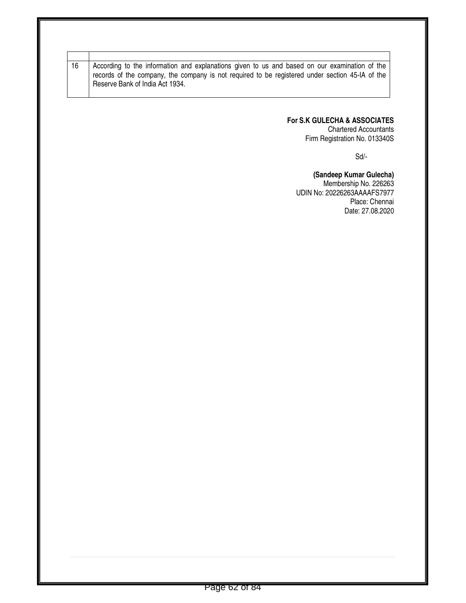| 16 | According to the information and explanations given to us and based on our examination of the<br>records of the company, the company is not required to be registered under section 45-IA of the<br>Reserve Bank of India Act 1934. |
|----|-------------------------------------------------------------------------------------------------------------------------------------------------------------------------------------------------------------------------------------|
|    | For S.K GULECHA & ASSOCIATES<br><b>Chartered Accountants</b><br>Firm Registration No. 013340S                                                                                                                                       |
|    | Sd/-                                                                                                                                                                                                                                |
|    | (Sandeep Kumar Gulecha)<br>Membership No. 226263<br>UDIN No: 20226263AAAAFS7977<br>Place: Chennai<br>Date: 27.08.2020                                                                                                               |
|    |                                                                                                                                                                                                                                     |
|    |                                                                                                                                                                                                                                     |
|    |                                                                                                                                                                                                                                     |
|    |                                                                                                                                                                                                                                     |
|    |                                                                                                                                                                                                                                     |
|    |                                                                                                                                                                                                                                     |
|    |                                                                                                                                                                                                                                     |
|    |                                                                                                                                                                                                                                     |
|    |                                                                                                                                                                                                                                     |
|    |                                                                                                                                                                                                                                     |
|    |                                                                                                                                                                                                                                     |
|    |                                                                                                                                                                                                                                     |
|    |                                                                                                                                                                                                                                     |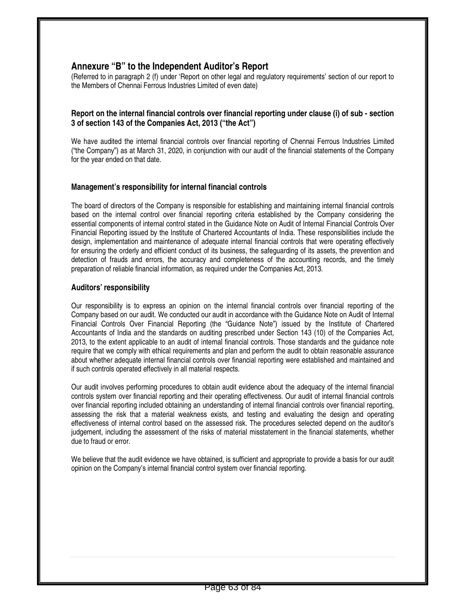# **Annexure "B" to the Independent Auditor's Report**

(Referred to in paragraph 2 (f) under 'Report on other legal and regulatory requirements' section of our report to the Members of Chennai Ferrous Industries Limited of even date)

#### **Report on the internal financial controls over financial reporting under clause (i) of sub - section 3 of section 143 of the Companies Act, 2013 ("the Act")**

We have audited the internal financial controls over financial reporting of Chennai Ferrous Industries Limited ("the Company") as at March 31, 2020, in conjunction with our audit of the financial statements of the Company for the year ended on that date.

#### **Management's responsibility for internal financial controls**

The board of directors of the Company is responsible for establishing and maintaining internal financial controls based on the internal control over financial reporting criteria established by the Company considering the essential components of internal control stated in the Guidance Note on Audit of Internal Financial Controls Over Financial Reporting issued by the Institute of Chartered Accountants of India. These responsibilities include the design, implementation and maintenance of adequate internal financial controls that were operating effectively for ensuring the orderly and efficient conduct of its business, the safeguarding of its assets, the prevention and detection of frauds and errors, the accuracy and completeness of the accounting records, and the timely preparation of reliable financial information, as required under the Companies Act, 2013.

#### **Auditors' responsibility**

Our responsibility is to express an opinion on the internal financial controls over financial reporting of the Company based on our audit. We conducted our audit in accordance with the Guidance Note on Audit of Internal Financial Controls Over Financial Reporting (the "Guidance Note") issued by the Institute of Chartered Accountants of India and the standards on auditing prescribed under Section 143 (10) of the Companies Act, 2013, to the extent applicable to an audit of internal financial controls. Those standards and the guidance note require that we comply with ethical requirements and plan and perform the audit to obtain reasonable assurance about whether adequate internal financial controls over financial reporting were established and maintained and if such controls operated effectively in all material respects.

Our audit involves performing procedures to obtain audit evidence about the adequacy of the internal financial controls system over financial reporting and their operating effectiveness. Our audit of internal financial controls over financial reporting included obtaining an understanding of internal financial controls over financial reporting, assessing the risk that a material weakness exists, and testing and evaluating the design and operating effectiveness of internal control based on the assessed risk. The procedures selected depend on the auditor's judgement, including the assessment of the risks of material misstatement in the financial statements, whether due to fraud or error.

We believe that the audit evidence we have obtained, is sufficient and appropriate to provide a basis for our audit opinion on the Company's internal financial control system over financial reporting.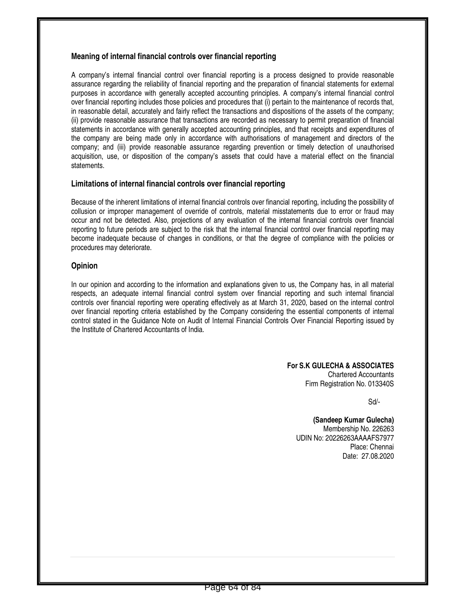#### **Meaning of internal financial controls over financial reporting**

A company's internal financial control over financial reporting is a process designed to provide reasonable assurance regarding the reliability of financial reporting and the preparation of financial statements for external purposes in accordance with generally accepted accounting principles. A company's internal financial control over financial reporting includes those policies and procedures that (i) pertain to the maintenance of records that, in reasonable detail, accurately and fairly reflect the transactions and dispositions of the assets of the company; (ii) provide reasonable assurance that transactions are recorded as necessary to permit preparation of financial statements in accordance with generally accepted accounting principles, and that receipts and expenditures of the company are being made only in accordance with authorisations of management and directors of the company; and (iii) provide reasonable assurance regarding prevention or timely detection of unauthorised acquisition, use, or disposition of the company's assets that could have a material effect on the financial statements.

#### **Limitations of internal financial controls over financial reporting**

Because of the inherent limitations of internal financial controls over financial reporting, including the possibility of collusion or improper management of override of controls, material misstatements due to error or fraud may occur and not be detected. Also, projections of any evaluation of the internal financial controls over financial reporting to future periods are subject to the risk that the internal financial control over financial reporting may become inadequate because of changes in conditions, or that the degree of compliance with the policies or procedures may deteriorate.

### **Opinion**

In our opinion and according to the information and explanations given to us, the Company has, in all material respects, an adequate internal financial control system over financial reporting and such internal financial controls over financial reporting were operating effectively as at March 31, 2020, based on the internal control over financial reporting criteria established by the Company considering the essential components of internal control stated in the Guidance Note on Audit of Internal Financial Controls Over Financial Reporting issued by the Institute of Chartered Accountants of India.

> **For S.K GULECHA & ASSOCIATES**  Chartered Accountants Firm Registration No. 013340S

> > Sd/-

**(Sandeep Kumar Gulecha)**  Membership No. 226263 UDIN No: 20226263AAAAFS7977 Place: Chennai Date: 27.08.2020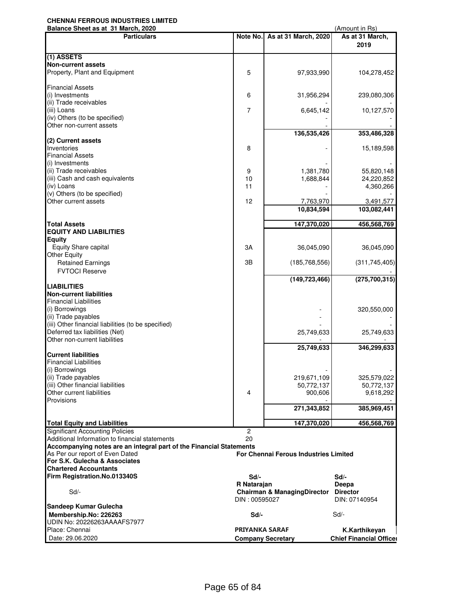# **CHENNAI FERROUS INDUSTRIES LIMITED**

| <b>Particulars</b><br>Note No.<br>As at 31 March, 2020<br>As at 31 March,<br>2019<br>(1) ASSETS<br><b>Non-current assets</b><br>Property, Plant and Equipment<br>5<br>97,933,990<br>104,278,452<br><b>Financial Assets</b><br>(i) Investments<br>6<br>31,956,294<br>239,080,306<br>(ii) Trade receivables<br>(iii) Loans<br>$\overline{7}$<br>6,645,142<br>10,127,570<br>(iv) Others (to be specified)<br>Other non-current assets<br>136,535,426<br>353,486,328<br>(2) Current assets<br>8<br>15,189,598<br>(i) Investments<br>9<br>1,381,780<br>55,820,148<br>(iii) Cash and cash equivalents<br>10<br>1,688,844<br>24,220,852<br>11<br>4,360,266<br>(v) Others (to be specified)<br>12<br>7,763,970<br>3,491,577<br>10,834,594<br>103,082,441<br>147,370,020<br>456,568,769<br>Equity Share capital<br>3A<br>36,045,090<br>36,045,090<br><b>Other Equity</b><br>3B<br>(311, 745, 405)<br><b>Retained Earnings</b><br>(185, 768, 556)<br><b>FVTOCI Reserve</b><br>(149, 723, 466)<br>(275, 700, 315)<br>(i) Borrowings<br>320,550,000<br>(ii) Trade payables<br>(iii) Other financial liabilities (to be specified)<br>Deferred tax liabilities (Net)<br>25,749,633<br>25,749,633<br>Other non-current liabilities<br>25,749,633<br>346,299,633<br><b>Current liabilities</b><br><b>Financial Liabilities</b><br>(i) Borrowings<br>(ii) Trade payables<br>219,671,109<br>325,579,022<br>(iii) Other financial liabilities<br>50,772,137<br>50,772,137<br>Other current liabilities<br>4<br>900,606<br>9,618,292<br>Provisions<br>271,343,852<br>385,969,451<br><b>Total Equity and Liabilities</b><br>147,370,020<br>456,568,769<br>$\mathbf{2}$<br><b>Significant Accounting Policies</b><br>20<br>Additional Information to financial statements<br>Accompanying notes are an integral part of the Financial Statements<br>As Per our report of Even Dated<br><b>For Chennai Ferous Industries Limited</b><br>For S.K. Gulecha & Associates<br><b>Chartered Accountants</b><br>Firm Registration.No.013340S<br>Sd/-<br>Sd/-<br>R Natarajan<br>Deepa<br>$Sd$ -<br><b>Chairman &amp; ManagingDirector</b><br><b>Director</b><br>DIN: 00595027<br>DIN: 07140954<br>Sandeep Kumar Gulecha<br>Membership.No: 226263<br>Sd<br>Sd/-<br>UDIN No: 20226263AAAAFS7977<br>Place: Chennai<br><b>PRIYANKA SARAF</b><br>K.Karthikeyan<br>Date: 29.06.2020<br><b>Company Secretary</b> | Balance Sheet as at 31 March, 2020 |  | (Amount in Rs) |
|-----------------------------------------------------------------------------------------------------------------------------------------------------------------------------------------------------------------------------------------------------------------------------------------------------------------------------------------------------------------------------------------------------------------------------------------------------------------------------------------------------------------------------------------------------------------------------------------------------------------------------------------------------------------------------------------------------------------------------------------------------------------------------------------------------------------------------------------------------------------------------------------------------------------------------------------------------------------------------------------------------------------------------------------------------------------------------------------------------------------------------------------------------------------------------------------------------------------------------------------------------------------------------------------------------------------------------------------------------------------------------------------------------------------------------------------------------------------------------------------------------------------------------------------------------------------------------------------------------------------------------------------------------------------------------------------------------------------------------------------------------------------------------------------------------------------------------------------------------------------------------------------------------------------------------------------------------------------------------------------------------------------------------------------------------------------------------------------------------------------------------------------------------------------------------------------------------------------------------------------------------------------------------------------------------------------------------------------------------------------------------|------------------------------------|--|----------------|
|                                                                                                                                                                                                                                                                                                                                                                                                                                                                                                                                                                                                                                                                                                                                                                                                                                                                                                                                                                                                                                                                                                                                                                                                                                                                                                                                                                                                                                                                                                                                                                                                                                                                                                                                                                                                                                                                                                                                                                                                                                                                                                                                                                                                                                                                                                                                                                             |                                    |  |                |
|                                                                                                                                                                                                                                                                                                                                                                                                                                                                                                                                                                                                                                                                                                                                                                                                                                                                                                                                                                                                                                                                                                                                                                                                                                                                                                                                                                                                                                                                                                                                                                                                                                                                                                                                                                                                                                                                                                                                                                                                                                                                                                                                                                                                                                                                                                                                                                             |                                    |  |                |
|                                                                                                                                                                                                                                                                                                                                                                                                                                                                                                                                                                                                                                                                                                                                                                                                                                                                                                                                                                                                                                                                                                                                                                                                                                                                                                                                                                                                                                                                                                                                                                                                                                                                                                                                                                                                                                                                                                                                                                                                                                                                                                                                                                                                                                                                                                                                                                             |                                    |  |                |
|                                                                                                                                                                                                                                                                                                                                                                                                                                                                                                                                                                                                                                                                                                                                                                                                                                                                                                                                                                                                                                                                                                                                                                                                                                                                                                                                                                                                                                                                                                                                                                                                                                                                                                                                                                                                                                                                                                                                                                                                                                                                                                                                                                                                                                                                                                                                                                             |                                    |  |                |
|                                                                                                                                                                                                                                                                                                                                                                                                                                                                                                                                                                                                                                                                                                                                                                                                                                                                                                                                                                                                                                                                                                                                                                                                                                                                                                                                                                                                                                                                                                                                                                                                                                                                                                                                                                                                                                                                                                                                                                                                                                                                                                                                                                                                                                                                                                                                                                             |                                    |  |                |
|                                                                                                                                                                                                                                                                                                                                                                                                                                                                                                                                                                                                                                                                                                                                                                                                                                                                                                                                                                                                                                                                                                                                                                                                                                                                                                                                                                                                                                                                                                                                                                                                                                                                                                                                                                                                                                                                                                                                                                                                                                                                                                                                                                                                                                                                                                                                                                             |                                    |  |                |
|                                                                                                                                                                                                                                                                                                                                                                                                                                                                                                                                                                                                                                                                                                                                                                                                                                                                                                                                                                                                                                                                                                                                                                                                                                                                                                                                                                                                                                                                                                                                                                                                                                                                                                                                                                                                                                                                                                                                                                                                                                                                                                                                                                                                                                                                                                                                                                             |                                    |  |                |
|                                                                                                                                                                                                                                                                                                                                                                                                                                                                                                                                                                                                                                                                                                                                                                                                                                                                                                                                                                                                                                                                                                                                                                                                                                                                                                                                                                                                                                                                                                                                                                                                                                                                                                                                                                                                                                                                                                                                                                                                                                                                                                                                                                                                                                                                                                                                                                             |                                    |  |                |
|                                                                                                                                                                                                                                                                                                                                                                                                                                                                                                                                                                                                                                                                                                                                                                                                                                                                                                                                                                                                                                                                                                                                                                                                                                                                                                                                                                                                                                                                                                                                                                                                                                                                                                                                                                                                                                                                                                                                                                                                                                                                                                                                                                                                                                                                                                                                                                             |                                    |  |                |
|                                                                                                                                                                                                                                                                                                                                                                                                                                                                                                                                                                                                                                                                                                                                                                                                                                                                                                                                                                                                                                                                                                                                                                                                                                                                                                                                                                                                                                                                                                                                                                                                                                                                                                                                                                                                                                                                                                                                                                                                                                                                                                                                                                                                                                                                                                                                                                             |                                    |  |                |
|                                                                                                                                                                                                                                                                                                                                                                                                                                                                                                                                                                                                                                                                                                                                                                                                                                                                                                                                                                                                                                                                                                                                                                                                                                                                                                                                                                                                                                                                                                                                                                                                                                                                                                                                                                                                                                                                                                                                                                                                                                                                                                                                                                                                                                                                                                                                                                             |                                    |  |                |
|                                                                                                                                                                                                                                                                                                                                                                                                                                                                                                                                                                                                                                                                                                                                                                                                                                                                                                                                                                                                                                                                                                                                                                                                                                                                                                                                                                                                                                                                                                                                                                                                                                                                                                                                                                                                                                                                                                                                                                                                                                                                                                                                                                                                                                                                                                                                                                             |                                    |  |                |
|                                                                                                                                                                                                                                                                                                                                                                                                                                                                                                                                                                                                                                                                                                                                                                                                                                                                                                                                                                                                                                                                                                                                                                                                                                                                                                                                                                                                                                                                                                                                                                                                                                                                                                                                                                                                                                                                                                                                                                                                                                                                                                                                                                                                                                                                                                                                                                             |                                    |  |                |
|                                                                                                                                                                                                                                                                                                                                                                                                                                                                                                                                                                                                                                                                                                                                                                                                                                                                                                                                                                                                                                                                                                                                                                                                                                                                                                                                                                                                                                                                                                                                                                                                                                                                                                                                                                                                                                                                                                                                                                                                                                                                                                                                                                                                                                                                                                                                                                             |                                    |  |                |
|                                                                                                                                                                                                                                                                                                                                                                                                                                                                                                                                                                                                                                                                                                                                                                                                                                                                                                                                                                                                                                                                                                                                                                                                                                                                                                                                                                                                                                                                                                                                                                                                                                                                                                                                                                                                                                                                                                                                                                                                                                                                                                                                                                                                                                                                                                                                                                             | Inventories                        |  |                |
|                                                                                                                                                                                                                                                                                                                                                                                                                                                                                                                                                                                                                                                                                                                                                                                                                                                                                                                                                                                                                                                                                                                                                                                                                                                                                                                                                                                                                                                                                                                                                                                                                                                                                                                                                                                                                                                                                                                                                                                                                                                                                                                                                                                                                                                                                                                                                                             | <b>Financial Assets</b>            |  |                |
|                                                                                                                                                                                                                                                                                                                                                                                                                                                                                                                                                                                                                                                                                                                                                                                                                                                                                                                                                                                                                                                                                                                                                                                                                                                                                                                                                                                                                                                                                                                                                                                                                                                                                                                                                                                                                                                                                                                                                                                                                                                                                                                                                                                                                                                                                                                                                                             |                                    |  |                |
|                                                                                                                                                                                                                                                                                                                                                                                                                                                                                                                                                                                                                                                                                                                                                                                                                                                                                                                                                                                                                                                                                                                                                                                                                                                                                                                                                                                                                                                                                                                                                                                                                                                                                                                                                                                                                                                                                                                                                                                                                                                                                                                                                                                                                                                                                                                                                                             | (ii) Trade receivables             |  |                |
|                                                                                                                                                                                                                                                                                                                                                                                                                                                                                                                                                                                                                                                                                                                                                                                                                                                                                                                                                                                                                                                                                                                                                                                                                                                                                                                                                                                                                                                                                                                                                                                                                                                                                                                                                                                                                                                                                                                                                                                                                                                                                                                                                                                                                                                                                                                                                                             |                                    |  |                |
|                                                                                                                                                                                                                                                                                                                                                                                                                                                                                                                                                                                                                                                                                                                                                                                                                                                                                                                                                                                                                                                                                                                                                                                                                                                                                                                                                                                                                                                                                                                                                                                                                                                                                                                                                                                                                                                                                                                                                                                                                                                                                                                                                                                                                                                                                                                                                                             | (iv) Loans                         |  |                |
|                                                                                                                                                                                                                                                                                                                                                                                                                                                                                                                                                                                                                                                                                                                                                                                                                                                                                                                                                                                                                                                                                                                                                                                                                                                                                                                                                                                                                                                                                                                                                                                                                                                                                                                                                                                                                                                                                                                                                                                                                                                                                                                                                                                                                                                                                                                                                                             |                                    |  |                |
|                                                                                                                                                                                                                                                                                                                                                                                                                                                                                                                                                                                                                                                                                                                                                                                                                                                                                                                                                                                                                                                                                                                                                                                                                                                                                                                                                                                                                                                                                                                                                                                                                                                                                                                                                                                                                                                                                                                                                                                                                                                                                                                                                                                                                                                                                                                                                                             | Other current assets               |  |                |
|                                                                                                                                                                                                                                                                                                                                                                                                                                                                                                                                                                                                                                                                                                                                                                                                                                                                                                                                                                                                                                                                                                                                                                                                                                                                                                                                                                                                                                                                                                                                                                                                                                                                                                                                                                                                                                                                                                                                                                                                                                                                                                                                                                                                                                                                                                                                                                             |                                    |  |                |
|                                                                                                                                                                                                                                                                                                                                                                                                                                                                                                                                                                                                                                                                                                                                                                                                                                                                                                                                                                                                                                                                                                                                                                                                                                                                                                                                                                                                                                                                                                                                                                                                                                                                                                                                                                                                                                                                                                                                                                                                                                                                                                                                                                                                                                                                                                                                                                             |                                    |  |                |
|                                                                                                                                                                                                                                                                                                                                                                                                                                                                                                                                                                                                                                                                                                                                                                                                                                                                                                                                                                                                                                                                                                                                                                                                                                                                                                                                                                                                                                                                                                                                                                                                                                                                                                                                                                                                                                                                                                                                                                                                                                                                                                                                                                                                                                                                                                                                                                             | <b>Total Assets</b>                |  |                |
|                                                                                                                                                                                                                                                                                                                                                                                                                                                                                                                                                                                                                                                                                                                                                                                                                                                                                                                                                                                                                                                                                                                                                                                                                                                                                                                                                                                                                                                                                                                                                                                                                                                                                                                                                                                                                                                                                                                                                                                                                                                                                                                                                                                                                                                                                                                                                                             | <b>EQUITY AND LIABILITIES</b>      |  |                |
|                                                                                                                                                                                                                                                                                                                                                                                                                                                                                                                                                                                                                                                                                                                                                                                                                                                                                                                                                                                                                                                                                                                                                                                                                                                                                                                                                                                                                                                                                                                                                                                                                                                                                                                                                                                                                                                                                                                                                                                                                                                                                                                                                                                                                                                                                                                                                                             | <b>Equity</b>                      |  |                |
|                                                                                                                                                                                                                                                                                                                                                                                                                                                                                                                                                                                                                                                                                                                                                                                                                                                                                                                                                                                                                                                                                                                                                                                                                                                                                                                                                                                                                                                                                                                                                                                                                                                                                                                                                                                                                                                                                                                                                                                                                                                                                                                                                                                                                                                                                                                                                                             |                                    |  |                |
|                                                                                                                                                                                                                                                                                                                                                                                                                                                                                                                                                                                                                                                                                                                                                                                                                                                                                                                                                                                                                                                                                                                                                                                                                                                                                                                                                                                                                                                                                                                                                                                                                                                                                                                                                                                                                                                                                                                                                                                                                                                                                                                                                                                                                                                                                                                                                                             |                                    |  |                |
|                                                                                                                                                                                                                                                                                                                                                                                                                                                                                                                                                                                                                                                                                                                                                                                                                                                                                                                                                                                                                                                                                                                                                                                                                                                                                                                                                                                                                                                                                                                                                                                                                                                                                                                                                                                                                                                                                                                                                                                                                                                                                                                                                                                                                                                                                                                                                                             |                                    |  |                |
|                                                                                                                                                                                                                                                                                                                                                                                                                                                                                                                                                                                                                                                                                                                                                                                                                                                                                                                                                                                                                                                                                                                                                                                                                                                                                                                                                                                                                                                                                                                                                                                                                                                                                                                                                                                                                                                                                                                                                                                                                                                                                                                                                                                                                                                                                                                                                                             |                                    |  |                |
|                                                                                                                                                                                                                                                                                                                                                                                                                                                                                                                                                                                                                                                                                                                                                                                                                                                                                                                                                                                                                                                                                                                                                                                                                                                                                                                                                                                                                                                                                                                                                                                                                                                                                                                                                                                                                                                                                                                                                                                                                                                                                                                                                                                                                                                                                                                                                                             |                                    |  |                |
|                                                                                                                                                                                                                                                                                                                                                                                                                                                                                                                                                                                                                                                                                                                                                                                                                                                                                                                                                                                                                                                                                                                                                                                                                                                                                                                                                                                                                                                                                                                                                                                                                                                                                                                                                                                                                                                                                                                                                                                                                                                                                                                                                                                                                                                                                                                                                                             | ILIABILITIES                       |  |                |
|                                                                                                                                                                                                                                                                                                                                                                                                                                                                                                                                                                                                                                                                                                                                                                                                                                                                                                                                                                                                                                                                                                                                                                                                                                                                                                                                                                                                                                                                                                                                                                                                                                                                                                                                                                                                                                                                                                                                                                                                                                                                                                                                                                                                                                                                                                                                                                             | <b>Non-current liabilities</b>     |  |                |
|                                                                                                                                                                                                                                                                                                                                                                                                                                                                                                                                                                                                                                                                                                                                                                                                                                                                                                                                                                                                                                                                                                                                                                                                                                                                                                                                                                                                                                                                                                                                                                                                                                                                                                                                                                                                                                                                                                                                                                                                                                                                                                                                                                                                                                                                                                                                                                             | <b>Financial Liabilities</b>       |  |                |
|                                                                                                                                                                                                                                                                                                                                                                                                                                                                                                                                                                                                                                                                                                                                                                                                                                                                                                                                                                                                                                                                                                                                                                                                                                                                                                                                                                                                                                                                                                                                                                                                                                                                                                                                                                                                                                                                                                                                                                                                                                                                                                                                                                                                                                                                                                                                                                             |                                    |  |                |
|                                                                                                                                                                                                                                                                                                                                                                                                                                                                                                                                                                                                                                                                                                                                                                                                                                                                                                                                                                                                                                                                                                                                                                                                                                                                                                                                                                                                                                                                                                                                                                                                                                                                                                                                                                                                                                                                                                                                                                                                                                                                                                                                                                                                                                                                                                                                                                             |                                    |  |                |
|                                                                                                                                                                                                                                                                                                                                                                                                                                                                                                                                                                                                                                                                                                                                                                                                                                                                                                                                                                                                                                                                                                                                                                                                                                                                                                                                                                                                                                                                                                                                                                                                                                                                                                                                                                                                                                                                                                                                                                                                                                                                                                                                                                                                                                                                                                                                                                             |                                    |  |                |
|                                                                                                                                                                                                                                                                                                                                                                                                                                                                                                                                                                                                                                                                                                                                                                                                                                                                                                                                                                                                                                                                                                                                                                                                                                                                                                                                                                                                                                                                                                                                                                                                                                                                                                                                                                                                                                                                                                                                                                                                                                                                                                                                                                                                                                                                                                                                                                             |                                    |  |                |
|                                                                                                                                                                                                                                                                                                                                                                                                                                                                                                                                                                                                                                                                                                                                                                                                                                                                                                                                                                                                                                                                                                                                                                                                                                                                                                                                                                                                                                                                                                                                                                                                                                                                                                                                                                                                                                                                                                                                                                                                                                                                                                                                                                                                                                                                                                                                                                             |                                    |  |                |
|                                                                                                                                                                                                                                                                                                                                                                                                                                                                                                                                                                                                                                                                                                                                                                                                                                                                                                                                                                                                                                                                                                                                                                                                                                                                                                                                                                                                                                                                                                                                                                                                                                                                                                                                                                                                                                                                                                                                                                                                                                                                                                                                                                                                                                                                                                                                                                             |                                    |  |                |
|                                                                                                                                                                                                                                                                                                                                                                                                                                                                                                                                                                                                                                                                                                                                                                                                                                                                                                                                                                                                                                                                                                                                                                                                                                                                                                                                                                                                                                                                                                                                                                                                                                                                                                                                                                                                                                                                                                                                                                                                                                                                                                                                                                                                                                                                                                                                                                             |                                    |  |                |
|                                                                                                                                                                                                                                                                                                                                                                                                                                                                                                                                                                                                                                                                                                                                                                                                                                                                                                                                                                                                                                                                                                                                                                                                                                                                                                                                                                                                                                                                                                                                                                                                                                                                                                                                                                                                                                                                                                                                                                                                                                                                                                                                                                                                                                                                                                                                                                             |                                    |  |                |
|                                                                                                                                                                                                                                                                                                                                                                                                                                                                                                                                                                                                                                                                                                                                                                                                                                                                                                                                                                                                                                                                                                                                                                                                                                                                                                                                                                                                                                                                                                                                                                                                                                                                                                                                                                                                                                                                                                                                                                                                                                                                                                                                                                                                                                                                                                                                                                             |                                    |  |                |
|                                                                                                                                                                                                                                                                                                                                                                                                                                                                                                                                                                                                                                                                                                                                                                                                                                                                                                                                                                                                                                                                                                                                                                                                                                                                                                                                                                                                                                                                                                                                                                                                                                                                                                                                                                                                                                                                                                                                                                                                                                                                                                                                                                                                                                                                                                                                                                             |                                    |  |                |
|                                                                                                                                                                                                                                                                                                                                                                                                                                                                                                                                                                                                                                                                                                                                                                                                                                                                                                                                                                                                                                                                                                                                                                                                                                                                                                                                                                                                                                                                                                                                                                                                                                                                                                                                                                                                                                                                                                                                                                                                                                                                                                                                                                                                                                                                                                                                                                             |                                    |  |                |
|                                                                                                                                                                                                                                                                                                                                                                                                                                                                                                                                                                                                                                                                                                                                                                                                                                                                                                                                                                                                                                                                                                                                                                                                                                                                                                                                                                                                                                                                                                                                                                                                                                                                                                                                                                                                                                                                                                                                                                                                                                                                                                                                                                                                                                                                                                                                                                             |                                    |  |                |
|                                                                                                                                                                                                                                                                                                                                                                                                                                                                                                                                                                                                                                                                                                                                                                                                                                                                                                                                                                                                                                                                                                                                                                                                                                                                                                                                                                                                                                                                                                                                                                                                                                                                                                                                                                                                                                                                                                                                                                                                                                                                                                                                                                                                                                                                                                                                                                             |                                    |  |                |
|                                                                                                                                                                                                                                                                                                                                                                                                                                                                                                                                                                                                                                                                                                                                                                                                                                                                                                                                                                                                                                                                                                                                                                                                                                                                                                                                                                                                                                                                                                                                                                                                                                                                                                                                                                                                                                                                                                                                                                                                                                                                                                                                                                                                                                                                                                                                                                             |                                    |  |                |
|                                                                                                                                                                                                                                                                                                                                                                                                                                                                                                                                                                                                                                                                                                                                                                                                                                                                                                                                                                                                                                                                                                                                                                                                                                                                                                                                                                                                                                                                                                                                                                                                                                                                                                                                                                                                                                                                                                                                                                                                                                                                                                                                                                                                                                                                                                                                                                             |                                    |  |                |
|                                                                                                                                                                                                                                                                                                                                                                                                                                                                                                                                                                                                                                                                                                                                                                                                                                                                                                                                                                                                                                                                                                                                                                                                                                                                                                                                                                                                                                                                                                                                                                                                                                                                                                                                                                                                                                                                                                                                                                                                                                                                                                                                                                                                                                                                                                                                                                             |                                    |  |                |
|                                                                                                                                                                                                                                                                                                                                                                                                                                                                                                                                                                                                                                                                                                                                                                                                                                                                                                                                                                                                                                                                                                                                                                                                                                                                                                                                                                                                                                                                                                                                                                                                                                                                                                                                                                                                                                                                                                                                                                                                                                                                                                                                                                                                                                                                                                                                                                             |                                    |  |                |
|                                                                                                                                                                                                                                                                                                                                                                                                                                                                                                                                                                                                                                                                                                                                                                                                                                                                                                                                                                                                                                                                                                                                                                                                                                                                                                                                                                                                                                                                                                                                                                                                                                                                                                                                                                                                                                                                                                                                                                                                                                                                                                                                                                                                                                                                                                                                                                             |                                    |  |                |
|                                                                                                                                                                                                                                                                                                                                                                                                                                                                                                                                                                                                                                                                                                                                                                                                                                                                                                                                                                                                                                                                                                                                                                                                                                                                                                                                                                                                                                                                                                                                                                                                                                                                                                                                                                                                                                                                                                                                                                                                                                                                                                                                                                                                                                                                                                                                                                             |                                    |  |                |
|                                                                                                                                                                                                                                                                                                                                                                                                                                                                                                                                                                                                                                                                                                                                                                                                                                                                                                                                                                                                                                                                                                                                                                                                                                                                                                                                                                                                                                                                                                                                                                                                                                                                                                                                                                                                                                                                                                                                                                                                                                                                                                                                                                                                                                                                                                                                                                             |                                    |  |                |
|                                                                                                                                                                                                                                                                                                                                                                                                                                                                                                                                                                                                                                                                                                                                                                                                                                                                                                                                                                                                                                                                                                                                                                                                                                                                                                                                                                                                                                                                                                                                                                                                                                                                                                                                                                                                                                                                                                                                                                                                                                                                                                                                                                                                                                                                                                                                                                             |                                    |  |                |
|                                                                                                                                                                                                                                                                                                                                                                                                                                                                                                                                                                                                                                                                                                                                                                                                                                                                                                                                                                                                                                                                                                                                                                                                                                                                                                                                                                                                                                                                                                                                                                                                                                                                                                                                                                                                                                                                                                                                                                                                                                                                                                                                                                                                                                                                                                                                                                             |                                    |  |                |
|                                                                                                                                                                                                                                                                                                                                                                                                                                                                                                                                                                                                                                                                                                                                                                                                                                                                                                                                                                                                                                                                                                                                                                                                                                                                                                                                                                                                                                                                                                                                                                                                                                                                                                                                                                                                                                                                                                                                                                                                                                                                                                                                                                                                                                                                                                                                                                             |                                    |  |                |
|                                                                                                                                                                                                                                                                                                                                                                                                                                                                                                                                                                                                                                                                                                                                                                                                                                                                                                                                                                                                                                                                                                                                                                                                                                                                                                                                                                                                                                                                                                                                                                                                                                                                                                                                                                                                                                                                                                                                                                                                                                                                                                                                                                                                                                                                                                                                                                             |                                    |  |                |
| <b>Chief Financial Officer</b>                                                                                                                                                                                                                                                                                                                                                                                                                                                                                                                                                                                                                                                                                                                                                                                                                                                                                                                                                                                                                                                                                                                                                                                                                                                                                                                                                                                                                                                                                                                                                                                                                                                                                                                                                                                                                                                                                                                                                                                                                                                                                                                                                                                                                                                                                                                                              |                                    |  |                |
|                                                                                                                                                                                                                                                                                                                                                                                                                                                                                                                                                                                                                                                                                                                                                                                                                                                                                                                                                                                                                                                                                                                                                                                                                                                                                                                                                                                                                                                                                                                                                                                                                                                                                                                                                                                                                                                                                                                                                                                                                                                                                                                                                                                                                                                                                                                                                                             |                                    |  |                |
|                                                                                                                                                                                                                                                                                                                                                                                                                                                                                                                                                                                                                                                                                                                                                                                                                                                                                                                                                                                                                                                                                                                                                                                                                                                                                                                                                                                                                                                                                                                                                                                                                                                                                                                                                                                                                                                                                                                                                                                                                                                                                                                                                                                                                                                                                                                                                                             |                                    |  |                |
|                                                                                                                                                                                                                                                                                                                                                                                                                                                                                                                                                                                                                                                                                                                                                                                                                                                                                                                                                                                                                                                                                                                                                                                                                                                                                                                                                                                                                                                                                                                                                                                                                                                                                                                                                                                                                                                                                                                                                                                                                                                                                                                                                                                                                                                                                                                                                                             |                                    |  |                |
|                                                                                                                                                                                                                                                                                                                                                                                                                                                                                                                                                                                                                                                                                                                                                                                                                                                                                                                                                                                                                                                                                                                                                                                                                                                                                                                                                                                                                                                                                                                                                                                                                                                                                                                                                                                                                                                                                                                                                                                                                                                                                                                                                                                                                                                                                                                                                                             |                                    |  |                |
|                                                                                                                                                                                                                                                                                                                                                                                                                                                                                                                                                                                                                                                                                                                                                                                                                                                                                                                                                                                                                                                                                                                                                                                                                                                                                                                                                                                                                                                                                                                                                                                                                                                                                                                                                                                                                                                                                                                                                                                                                                                                                                                                                                                                                                                                                                                                                                             |                                    |  |                |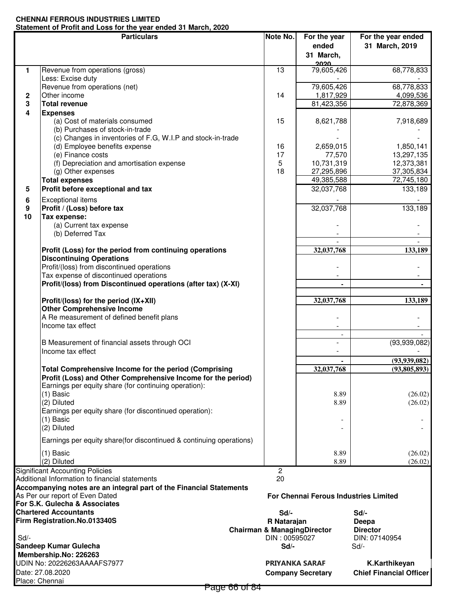# **CHENNAI FERROUS INDUSTRIES LIMITED**

**Statement of Profit and Loss for the year ended 31 March, 2020**

|                   | <b>Particulars</b>                                                                                                    | Note No.                               | For the year<br>ended<br>31 March,           | For the year ended<br>31 March, 2019 |
|-------------------|-----------------------------------------------------------------------------------------------------------------------|----------------------------------------|----------------------------------------------|--------------------------------------|
| $\mathbf{1}$      | Revenue from operations (gross)                                                                                       | 13                                     | 2020<br>79,605,426                           | 68,778,833                           |
|                   | Less: Excise duty                                                                                                     |                                        |                                              |                                      |
|                   | Revenue from operations (net)<br>Other income                                                                         | 14                                     | 79,605,426<br>1,817,929                      | 68,778,833<br>4,099,536              |
| $\mathbf{2}$<br>3 | <b>Total revenue</b>                                                                                                  |                                        | 81,423,356                                   | 72,878,369                           |
| 4                 | <b>Expenses</b>                                                                                                       |                                        |                                              |                                      |
|                   | (a) Cost of materials consumed<br>(b) Purchases of stock-in-trade                                                     | 15                                     | 8,621,788                                    | 7,918,689                            |
|                   | (c) Changes in inventories of F.G, W.I.P and stock-in-trade                                                           |                                        |                                              |                                      |
|                   | (d) Employee benefits expense                                                                                         | 16                                     | 2,659,015                                    | 1,850,141                            |
|                   | (e) Finance costs                                                                                                     | 17                                     | 77,570                                       | 13,297,135                           |
|                   | (f) Depreciation and amortisation expense                                                                             | 5                                      | 10,731,319                                   | 12,373,381                           |
|                   | (g) Other expenses                                                                                                    | 18                                     | 27,295,896                                   | 37,305,834                           |
|                   | <b>Total expenses</b>                                                                                                 |                                        | 49,385,588                                   | 72,745,180                           |
| 5                 | Profit before exceptional and tax                                                                                     |                                        | 32,037,768                                   | 133,189                              |
| 6                 | <b>Exceptional items</b>                                                                                              |                                        |                                              |                                      |
| 9<br>10           | Profit / (Loss) before tax<br>Tax expense:                                                                            |                                        | 32,037,768                                   | 133,189                              |
|                   | (a) Current tax expense<br>(b) Deferred Tax                                                                           |                                        |                                              |                                      |
|                   |                                                                                                                       |                                        |                                              |                                      |
|                   | Profit (Loss) for the period from continuing operations<br><b>Discontinuing Operations</b>                            |                                        | 32,037,768                                   | 133,189                              |
|                   | Profit/(loss) from discontinued operations                                                                            |                                        |                                              |                                      |
|                   | Tax expense of discontinued operations<br>Profit/(loss) from Discontinued operations (after tax) (X-XI)               |                                        | $\blacksquare$                               | $\blacksquare$                       |
|                   | Profit/(loss) for the period (IX+XII)                                                                                 |                                        | 32,037,768                                   | 133,189                              |
|                   | <b>Other Comprehensive Income</b>                                                                                     |                                        |                                              |                                      |
|                   | A Re measurement of defined benefit plans<br>Income tax effect                                                        |                                        |                                              |                                      |
|                   | B Measurement of financial assets through OCI                                                                         |                                        | $\overline{\phantom{a}}$                     | (93,939,082)                         |
|                   | Income tax effect                                                                                                     |                                        |                                              |                                      |
|                   | Total Comprehensive Income for the period (Comprising                                                                 |                                        | 32,037,768                                   | (93, 939, 082)<br>(93,805,893)       |
|                   | Profit (Loss) and Other Comprehensive Income for the period)<br>Earnings per equity share (for continuing operation): |                                        |                                              |                                      |
|                   | $(1)$ Basic                                                                                                           |                                        | 8.89                                         | (26.02)                              |
|                   | (2) Diluted                                                                                                           |                                        | 8.89                                         | (26.02)                              |
|                   | Earnings per equity share (for discontinued operation):                                                               |                                        |                                              |                                      |
|                   | (1) Basic<br>(2) Diluted                                                                                              |                                        |                                              |                                      |
|                   |                                                                                                                       |                                        |                                              |                                      |
|                   | Earnings per equity share(for discontinued & continuing operations)                                                   |                                        | 8.89                                         |                                      |
|                   | $(1)$ Basic<br>(2) Diluted                                                                                            |                                        | 8.89                                         | (26.02)<br>(26.02)                   |
|                   | <b>Significant Accounting Policies</b>                                                                                | 2                                      |                                              |                                      |
|                   | Additional Information to financial statements                                                                        | 20                                     |                                              |                                      |
|                   | Accompanying notes are an integral part of the Financial Statements                                                   |                                        |                                              |                                      |
|                   | As Per our report of Even Dated                                                                                       |                                        | <b>For Chennai Ferous Industries Limited</b> |                                      |
|                   | For S.K. Gulecha & Associates<br><b>Chartered Accountants</b>                                                         | Sd                                     |                                              | $Sd$ -                               |
|                   | Firm Registration.No.013340S                                                                                          | R Natarajan                            |                                              | Deepa                                |
|                   |                                                                                                                       | <b>Chairman &amp; ManagingDirector</b> |                                              | <b>Director</b>                      |
| Sd                |                                                                                                                       | DIN: 00595027                          |                                              | DIN: 07140954                        |
|                   | Sandeep Kumar Gulecha                                                                                                 | Sd                                     |                                              | $Sd$ -                               |
|                   | Membership.No: 226263                                                                                                 |                                        |                                              |                                      |
|                   | UDIN No: 20226263AAAAFS7977                                                                                           | <b>PRIYANKA SARAF</b>                  |                                              | K.Karthikeyan                        |
|                   | Date: 27.08.2020                                                                                                      |                                        | <b>Company Secretary</b>                     | <b>Chief Financial Officer</b>       |
|                   | Place: Chennai<br>Page 66 of 84                                                                                       |                                        |                                              |                                      |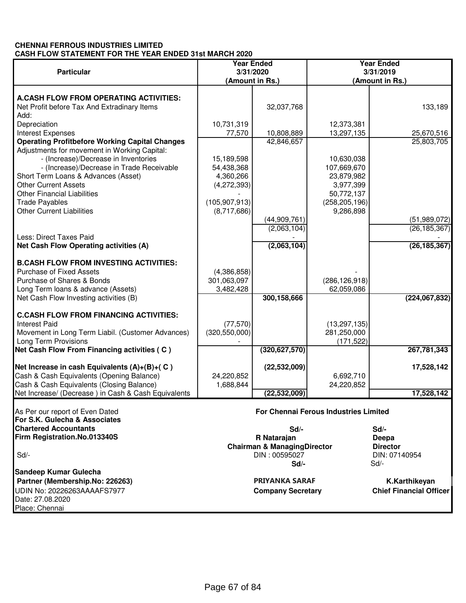#### **CHENNAI FERROUS INDUSTRIES LIMITED CASH FLOW STATEMENT FOR THE YEAR ENDED 31st MARCH 2020**

|                                                                                   | <b>Year Ended</b>        |                                        |                                              | <b>Year Ended</b>              |
|-----------------------------------------------------------------------------------|--------------------------|----------------------------------------|----------------------------------------------|--------------------------------|
| <b>Particular</b>                                                                 | 3/31/2020                |                                        | 3/31/2019                                    |                                |
|                                                                                   | (Amount in Rs.)          |                                        |                                              | (Amount in Rs.)                |
| <b>A.CASH FLOW FROM OPERATING ACTIVITIES:</b>                                     |                          |                                        |                                              |                                |
| Net Profit before Tax And Extradinary Items                                       |                          | 32,037,768                             |                                              | 133,189                        |
| Add:                                                                              |                          |                                        |                                              |                                |
| Depreciation                                                                      | 10,731,319               |                                        | 12,373,381                                   |                                |
| <b>Interest Expenses</b>                                                          | 77,570                   | 10,808,889                             | 13,297,135                                   | 25,670,516                     |
| <b>Operating Profitbefore Working Capital Changes</b>                             |                          | 42,846,657                             |                                              | 25,803,705                     |
| Adjustments for movement in Working Capital:                                      |                          |                                        |                                              |                                |
| - (Increase)/Decrease in Inventories<br>- (Increase)/Decrease in Trade Receivable | 15,189,598<br>54,438,368 |                                        | 10,630,038<br>107,669,670                    |                                |
| Short Term Loans & Advances (Asset)                                               | 4,360,266                |                                        | 23,879,982                                   |                                |
| <b>Other Current Assets</b>                                                       | (4,272,393)              |                                        | 3,977,399                                    |                                |
| <b>Other Financial Liabilities</b>                                                |                          |                                        | 50,772,137                                   |                                |
| <b>Trade Payables</b>                                                             | (105, 907, 913)          |                                        | (258, 205, 196)                              |                                |
| <b>Other Current Liabilities</b>                                                  | (8,717,686)              |                                        | 9,286,898                                    |                                |
|                                                                                   |                          | (44,909,761)                           |                                              | (51,989,072)                   |
|                                                                                   |                          | (2,063,104)                            |                                              | (26, 185, 367)                 |
| Less: Direct Taxes Paid                                                           |                          |                                        |                                              |                                |
| Net Cash Flow Operating activities (A)                                            |                          | (2,063,104)                            |                                              | (26, 185, 367)                 |
| <b>B.CASH FLOW FROM INVESTING ACTIVITIES:</b>                                     |                          |                                        |                                              |                                |
| <b>Purchase of Fixed Assets</b>                                                   | (4,386,858)              |                                        |                                              |                                |
| Purchase of Shares & Bonds                                                        | 301,063,097              |                                        | (286, 126, 918)                              |                                |
| Long Term loans & advance (Assets)                                                | 3,482,428                |                                        | 62,059,086                                   |                                |
| Net Cash Flow Investing activities (B)                                            |                          | 300,158,666                            |                                              | (224,067,832)                  |
|                                                                                   |                          |                                        |                                              |                                |
| <b>C.CASH FLOW FROM FINANCING ACTIVITIES:</b>                                     |                          |                                        |                                              |                                |
| <b>Interest Paid</b>                                                              | (77, 570)                |                                        | (13, 297, 135)                               |                                |
| Movement in Long Term Liabil. (Customer Advances)                                 | (320, 550, 000)          |                                        | 281,250,000                                  |                                |
| <b>Long Term Provisions</b><br>Net Cash Flow From Financing activities (C)        |                          | (320, 627, 570)                        | (171, 522)                                   | 267,781,343                    |
|                                                                                   |                          |                                        |                                              |                                |
| Net Increase in cash Equivalents (A)+(B)+(C)                                      |                          | (22, 532, 009)                         |                                              | 17,528,142                     |
| Cash & Cash Equivalents (Opening Balance)                                         | 24,220,852               |                                        | 6,692,710                                    |                                |
| Cash & Cash Equivalents (Closing Balance)                                         | 1,688,844                |                                        | 24,220,852                                   |                                |
| Net Increase/ (Decrease) in Cash & Cash Equivalents                               |                          | (22, 532, 009)                         |                                              | 17,528,142                     |
|                                                                                   |                          |                                        |                                              |                                |
| As Per our report of Even Dated<br>For S.K. Gulecha & Associates                  |                          |                                        | <b>For Chennal Ferous Industries Limited</b> |                                |
| <b>Chartered Accountants</b>                                                      |                          | Sd                                     |                                              | $Sd$ .                         |
| Firm Registration.No.013340S                                                      |                          | <b>R</b> Nataraian                     |                                              | Deepa                          |
|                                                                                   |                          | <b>Chairman &amp; ManagingDirector</b> |                                              | <b>Director</b>                |
| Sd                                                                                |                          | DIN: 00595027                          |                                              | DIN: 07140954                  |
|                                                                                   |                          | Sd                                     |                                              | Sd                             |
| Sandeep Kumar Gulecha                                                             |                          |                                        |                                              |                                |
| Partner (Membership.No: 226263)                                                   |                          | <b>PRIYANKA SARAF</b>                  |                                              | K.Karthikeyan                  |
| UDIN No: 20226263AAAAFS7977                                                       |                          | <b>Company Secretary</b>               |                                              | <b>Chief Financial Officer</b> |
| Date: 27.08.2020                                                                  |                          |                                        |                                              |                                |
| Place: Chennai                                                                    |                          |                                        |                                              |                                |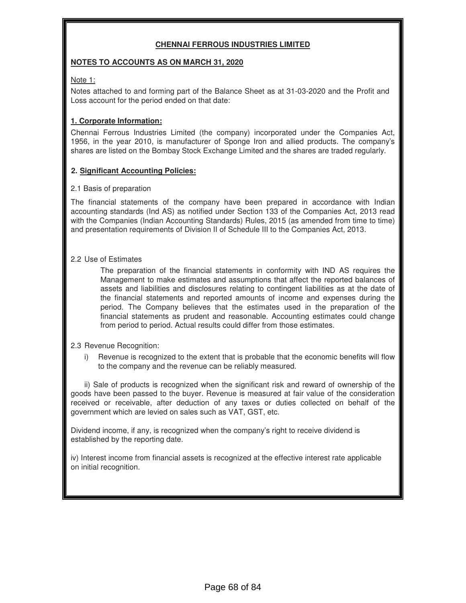#### **CHENNAI FERROUS INDUSTRIES LIMITED**

#### **NOTES TO ACCOUNTS AS ON MARCH 31, 2020**

#### Note 1:

Notes attached to and forming part of the Balance Sheet as at 31-03-2020 and the Profit and Loss account for the period ended on that date:

#### **1. Corporate Information:**

Chennai Ferrous Industries Limited (the company) incorporated under the Companies Act, 1956, in the year 2010, is manufacturer of Sponge Iron and allied products. The company's shares are listed on the Bombay Stock Exchange Limited and the shares are traded regularly.

#### **2. Significant Accounting Policies:**

#### 2.1 Basis of preparation

The financial statements of the company have been prepared in accordance with Indian accounting standards (Ind AS) as notified under Section 133 of the Companies Act, 2013 read with the Companies (Indian Accounting Standards) Rules, 2015 (as amended from time to time) and presentation requirements of Division II of Schedule III to the Companies Act, 2013.

#### 2.2 Use of Estimates

The preparation of the financial statements in conformity with IND AS requires the Management to make estimates and assumptions that affect the reported balances of assets and liabilities and disclosures relating to contingent liabilities as at the date of the financial statements and reported amounts of income and expenses during the period. The Company believes that the estimates used in the preparation of the financial statements as prudent and reasonable. Accounting estimates could change from period to period. Actual results could differ from those estimates.

#### 2.3 Revenue Recognition:

i) Revenue is recognized to the extent that is probable that the economic benefits will flow to the company and the revenue can be reliably measured.

ii) Sale of products is recognized when the significant risk and reward of ownership of the goods have been passed to the buyer. Revenue is measured at fair value of the consideration received or receivable, after deduction of any taxes or duties collected on behalf of the government which are levied on sales such as VAT, GST, etc.

Dividend income, if any, is recognized when the company's right to receive dividend is established by the reporting date.

iv) Interest income from financial assets is recognized at the effective interest rate applicable on initial recognition.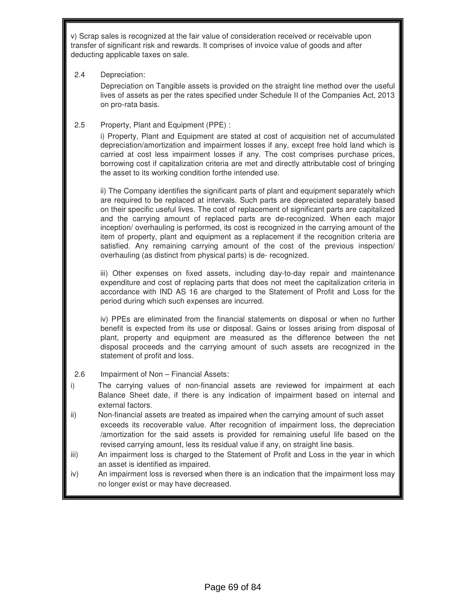v) Scrap sales is recognized at the fair value of consideration received or receivable upon transfer of significant risk and rewards. It comprises of invoice value of goods and after deducting applicable taxes on sale.

2.4 Depreciation:

Depreciation on Tangible assets is provided on the straight line method over the useful lives of assets as per the rates specified under Schedule II of the Companies Act, 2013 on pro-rata basis.

2.5 Property, Plant and Equipment (PPE) :

i) Property, Plant and Equipment are stated at cost of acquisition net of accumulated depreciation/amortization and impairment losses if any, except free hold land which is carried at cost less impairment losses if any. The cost comprises purchase prices, borrowing cost if capitalization criteria are met and directly attributable cost of bringing the asset to its working condition forthe intended use.

ii) The Company identifies the significant parts of plant and equipment separately which are required to be replaced at intervals. Such parts are depreciated separately based on their specific useful lives. The cost of replacement of significant parts are capitalized and the carrying amount of replaced parts are de-recognized. When each major inception/ overhauling is performed, its cost is recognized in the carrying amount of the item of property, plant and equipment as a replacement if the recognition criteria are satisfied. Any remaining carrying amount of the cost of the previous inspection/ overhauling (as distinct from physical parts) is de- recognized.

iii) Other expenses on fixed assets, including day-to-day repair and maintenance expenditure and cost of replacing parts that does not meet the capitalization criteria in accordance with IND AS 16 are charged to the Statement of Profit and Loss for the period during which such expenses are incurred.

iv) PPEs are eliminated from the financial statements on disposal or when no further benefit is expected from its use or disposal. Gains or losses arising from disposal of plant, property and equipment are measured as the difference between the net disposal proceeds and the carrying amount of such assets are recognized in the statement of profit and loss.

- 2.6 Impairment of Non Financial Assets:
- i) The carrying values of non-financial assets are reviewed for impairment at each Balance Sheet date, if there is any indication of impairment based on internal and external factors.
- ii) Non-financial assets are treated as impaired when the carrying amount of such asset exceeds its recoverable value. After recognition of impairment loss, the depreciation /amortization for the said assets is provided for remaining useful life based on the revised carrying amount, less its residual value if any, on straight line basis.
- iii) An impairment loss is charged to the Statement of Profit and Loss in the year in which an asset is identified as impaired.
- iv) An impairment loss is reversed when there is an indication that the impairment loss may no longer exist or may have decreased.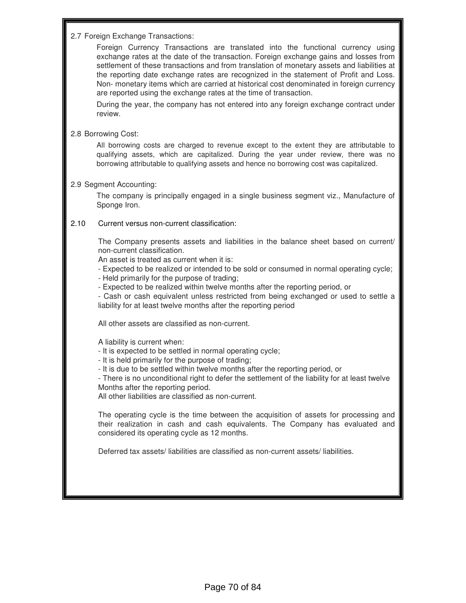#### 2.7 Foreign Exchange Transactions:

Foreign Currency Transactions are translated into the functional currency using exchange rates at the date of the transaction. Foreign exchange gains and losses from settlement of these transactions and from translation of monetary assets and liabilities at the reporting date exchange rates are recognized in the statement of Profit and Loss. Non- monetary items which are carried at historical cost denominated in foreign currency are reported using the exchange rates at the time of transaction.

During the year, the company has not entered into any foreign exchange contract under review.

#### 2.8 Borrowing Cost:

All borrowing costs are charged to revenue except to the extent they are attributable to qualifying assets, which are capitalized. During the year under review, there was no borrowing attributable to qualifying assets and hence no borrowing cost was capitalized.

#### 2.9 Segment Accounting:

The company is principally engaged in a single business segment viz., Manufacture of Sponge Iron.

#### 2.10 Current versus non-current classification:

The Company presents assets and liabilities in the balance sheet based on current/ non-current classification.

An asset is treated as current when it is:

- Expected to be realized or intended to be sold or consumed in normal operating cycle;

- Held primarily for the purpose of trading;

- Expected to be realized within twelve months after the reporting period, or

- Cash or cash equivalent unless restricted from being exchanged or used to settle a liability for at least twelve months after the reporting period

All other assets are classified as non-current.

A liability is current when:

- It is expected to be settled in normal operating cycle;

- It is held primarily for the purpose of trading;

- It is due to be settled within twelve months after the reporting period, or

- There is no unconditional right to defer the settlement of the liability for at least twelve Months after the reporting period.

All other liabilities are classified as non-current.

The operating cycle is the time between the acquisition of assets for processing and their realization in cash and cash equivalents. The Company has evaluated and considered its operating cycle as 12 months.

Deferred tax assets/ liabilities are classified as non-current assets/ liabilities.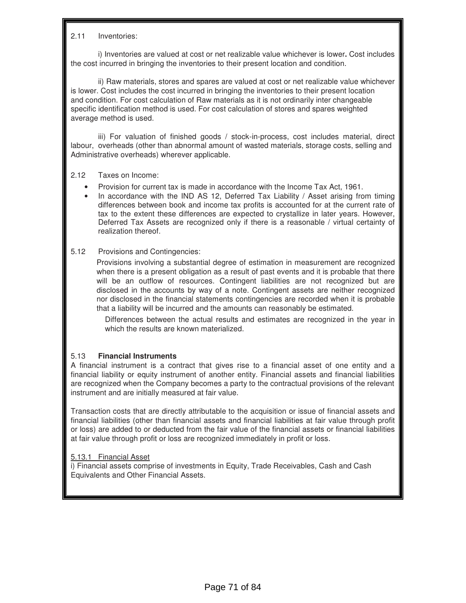#### 2.11 Inventories:

i) Inventories are valued at cost or net realizable value whichever is lower**.** Cost includes the cost incurred in bringing the inventories to their present location and condition.

ii) Raw materials, stores and spares are valued at cost or net realizable value whichever is lower. Cost includes the cost incurred in bringing the inventories to their present location and condition. For cost calculation of Raw materials as it is not ordinarily inter changeable specific identification method is used. For cost calculation of stores and spares weighted average method is used.

iii) For valuation of finished goods / stock-in-process, cost includes material, direct labour, overheads (other than abnormal amount of wasted materials, storage costs, selling and Administrative overheads) wherever applicable.

- 2.12 Taxes on Income:
	- Provision for current tax is made in accordance with the Income Tax Act, 1961.
	- In accordance with the IND AS 12, Deferred Tax Liability / Asset arising from timing differences between book and income tax profits is accounted for at the current rate of tax to the extent these differences are expected to crystallize in later years. However, Deferred Tax Assets are recognized only if there is a reasonable / virtual certainty of realization thereof.

#### 5.12 Provisions and Contingencies:

Provisions involving a substantial degree of estimation in measurement are recognized when there is a present obligation as a result of past events and it is probable that there will be an outflow of resources. Contingent liabilities are not recognized but are disclosed in the accounts by way of a note. Contingent assets are neither recognized nor disclosed in the financial statements contingencies are recorded when it is probable that a liability will be incurred and the amounts can reasonably be estimated.

Differences between the actual results and estimates are recognized in the year in which the results are known materialized.

#### 5.13 **Financial Instruments**

A financial instrument is a contract that gives rise to a financial asset of one entity and a financial liability or equity instrument of another entity. Financial assets and financial liabilities are recognized when the Company becomes a party to the contractual provisions of the relevant instrument and are initially measured at fair value.

Transaction costs that are directly attributable to the acquisition or issue of financial assets and financial liabilities (other than financial assets and financial liabilities at fair value through profit or loss) are added to or deducted from the fair value of the financial assets or financial liabilities at fair value through profit or loss are recognized immediately in profit or loss.

#### 5.13.1 Financial Asset

i) Financial assets comprise of investments in Equity, Trade Receivables, Cash and Cash Equivalents and Other Financial Assets.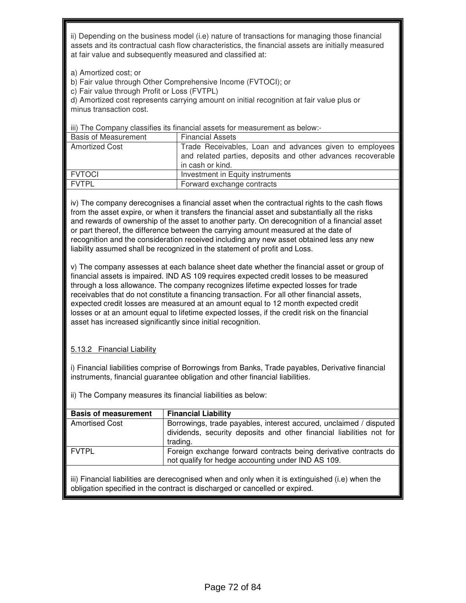ii) Depending on the business model (i.e) nature of transactions for managing those financial assets and its contractual cash flow characteristics, the financial assets are initially measured at fair value and subsequently measured and classified at:

a) Amortized cost; or

b) Fair value through Other Comprehensive Income (FVTOCI); or

c) Fair value through Profit or Loss (FVTPL)

d) Amortized cost represents carrying amount on initial recognition at fair value plus or minus transaction cost.

iii) The Company classifies its financial assets for measurement as below:-

| <b>Basis of Measurement</b> | <b>Financial Assets</b>                                                                                                                     |
|-----------------------------|---------------------------------------------------------------------------------------------------------------------------------------------|
| <b>Amortized Cost</b>       | Trade Receivables, Loan and advances given to employees<br>and related parties, deposits and other advances recoverable<br>in cash or kind. |
| <b>FVTOCI</b>               | Investment in Equity instruments                                                                                                            |
| <b>FVTPL</b>                | Forward exchange contracts                                                                                                                  |

iv) The company derecognises a financial asset when the contractual rights to the cash flows from the asset expire, or when it transfers the financial asset and substantially all the risks and rewards of ownership of the asset to another party. On derecognition of a financial asset or part thereof, the difference between the carrying amount measured at the date of recognition and the consideration received including any new asset obtained less any new liability assumed shall be recognized in the statement of profit and Loss.

v) The company assesses at each balance sheet date whether the financial asset or group of financial assets is impaired. IND AS 109 requires expected credit losses to be measured through a loss allowance. The company recognizes lifetime expected losses for trade receivables that do not constitute a financing transaction. For all other financial assets, expected credit losses are measured at an amount equal to 12 month expected credit losses or at an amount equal to lifetime expected losses, if the credit risk on the financial asset has increased significantly since initial recognition.

#### 5.13.2 Financial Liability

i) Financial liabilities comprise of Borrowings from Banks, Trade payables, Derivative financial instruments, financial guarantee obligation and other financial liabilities.

ii) The Company measures its financial liabilities as below:

| <b>Basis of measurement</b> | <b>Financial Liability</b>                                                                                                                 |
|-----------------------------|--------------------------------------------------------------------------------------------------------------------------------------------|
| <b>Amortised Cost</b>       | Borrowings, trade payables, interest accured, unclaimed / disputed<br>dividends, security deposits and other financial liabilities not for |
|                             | trading.                                                                                                                                   |
| <b>FVTPL</b>                | Foreign exchange forward contracts being derivative contracts do<br>not qualify for hedge accounting under IND AS 109.                     |
|                             |                                                                                                                                            |

iii) Financial liabilities are derecognised when and only when it is extinguished (i.e) when the obligation specified in the contract is discharged or cancelled or expired.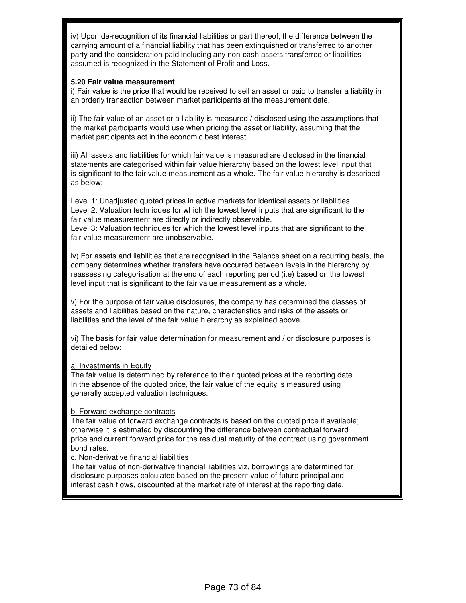iv) Upon de-recognition of its financial liabilities or part thereof, the difference between the carrying amount of a financial liability that has been extinguished or transferred to another party and the consideration paid including any non-cash assets transferred or liabilities assumed is recognized in the Statement of Profit and Loss.

#### **5.20 Fair value measurement**

i) Fair value is the price that would be received to sell an asset or paid to transfer a liability in an orderly transaction between market participants at the measurement date.

ii) The fair value of an asset or a liability is measured / disclosed using the assumptions that the market participants would use when pricing the asset or liability, assuming that the market participants act in the economic best interest.

iii) All assets and liabilities for which fair value is measured are disclosed in the financial statements are categorised within fair value hierarchy based on the lowest level input that is significant to the fair value measurement as a whole. The fair value hierarchy is described as below:

Level 1: Unadjusted quoted prices in active markets for identical assets or liabilities Level 2: Valuation techniques for which the lowest level inputs that are significant to the fair value measurement are directly or indirectly observable.

Level 3: Valuation techniques for which the lowest level inputs that are significant to the fair value measurement are unobservable.

iv) For assets and liabilities that are recognised in the Balance sheet on a recurring basis, the company determines whether transfers have occurred between levels in the hierarchy by reassessing categorisation at the end of each reporting period (i.e) based on the lowest level input that is significant to the fair value measurement as a whole.

v) For the purpose of fair value disclosures, the company has determined the classes of assets and liabilities based on the nature, characteristics and risks of the assets or liabilities and the level of the fair value hierarchy as explained above.

vi) The basis for fair value determination for measurement and / or disclosure purposes is detailed below:

#### a. Investments in Equity

The fair value is determined by reference to their quoted prices at the reporting date. In the absence of the quoted price, the fair value of the equity is measured using generally accepted valuation techniques.

#### b. Forward exchange contracts

The fair value of forward exchange contracts is based on the quoted price if available; otherwise it is estimated by discounting the difference between contractual forward price and current forward price for the residual maturity of the contract using government bond rates.

#### c. Non-derivative financial liabilities

The fair value of non-derivative financial liabilities viz, borrowings are determined for disclosure purposes calculated based on the present value of future principal and interest cash flows, discounted at the market rate of interest at the reporting date.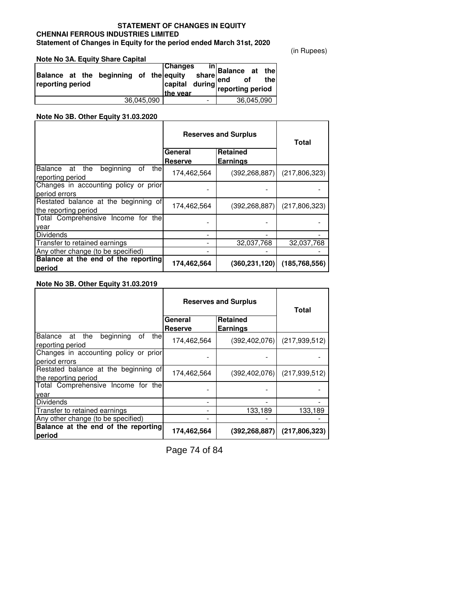#### **Statement of Changes in Equity for the period ended March 31st, 2020 STATEMENT OF CHANGES IN EQUITY CHENNAI FERROUS INDUSTRIES LIMITED**

(in Rupees)

| Note No 3A. Equity Share Capital |  |
|----------------------------------|--|
|----------------------------------|--|

| Balance at the beginning of the equity<br>reporting period |            | <b>Changes</b> | share | . <sup>in</sup> Balance at the<br><b>Example 11</b><br><b>Example 11</b><br><b>Example 12</b><br><b>Example 12</b><br><b>Example 12</b><br><b>Example 12</b><br><b>Example 12</b><br><b>Example 12</b><br><b>Example 12</b><br><b>Example 12</b><br><b>Example 12</b><br><b>Example 12</b><br><b>Example 12</b><br><b>Example 12</b><br><b>Example 12</b><br><b>Example 12</b> |            |  |
|------------------------------------------------------------|------------|----------------|-------|--------------------------------------------------------------------------------------------------------------------------------------------------------------------------------------------------------------------------------------------------------------------------------------------------------------------------------------------------------------------------------|------------|--|
|                                                            | 36.045.090 |                | -     |                                                                                                                                                                                                                                                                                                                                                                                | 36.045.090 |  |

#### **Note No 3B. Other Equity 31.03.2020**

|                                                                  | <b>Reserves and Surplus</b> | Total                              |                 |
|------------------------------------------------------------------|-----------------------------|------------------------------------|-----------------|
|                                                                  | General<br>Reserve          | <b>Retained</b><br><b>Earnings</b> |                 |
| beginning<br>the<br>thel<br>Balance at<br>οf<br>reporting period | 174,462,564                 | (392, 268, 887)                    | (217,806,323)   |
| Changes in accounting policy or prior<br>period errors           |                             |                                    |                 |
| Restated balance at the beginning of<br>the reporting period     | 174,462,564                 | (392, 268, 887)                    | (217,806,323)   |
| Total Comprehensive Income for the<br>year                       |                             |                                    |                 |
| <b>Dividends</b>                                                 |                             |                                    |                 |
| Transfer to retained earnings                                    |                             | 32,037,768                         | 32,037,768      |
| Any other change (to be specified)                               |                             |                                    |                 |
| Balance at the end of the reporting<br>period                    | 174,462,564                 | (360.231.120)                      | (185, 768, 556) |

#### **Note No 3B. Other Equity 31.03.2019**

|                                                               | <b>Reserves and Surplus</b> | Total                              |                 |
|---------------------------------------------------------------|-----------------------------|------------------------------------|-----------------|
|                                                               | General                     | Retained                           |                 |
| Balance at the<br>beginning<br>thel<br>οf<br>reporting period | Reserve<br>174,462,564      | <b>Earnings</b><br>(392, 402, 076) | (217, 939, 512) |
| Changes in accounting policy or prior<br>period errors        |                             |                                    |                 |
| Restated balance at the beginning of<br>the reporting period  | 174,462,564                 | (392, 402, 076)                    | (217, 939, 512) |
| Total Comprehensive Income<br>thel<br>for<br>year             |                             |                                    |                 |
| <b>Dividends</b>                                              |                             |                                    |                 |
| Transfer to retained earnings                                 |                             | 133,189                            | 133,189         |
| Any other change (to be specified)                            |                             |                                    |                 |
| Balance at the end of the reporting<br>period                 | 174,462,564                 | (392, 268, 887)                    | (217, 806, 323) |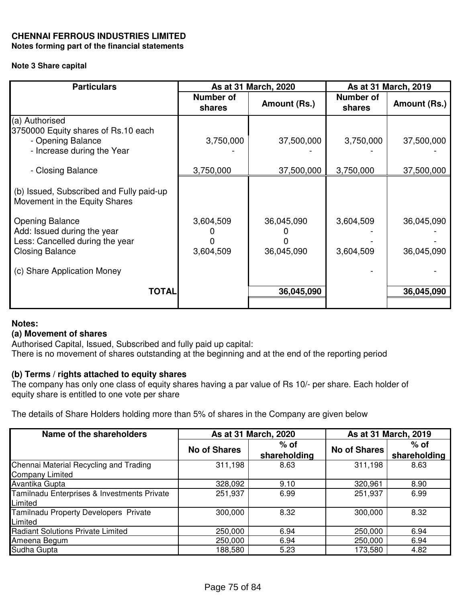# **CHENNAI FERROUS INDUSTRIES LIMITED**

**Notes forming part of the financial statements**

#### **Note 3 Share capital**

| <b>Particulars</b>                                                                                                 | As at 31 March, 2020   |                          |                            | As at 31 March, 2019     |
|--------------------------------------------------------------------------------------------------------------------|------------------------|--------------------------|----------------------------|--------------------------|
|                                                                                                                    | Number of<br>shares    | Amount (Rs.)             | <b>Number of</b><br>shares | Amount (Rs.)             |
| (a) Authorised<br>3750000 Equity shares of Rs.10 each<br>- Opening Balance<br>- Increase during the Year           | 3,750,000              | 37,500,000               | 3,750,000                  | 37,500,000               |
| - Closing Balance                                                                                                  | 3,750,000              | 37,500,000               | 3,750,000                  | 37,500,000               |
| (b) Issued, Subscribed and Fully paid-up<br>Movement in the Equity Shares                                          |                        |                          |                            |                          |
| <b>Opening Balance</b><br>Add: Issued during the year<br>Less: Cancelled during the year<br><b>Closing Balance</b> | 3,604,509<br>3,604,509 | 36,045,090<br>36,045,090 | 3,604,509<br>3,604,509     | 36,045,090<br>36,045,090 |
| (c) Share Application Money                                                                                        |                        |                          |                            |                          |
| <b>TOTAL</b>                                                                                                       |                        | 36,045,090               |                            | 36,045,090               |

## **Notes:**

## **(a) Movement of shares**

Authorised Capital, Issued, Subscribed and fully paid up capital:

There is no movement of shares outstanding at the beginning and at the end of the reporting period

## **(b) Terms / rights attached to equity shares**

The company has only one class of equity shares having a par value of Rs 10/- per share. Each holder of equity share is entitled to one vote per share

The details of Share Holders holding more than 5% of shares in the Company are given below

| Name of the shareholders                    | As at 31 March, 2020 |              | As at 31 March, 2019 |              |
|---------------------------------------------|----------------------|--------------|----------------------|--------------|
|                                             | <b>No of Shares</b>  | $%$ of       | <b>No of Shares</b>  |              |
|                                             |                      | shareholding |                      | shareholding |
| Chennai Material Recycling and Trading      | 311,198              | 8.63         | 311,198              | 8.63         |
| <b>Company Limited</b>                      |                      |              |                      |              |
| Avantika Gupta                              | 328,092              | 9.10         | 320,961              | 8.90         |
| Tamilnadu Enterprises & Investments Private | 251,937              | 6.99         | 251,937              | 6.99         |
| Limited                                     |                      |              |                      |              |
| Tamilnadu Property Developers Private       | 300,000              | 8.32         | 300,000              | 8.32         |
| Limited                                     |                      |              |                      |              |
| Radiant Solutions Private Limited           | 250,000              | 6.94         | 250,000              | 6.94         |
| Ameena Begum                                | 250,000              | 6.94         | 250,000              | 6.94         |
| Sudha Gupta                                 | 188,580              | 5.23         | 173,580              | 4.82         |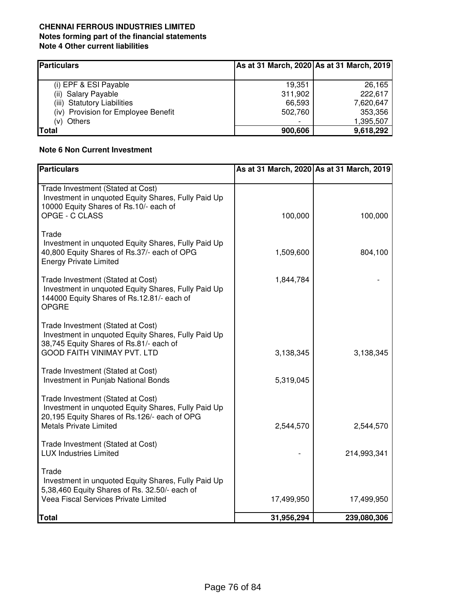#### **CHENNAI FERROUS INDUSTRIES LIMITED Notes forming part of the financial statements Note 4 Other current liabilities**

| <b>Particulars</b>                    |                          | As at 31 March, 2020 As at 31 March, 2019 |
|---------------------------------------|--------------------------|-------------------------------------------|
|                                       |                          |                                           |
| (i) EPF & ESI Payable                 | 19,351                   | 26,165                                    |
| (ii) Salary Payable                   | 311,902                  | 222,617                                   |
| <b>Statutory Liabilities</b><br>(iii) | 66,593                   | 7,620,647                                 |
| (iv) Provision for Employee Benefit   | 502,760                  | 353,356                                   |
| (v) Others                            | $\overline{\phantom{0}}$ | 1,395,507                                 |
| <b>Total</b>                          | 900,606                  | 9,618,292                                 |

#### **Note 6 Non Current Investment**

| <b>Particulars</b>                                                                                                                                                        |            | As at 31 March, 2020 As at 31 March, 2019 |
|---------------------------------------------------------------------------------------------------------------------------------------------------------------------------|------------|-------------------------------------------|
| Trade Investment (Stated at Cost)<br>Investment in unquoted Equity Shares, Fully Paid Up<br>10000 Equity Shares of Rs.10/- each of<br>OPGE - C CLASS                      | 100,000    | 100,000                                   |
| Trade<br>Investment in unquoted Equity Shares, Fully Paid Up<br>40,800 Equity Shares of Rs.37/- each of OPG<br><b>Energy Private Limited</b>                              | 1,509,600  | 804,100                                   |
| Trade Investment (Stated at Cost)<br>Investment in unquoted Equity Shares, Fully Paid Up<br>144000 Equity Shares of Rs.12.81/- each of<br><b>OPGRE</b>                    | 1,844,784  |                                           |
| Trade Investment (Stated at Cost)<br>Investment in unquoted Equity Shares, Fully Paid Up<br>38,745 Equity Shares of Rs.81/- each of<br><b>GOOD FAITH VINIMAY PVT, LTD</b> | 3,138,345  | 3,138,345                                 |
| Trade Investment (Stated at Cost)<br><b>Investment in Punjab National Bonds</b>                                                                                           | 5,319,045  |                                           |
| Trade Investment (Stated at Cost)<br>Investment in unquoted Equity Shares, Fully Paid Up<br>20,195 Equity Shares of Rs.126/- each of OPG<br><b>Metals Private Limited</b> | 2,544,570  | 2,544,570                                 |
| Trade Investment (Stated at Cost)<br><b>LUX Industries Limited</b>                                                                                                        |            | 214,993,341                               |
| Trade<br>Investment in unquoted Equity Shares, Fully Paid Up<br>5,38,460 Equity Shares of Rs. 32.50/- each of<br>Veea Fiscal Services Private Limited                     | 17,499,950 | 17,499,950                                |
| <b>Total</b>                                                                                                                                                              | 31,956,294 | 239,080,306                               |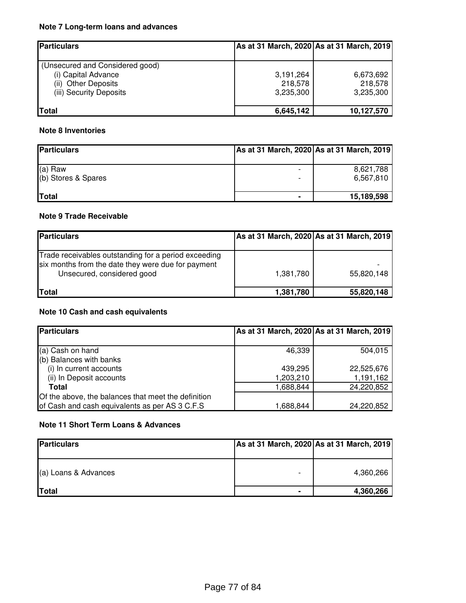## **Note 7 Long-term loans and advances**

| <b>Particulars</b>              | As at 31 March, 2020 As at 31 March, 2019 |            |
|---------------------------------|-------------------------------------------|------------|
| (Unsecured and Considered good) |                                           |            |
| (i) Capital Advance             | 3,191,264                                 | 6,673,692  |
| (ii) Other Deposits             | 218,578                                   | 218,578    |
| (iii) Security Deposits         | 3,235,300                                 | 3,235,300  |
|                                 |                                           |            |
| <b>Total</b>                    | 6,645,142                                 | 10,127,570 |

## **Note 8 Inventories**

| <b>Particulars</b>             | As at 31 March, 2020 As at 31 March, 2019 |                        |
|--------------------------------|-------------------------------------------|------------------------|
| (a) Raw<br>(b) Stores & Spares |                                           | 8,621,788<br>6,567,810 |
| Total                          | $\blacksquare$                            | 15,189,598             |

#### **Note 9 Trade Receivable**

| <b>Particulars</b>                                                                                                                       | As at 31 March, 2020 As at 31 March, 2019 |            |
|------------------------------------------------------------------------------------------------------------------------------------------|-------------------------------------------|------------|
| Trade receivables outstanding for a period exceeding<br>six months from the date they were due for payment<br>Unsecured, considered good | 1,381,780                                 | 55,820,148 |
| Total                                                                                                                                    | 1,381,780                                 | 55,820,148 |

# **Note 10 Cash and cash equivalents**

| <b>Particulars</b>                                  |           | As at 31 March, 2020 As at 31 March, 2019 |
|-----------------------------------------------------|-----------|-------------------------------------------|
|                                                     |           |                                           |
| (a) Cash on hand                                    | 46.339    | 504,015                                   |
| (b) Balances with banks                             |           |                                           |
| (i) In current accounts                             | 439,295   | 22,525,676                                |
| (ii) In Deposit accounts                            | 1,203,210 | 1,191,162                                 |
| Total                                               | 1,688,844 | 24,220,852                                |
| Of the above, the balances that meet the definition |           |                                           |
| of Cash and cash equivalents as per AS 3 C.F.S      | 1,688,844 | 24,220,852                                |

## **Note 11 Short Term Loans & Advances**

| <b>Particulars</b>   | As at 31 March, 2020 As at 31 March, 2019 |
|----------------------|-------------------------------------------|
| (a) Loans & Advances | 4,360,266                                 |
| <b>Total</b>         | 4,360,266                                 |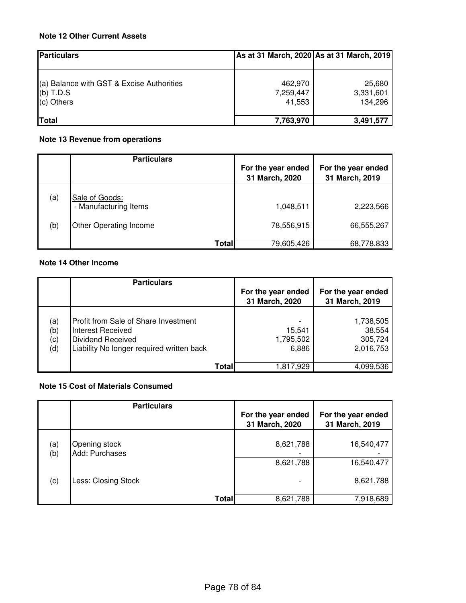## **Note 12 Other Current Assets**

| <b>Particulars</b>                                                     | As at 31 March, 2020 As at 31 March, 2019 |                                |
|------------------------------------------------------------------------|-------------------------------------------|--------------------------------|
| (a) Balance with GST & Excise Authorities<br>(b) $T.D.S$<br>(c) Others | 462,970<br>7,259,447<br>41.553            | 25,680<br>3,331,601<br>134.296 |
| <b>Total</b>                                                           | 7,763,970                                 | 3,491,577                      |

## **Note 13 Revenue from operations**

|     | <b>Particulars</b>                      | For the year ended<br>31 March, 2020 | For the year ended<br>31 March, 2019 |
|-----|-----------------------------------------|--------------------------------------|--------------------------------------|
| (a) | Sale of Goods:<br>- Manufacturing Items | 1,048,511                            | 2,223,566                            |
| (b) | <b>Other Operating Income</b>           | 78,556,915                           | 66,555,267                           |
|     | Total                                   | 79,605,426                           | 68,778,833                           |

#### **Note 14 Other Income**

|                          | <b>Particulars</b>                                                                                                                 | For the year ended<br>31 March, 2020 | For the year ended<br>31 March, 2019        |
|--------------------------|------------------------------------------------------------------------------------------------------------------------------------|--------------------------------------|---------------------------------------------|
| (a)<br>(b)<br>(c)<br>(d) | <b>Profit from Sale of Share Investment</b><br>Interest Received<br>Dividend Received<br>Liability No longer required written back | 15.541<br>1,795,502<br>6,886         | 1,738,505<br>38,554<br>305,724<br>2,016,753 |
|                          | Total                                                                                                                              | 1,817,929                            | 4,099,536                                   |

# **Note 15 Cost of Materials Consumed**

|            | <b>Particulars</b>              | For the year ended<br>31 March, 2020 | For the year ended<br>31 March, 2019 |
|------------|---------------------------------|--------------------------------------|--------------------------------------|
| (a)<br>(b) | Opening stock<br>Add: Purchases | 8,621,788                            | 16,540,477                           |
| (c)        | Less: Closing Stock             | 8,621,788<br>-                       | 16,540,477<br>8,621,788              |
|            | <b>Total</b>                    | 8,621,788                            | 7,918,689                            |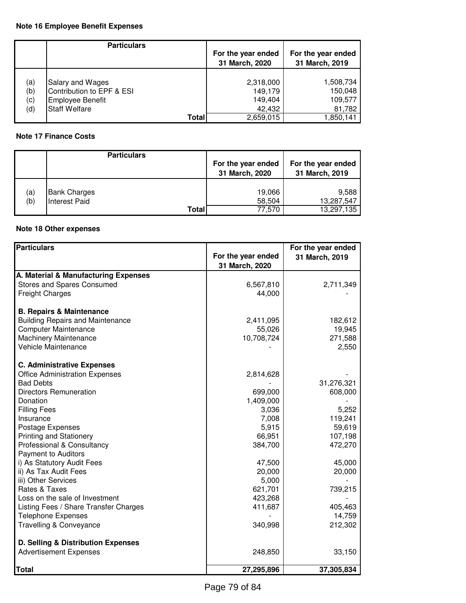# **Note 16 Employee Benefit Expenses**

|     | <b>Particulars</b>        |                                      |                                      |
|-----|---------------------------|--------------------------------------|--------------------------------------|
|     |                           | For the year ended<br>31 March, 2020 | For the year ended<br>31 March, 2019 |
|     |                           |                                      |                                      |
| (a) | Salary and Wages          | 2,318,000                            | 1,508,734                            |
| (b) | Contribution to EPF & ESI | 149,179                              | 150,048                              |
| (c) | Employee Benefit          | 149,404                              | 109,577                              |
| (d) | <b>Staff Welfare</b>      | 42,432                               | 81,782                               |
|     | Total                     | 2,659,015                            | 1,850,141                            |

## **Note 17 Finance Costs**

|            | <b>Particulars</b>                                          | For the year ended<br>31 March, 2020 | For the year ended<br>31 March, 2019 |
|------------|-------------------------------------------------------------|--------------------------------------|--------------------------------------|
| (a)<br>(b) | <b>Bank Charges</b><br><b>Interest Paid</b><br><b>Total</b> | 19,066<br>58,504<br>77,570           | 9,588<br>13,287,547<br>13,297,135    |

# **Note 18 Other expenses**

| <b>Particulars</b>                      |                    | For the year ended |
|-----------------------------------------|--------------------|--------------------|
|                                         | For the year ended | 31 March, 2019     |
|                                         | 31 March, 2020     |                    |
| A. Material & Manufacturing Expenses    |                    |                    |
| <b>Stores and Spares Consumed</b>       | 6,567,810          | 2,711,349          |
| <b>Freight Charges</b>                  | 44,000             |                    |
| <b>B. Repairs &amp; Maintenance</b>     |                    |                    |
| <b>Building Repairs and Maintenance</b> | 2,411,095          | 182,612            |
| <b>Computer Maintenance</b>             | 55,026             | 19,945             |
| Machinery Maintenance                   | 10,708,724         | 271,588            |
| Vehicle Maintenance                     |                    | 2,550              |
| <b>C. Administrative Expenses</b>       |                    |                    |
| <b>Office Administration Expenses</b>   | 2,814,628          |                    |
| <b>Bad Debts</b>                        |                    | 31,276,321         |
| <b>Directors Remuneration</b>           | 699,000            | 608,000            |
| Donation                                | 1,409,000          |                    |
| <b>Filling Fees</b>                     | 3,036              | 5,252              |
| Insurance                               | 7,008              | 119,241            |
| Postage Expenses                        | 5,915              | 59,619             |
| <b>Printing and Stationery</b>          | 66,951             | 107,198            |
| Professional & Consultancy              | 384,700            | 472,270            |
| <b>Payment to Auditors</b>              |                    |                    |
| i) As Statutory Audit Fees              | 47,500             | 45,000             |
| ii) As Tax Audit Fees                   | 20,000             | 20,000             |
| iii) Other Services                     | 5,000              |                    |
| Rates & Taxes                           | 621,701            | 739,215            |
| Loss on the sale of Investment          | 423,268            |                    |
| Listing Fees / Share Transfer Charges   | 411,687            | 405,463            |
| <b>Telephone Expenses</b>               |                    | 14,759             |
| Travelling & Conveyance                 | 340,998            | 212,302            |
| D. Selling & Distribution Expenses      |                    |                    |
| <b>Advertisement Expenses</b>           | 248,850            | 33,150             |
| <b>Total</b>                            | 27,295,896         | 37,305,834         |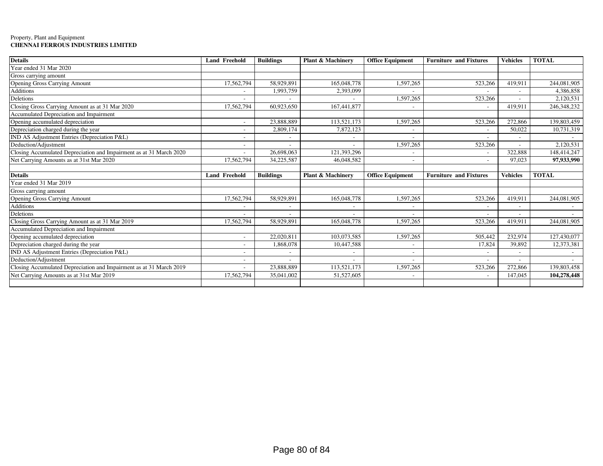# Property, Plant and Equipment **CHENNAI FERROUS INDUSTRIES LIMITED**

| <b>Details</b>                                                      | <b>Land Freehold</b> | <b>Buildings</b> | <b>Plant &amp; Machinery</b> | <b>Office Equipment</b> | <b>Furniture and Fixtures</b> | <b>Vehicles</b>          | <b>TOTAL</b>  |
|---------------------------------------------------------------------|----------------------|------------------|------------------------------|-------------------------|-------------------------------|--------------------------|---------------|
| Year ended 31 Mar 2020                                              |                      |                  |                              |                         |                               |                          |               |
| Gross carrying amount                                               |                      |                  |                              |                         |                               |                          |               |
| Opening Gross Carrying Amount                                       | 17,562,794           | 58.929.891       | 165,048,778                  | 1,597,265               | 523,266                       | 419,91                   | 244,081,905   |
| <b>Additions</b>                                                    |                      | 1,993,759        | 2,393,099                    |                         |                               | $\overline{\phantom{a}}$ | 4,386,858     |
| Deletions                                                           |                      |                  |                              | 1.597.265               | 523.266                       | $\overline{a}$           | 2,120,531     |
| Closing Gross Carrying Amount as at 31 Mar 2020                     | 17,562,794           | 60,923,650       | 167,441,877                  |                         | $\overline{\phantom{a}}$      | 419,91                   | 246, 348, 232 |
| Accumulated Depreciation and Impairment                             |                      |                  |                              |                         |                               |                          |               |
| Opening accumulated depreciation                                    |                      | 23,888,889       | 113,521,173                  | 1,597,265               | 523,266                       | 272,866                  | 139,803,459   |
| Depreciation charged during the year                                |                      | 2,809,174        | 7,872,123                    |                         | $\overline{\phantom{a}}$      | 50,022                   | 10,731,319    |
| IND AS Adjustment Entries (Depreciation P&L)                        |                      |                  |                              |                         | $\overline{\phantom{a}}$      | $\overline{\phantom{a}}$ |               |
| Deduction/Adjustment                                                |                      |                  |                              | 1,597,265               | 523,266                       |                          | 2,120,531     |
| Closing Accumulated Depreciation and Impairment as at 31 March 2020 |                      | 26,698,063       | 121,393,296                  |                         | $\sim$                        | 322,888                  | 148,414,247   |
| Net Carrying Amounts as at 31st Mar 2020                            | 17,562,794           | 34,225,587       | 46,048,582                   |                         | $\sim$                        | 97.023                   | 97,933,990    |
|                                                                     |                      |                  |                              |                         |                               |                          |               |
|                                                                     |                      |                  |                              |                         |                               |                          |               |
| <b>Details</b>                                                      | <b>Land Freehold</b> | <b>Buildings</b> | <b>Plant &amp; Machinery</b> | <b>Office Equipment</b> | <b>Furniture and Fixtures</b> | <b>Vehicles</b>          | <b>TOTAL</b>  |
| Year ended 31 Mar 2019                                              |                      |                  |                              |                         |                               |                          |               |
| Gross carrying amount                                               |                      |                  |                              |                         |                               |                          |               |
| <b>Opening Gross Carrying Amount</b>                                | 17,562,794           | 58,929,891       | 165,048,778                  | 1,597,265               | 523,266                       | 419,91                   | 244,081,905   |
| <b>Additions</b>                                                    |                      |                  |                              |                         |                               |                          |               |
| Deletions                                                           |                      |                  |                              |                         |                               |                          |               |
| Closing Gross Carrying Amount as at 31 Mar 2019                     | 17,562,794           | 58,929,891       | 165,048,778                  | 1.597.265               | 523,266                       | 419.911                  | 244,081,905   |
| Accumulated Depreciation and Impairment                             |                      |                  |                              |                         |                               |                          |               |
| Opening accumulated depreciation                                    |                      | 22,020,811       | 103,073,585                  | 1,597,265               | 505,442                       | 232,974                  | 127,430,077   |
| Depreciation charged during the year                                |                      | 1,868,078        | 10,447,588                   |                         | 17,824                        | 39,892                   | 12,373,381    |
| IND AS Adjustment Entries (Depreciation P&L)                        |                      |                  |                              |                         | $\sim$                        | $\overline{\phantom{a}}$ |               |
| Deduction/Adjustment                                                |                      |                  |                              |                         | $\overline{\phantom{a}}$      |                          |               |
| Closing Accumulated Depreciation and Impairment as at 31 March 2019 |                      | 23,888,889       | 113,521,173                  | 1,597,265               | 523,266                       | 272,866                  | 139,803,458   |
| Net Carrying Amounts as at 31st Mar 2019                            | 17,562,794           | 35,041,002       | 51,527,605                   |                         | $\overline{\phantom{a}}$      | 147,045                  | 104,278,448   |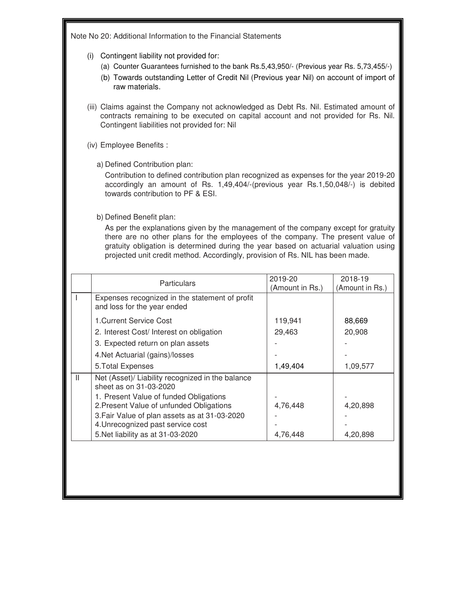Note No 20: Additional Information to the Financial Statements

- (i) Contingent liability not provided for:
	- (a) Counter Guarantees furnished to the bank Rs.5,43,950/- (Previous year Rs. 5,73,455/-)
	- (b) Towards outstanding Letter of Credit Nil (Previous year Nil) on account of import of raw materials.
- (iii) Claims against the Company not acknowledged as Debt Rs. Nil. Estimated amount of contracts remaining to be executed on capital account and not provided for Rs. Nil. Contingent liabilities not provided for: Nil
- (iv) Employee Benefits :
	- a) Defined Contribution plan:

Contribution to defined contribution plan recognized as expenses for the year 2019-20 accordingly an amount of Rs. 1,49,404/-(previous year Rs.1,50,048/-) is debited towards contribution to PF & ESI.

b) Defined Benefit plan:

As per the explanations given by the management of the company except for gratuity there are no other plans for the employees of the company. The present value of gratuity obligation is determined during the year based on actuarial valuation using projected unit credit method. Accordingly, provision of Rs. NIL has been made.

|              | <b>Particulars</b>                                                                                                   | 2019-20<br>(Amount in Rs.) | 2018-19<br>(Amount in Rs.) |
|--------------|----------------------------------------------------------------------------------------------------------------------|----------------------------|----------------------------|
|              | Expenses recognized in the statement of profit<br>and loss for the year ended                                        |                            |                            |
|              | 1. Current Service Cost                                                                                              | 119,941                    | 88,669                     |
|              | 2. Interest Cost/ Interest on obligation                                                                             | 29,463                     | 20,908                     |
|              | 3. Expected return on plan assets                                                                                    |                            |                            |
|              | 4. Net Actuarial (gains)/losses                                                                                      |                            |                            |
|              | 5. Total Expenses                                                                                                    | 1,49,404                   | 1,09,577                   |
| $\mathbf{H}$ | Net (Asset)/ Liability recognized in the balance<br>sheet as on 31-03-2020<br>1. Present Value of funded Obligations |                            |                            |
|              | 2. Present Value of unfunded Obligations                                                                             | 4,76,448                   | 4,20,898                   |
|              | 3. Fair Value of plan assets as at 31-03-2020                                                                        |                            |                            |
|              | 4. Unrecognized past service cost                                                                                    |                            |                            |
|              | 5. Net liability as at 31-03-2020                                                                                    | 4,76,448                   | 4,20,898                   |
|              |                                                                                                                      |                            |                            |
|              |                                                                                                                      |                            |                            |
|              |                                                                                                                      |                            |                            |
|              |                                                                                                                      |                            |                            |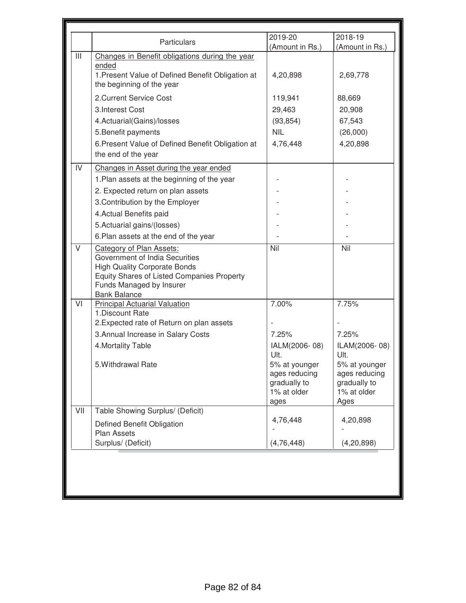|                | Particulars                                                                       | 2019-20<br>(Amount in Rs.)  | 2018-19<br>(Amount in Rs.)  |
|----------------|-----------------------------------------------------------------------------------|-----------------------------|-----------------------------|
| $\mathbf{III}$ | Changes in Benefit obligations during the year                                    |                             |                             |
|                | ended                                                                             |                             |                             |
|                | 1. Present Value of Defined Benefit Obligation at                                 | 4,20,898                    | 2,69,778                    |
|                | the beginning of the year                                                         |                             |                             |
|                | 2. Current Service Cost                                                           | 119,941                     | 88,669                      |
|                | 3. Interest Cost                                                                  | 29,463                      | 20,908                      |
|                | 4.Actuarial(Gains)/losses                                                         | (93, 854)                   | 67,543                      |
|                | 5. Benefit payments                                                               | <b>NIL</b>                  | (26,000)                    |
|                | 6. Present Value of Defined Benefit Obligation at                                 | 4,76,448                    | 4,20,898                    |
|                | the end of the year                                                               |                             |                             |
| IV             | Changes in Asset during the year ended                                            |                             |                             |
|                | 1. Plan assets at the beginning of the year                                       |                             |                             |
|                | 2. Expected return on plan assets                                                 |                             |                             |
|                | 3. Contribution by the Employer                                                   |                             |                             |
|                | 4. Actual Benefits paid                                                           |                             |                             |
|                | 5. Actuarial gains/(losses)                                                       |                             |                             |
|                | 6. Plan assets at the end of the year                                             |                             |                             |
| $\vee$         | Category of Plan Assets:                                                          | Nil                         | Nil                         |
|                | Government of India Securities                                                    |                             |                             |
|                | <b>High Quality Corporate Bonds</b><br>Equity Shares of Listed Companies Property |                             |                             |
|                | Funds Managed by Insurer                                                          |                             |                             |
|                | <b>Bank Balance</b>                                                               |                             |                             |
| VI             | <b>Principal Actuarial Valuation</b>                                              | 7.00%                       | 7.75%                       |
|                | 1. Discount Rate                                                                  |                             |                             |
|                | 2. Expected rate of Return on plan assets                                         |                             |                             |
|                | 3. Annual Increase in Salary Costs                                                | 7.25%                       | 7.25%                       |
|                | 4. Mortality Table                                                                | IALM(2006-08)<br>Ult.       | ILAM(2006-08)<br>Ult.       |
|                | 5. Withdrawal Rate                                                                | 5% at younger               | 5% at younger               |
|                |                                                                                   | ages reducing               | ages reducing               |
|                |                                                                                   | gradually to<br>1% at older | gradually to<br>1% at older |
|                |                                                                                   | ages                        | Ages                        |
| VII            | Table Showing Surplus/ (Deficit)                                                  |                             |                             |
|                | Defined Benefit Obligation                                                        | 4,76,448                    | 4,20,898                    |
|                | <b>Plan Assets</b>                                                                |                             |                             |
|                | Surplus/ (Deficit)                                                                | (4, 76, 448)                | (4, 20, 898)                |
|                |                                                                                   |                             |                             |
|                |                                                                                   |                             |                             |
|                |                                                                                   |                             |                             |
|                |                                                                                   |                             |                             |
|                |                                                                                   |                             |                             |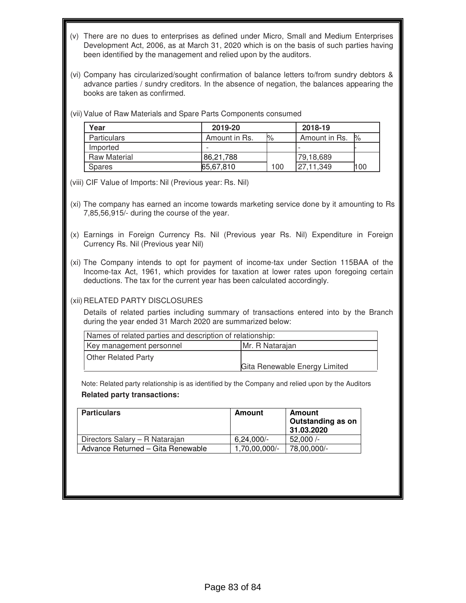| (v) There are no dues to enterprises as defined under Micro, Small and Medium Enterprises<br>Development Act, 2006, as at March 31, 2020 which is on the basis of such parties having<br>been identified by the management and relied upon by the auditors.                                                                                                                                                                                                                                                                                                                                                                                                                                                                                                                                            |               |                 |                                                         |     |
|--------------------------------------------------------------------------------------------------------------------------------------------------------------------------------------------------------------------------------------------------------------------------------------------------------------------------------------------------------------------------------------------------------------------------------------------------------------------------------------------------------------------------------------------------------------------------------------------------------------------------------------------------------------------------------------------------------------------------------------------------------------------------------------------------------|---------------|-----------------|---------------------------------------------------------|-----|
| (vi) Company has circularized/sought confirmation of balance letters to/from sundry debtors &<br>advance parties / sundry creditors. In the absence of negation, the balances appearing the<br>books are taken as confirmed.                                                                                                                                                                                                                                                                                                                                                                                                                                                                                                                                                                           |               |                 |                                                         |     |
| (vii) Value of Raw Materials and Spare Parts Components consumed                                                                                                                                                                                                                                                                                                                                                                                                                                                                                                                                                                                                                                                                                                                                       |               |                 |                                                         |     |
| Year                                                                                                                                                                                                                                                                                                                                                                                                                                                                                                                                                                                                                                                                                                                                                                                                   | 2019-20       |                 | 2018-19                                                 |     |
| Particulars                                                                                                                                                                                                                                                                                                                                                                                                                                                                                                                                                                                                                                                                                                                                                                                            | Amount in Rs. | $\%$            | $\frac{1}{2}$<br>Amount in Rs.                          |     |
| Imported                                                                                                                                                                                                                                                                                                                                                                                                                                                                                                                                                                                                                                                                                                                                                                                               |               |                 |                                                         |     |
| <b>Raw Material</b>                                                                                                                                                                                                                                                                                                                                                                                                                                                                                                                                                                                                                                                                                                                                                                                    | 86,21,788     |                 | 79,18,689                                               |     |
| Spares                                                                                                                                                                                                                                                                                                                                                                                                                                                                                                                                                                                                                                                                                                                                                                                                 | 65,67,810     | 100             | 27,11,349                                               | 100 |
| (viii) CIF Value of Imports: Nil (Previous year: Rs. Nil)<br>(xi) The company has earned an income towards marketing service done by it amounting to Rs<br>7,85,56,915/- during the course of the year.<br>(x) Earnings in Foreign Currency Rs. Nil (Previous year Rs. Nil) Expenditure in Foreign<br>Currency Rs. Nil (Previous year Nil)<br>(xi) The Company intends to opt for payment of income-tax under Section 115BAA of the<br>Income-tax Act, 1961, which provides for taxation at lower rates upon foregoing certain<br>deductions. The tax for the current year has been calculated accordingly.<br>(xii) RELATED PARTY DISCLOSURES<br>Details of related parties including summary of transactions entered into by the Branch<br>during the year ended 31 March 2020 are summarized below: |               |                 |                                                         |     |
| Names of related parties and description of relationship:                                                                                                                                                                                                                                                                                                                                                                                                                                                                                                                                                                                                                                                                                                                                              |               |                 |                                                         |     |
| Key management personnel                                                                                                                                                                                                                                                                                                                                                                                                                                                                                                                                                                                                                                                                                                                                                                               |               | Mr. R Natarajan |                                                         |     |
| <b>Other Related Party</b>                                                                                                                                                                                                                                                                                                                                                                                                                                                                                                                                                                                                                                                                                                                                                                             |               |                 | Gita Renewable Energy Limited                           |     |
| Note: Related party relationship is as identified by the Company and relied upon by the Auditors<br><b>Related party transactions:</b>                                                                                                                                                                                                                                                                                                                                                                                                                                                                                                                                                                                                                                                                 |               |                 |                                                         |     |
| <b>Particulars</b>                                                                                                                                                                                                                                                                                                                                                                                                                                                                                                                                                                                                                                                                                                                                                                                     |               | <b>Amount</b>   | <b>Amount</b><br><b>Outstanding as on</b><br>31.03.2020 |     |
| Directors Salary - R Natarajan                                                                                                                                                                                                                                                                                                                                                                                                                                                                                                                                                                                                                                                                                                                                                                         |               | $6,24,000/-$    | 52,000 /-                                               |     |
| Advance Returned - Gita Renewable                                                                                                                                                                                                                                                                                                                                                                                                                                                                                                                                                                                                                                                                                                                                                                      |               | 1,70,00,000/-   | 78,00,000/-                                             |     |
|                                                                                                                                                                                                                                                                                                                                                                                                                                                                                                                                                                                                                                                                                                                                                                                                        |               |                 |                                                         |     |

Г